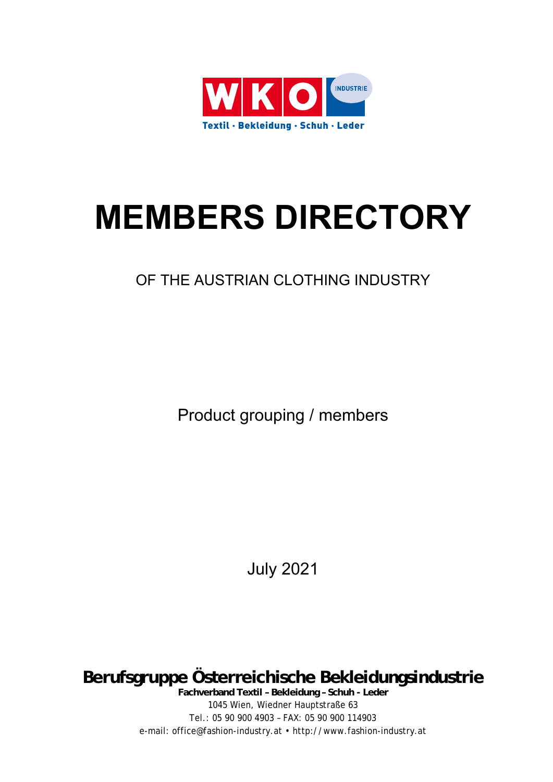

# **MEMBERS DIRECTORY**

# OF THE AUSTRIAN CLOTHING INDUSTRY

Product grouping / members

July 2021

**Berufsgruppe Österreichische Bekleidungsindustrie** 

**Fachverband Textil – Bekleidung – Schuh - Leder**  1045 Wien, Wiedner Hauptstraße 63 Tel.: 05 90 900 4903 – FAX: 05 90 900 114903 e-mail: office@fashion-industry.at • http://www.fashion-industry.at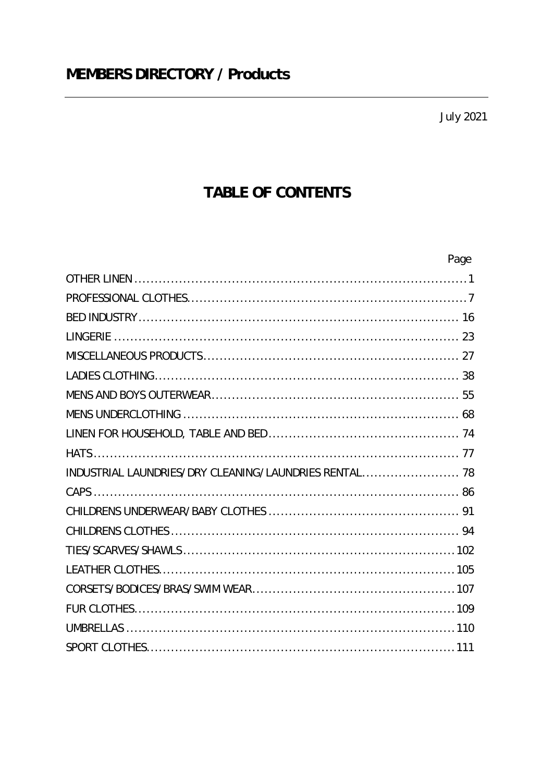**July 2021** 

# TABLE OF CONTENTS

|                                                       | Page |
|-------------------------------------------------------|------|
|                                                       |      |
|                                                       |      |
|                                                       |      |
|                                                       |      |
|                                                       |      |
|                                                       |      |
|                                                       |      |
|                                                       |      |
|                                                       |      |
|                                                       |      |
| INDUSTRIAL LAUNDRIES/DRY CLEANING/LAUNDRIES RENTAL 78 |      |
|                                                       |      |
|                                                       |      |
|                                                       |      |
|                                                       |      |
|                                                       |      |
|                                                       |      |
|                                                       |      |
|                                                       |      |
|                                                       |      |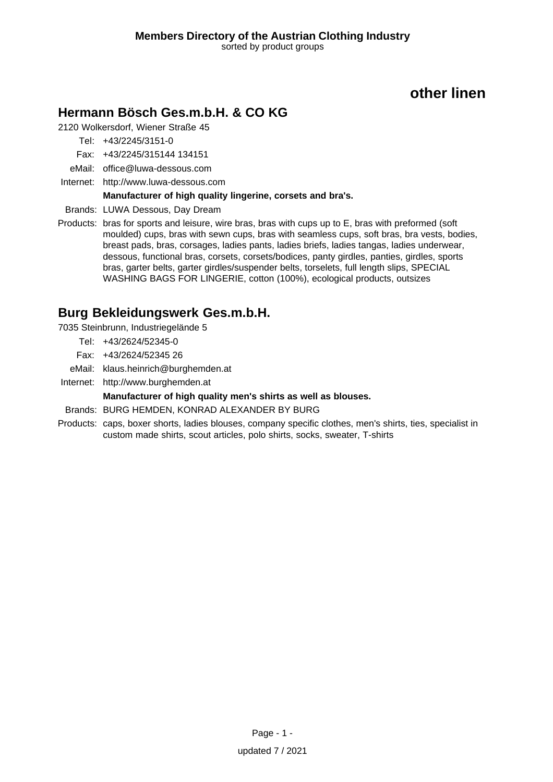# **Hermann Bösch Ges.m.b.H. & CO KG**

2120 Wolkersdorf, Wiener Straße 45

Tel: +43/2245/3151-0

Fax: +43/2245/315144 134151

- eMail: office@luwa-dessous.com
- Internet: <http://www.luwa-dessous.com>

#### **Manufacturer of high quality lingerine, corsets and bra's.**

Brands: LUWA Dessous, Day Dream

Products: bras for sports and leisure, wire bras, bras with cups up to E, bras with preformed (soft moulded) cups, bras with sewn cups, bras with seamless cups, soft bras, bra vests, bodies, breast pads, bras, corsages, ladies pants, ladies briefs, ladies tangas, ladies underwear, dessous, functional bras, corsets, corsets/bodices, panty girdles, panties, girdles, sports bras, garter belts, garter girdles/suspender belts, torselets, full length slips, SPECIAL WASHING BAGS FOR LINGERIE, cotton (100%), ecological products, outsizes

# **Burg Bekleidungswerk Ges.m.b.H.**

7035 Steinbrunn, Industriegelände 5

- Tel: +43/2624/52345-0
- Fax: +43/2624/52345 26
- eMail: klaus.heinrich@burghemden.at
- Internet: <http://www.burghemden.at>

#### **Manufacturer of high quality men's shirts as well as blouses.**

- Brands: BURG HEMDEN, KONRAD ALEXANDER BY BURG
- Products: caps, boxer shorts, ladies blouses, company specific clothes, men's shirts, ties, specialist in custom made shirts, scout articles, polo shirts, socks, sweater, T-shirts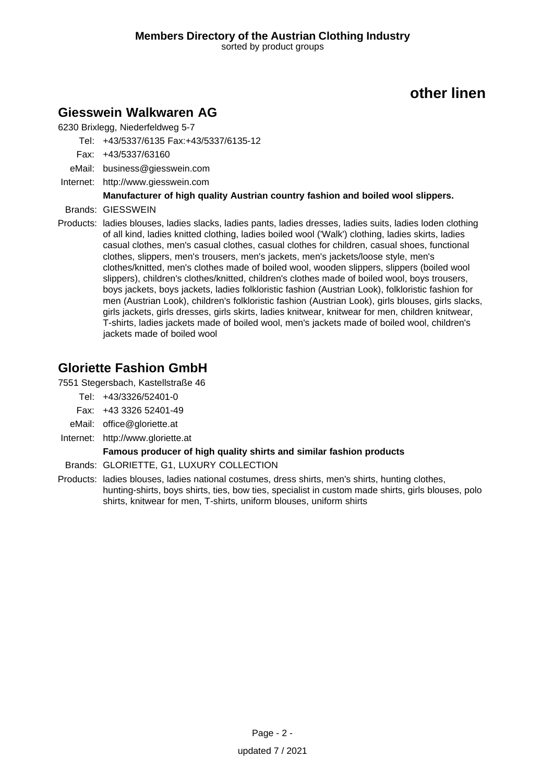### **Giesswein Walkwaren AG**

6230 Brixlegg, Niederfeldweg 5-7

Tel: +43/5337/6135 Fax:+43/5337/6135-12

- Fax: +43/5337/63160
- eMail: business@giesswein.com
- Internet: <http://www.giesswein.com>

### **Manufacturer of high quality Austrian country fashion and boiled wool slippers.**

- Brands: GIESSWEIN
- Products: ladies blouses, ladies slacks, ladies pants, ladies dresses, ladies suits, ladies loden clothing of all kind, ladies knitted clothing, ladies boiled wool ('Walk') clothing, ladies skirts, ladies casual clothes, men's casual clothes, casual clothes for children, casual shoes, functional clothes, slippers, men's trousers, men's jackets, men's jackets/loose style, men's clothes/knitted, men's clothes made of boiled wool, wooden slippers, slippers (boiled wool slippers), children's clothes/knitted, children's clothes made of boiled wool, boys trousers, boys jackets, boys jackets, ladies folkloristic fashion (Austrian Look), folkloristic fashion for men (Austrian Look), children's folkloristic fashion (Austrian Look), girls blouses, girls slacks, girls jackets, girls dresses, girls skirts, ladies knitwear, knitwear for men, children knitwear, T-shirts, ladies jackets made of boiled wool, men's jackets made of boiled wool, children's jackets made of boiled wool

# **Gloriette Fashion GmbH**

7551 Stegersbach, Kastellstraße 46

- Tel: +43/3326/52401-0
- Fax: +43 3326 52401-49
- eMail: office@gloriette.at
- Internet: <http://www.gloriette.at>

#### **Famous producer of high quality shirts and similar fashion products**

- Brands: GLORIETTE, G1, LUXURY COLLECTION
- Products: ladies blouses, ladies national costumes, dress shirts, men's shirts, hunting clothes, hunting-shirts, boys shirts, ties, bow ties, specialist in custom made shirts, girls blouses, polo shirts, knitwear for men, T-shirts, uniform blouses, uniform shirts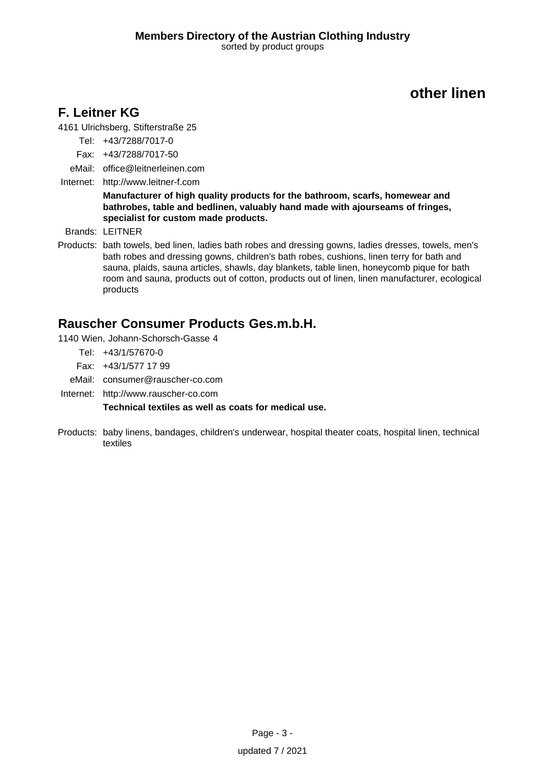# **F. Leitner KG**

4161 Ulrichsberg, Stifterstraße 25

- Tel: +43/7288/7017-0
- Fax: +43/7288/7017-50
- eMail: office@leitnerleinen.com
- Internet: <http://www.leitner-f.com>

**Manufacturer of high quality products for the bathroom, scarfs, homewear and bathrobes, table and bedlinen, valuably hand made with ajourseams of fringes, specialist for custom made products.**

Brands: LEITNER

Products: bath towels, bed linen, ladies bath robes and dressing gowns, ladies dresses, towels, men's bath robes and dressing gowns, children's bath robes, cushions, linen terry for bath and sauna, plaids, sauna articles, shawls, day blankets, table linen, honeycomb pique for bath room and sauna, products out of cotton, products out of linen, linen manufacturer, ecological products

### **Rauscher Consumer Products Ges.m.b.H.**

- 1140 Wien, Johann-Schorsch-Gasse 4
	- Tel: +43/1/57670-0
	- Fax: +43/1/577 17 99
	- eMail: consumer@rauscher-co.com
- Internet: <http://www.rauscher-co.com>

**Technical textiles as well as coats for medical use.**

Products: baby linens, bandages, children's underwear, hospital theater coats, hospital linen, technical textiles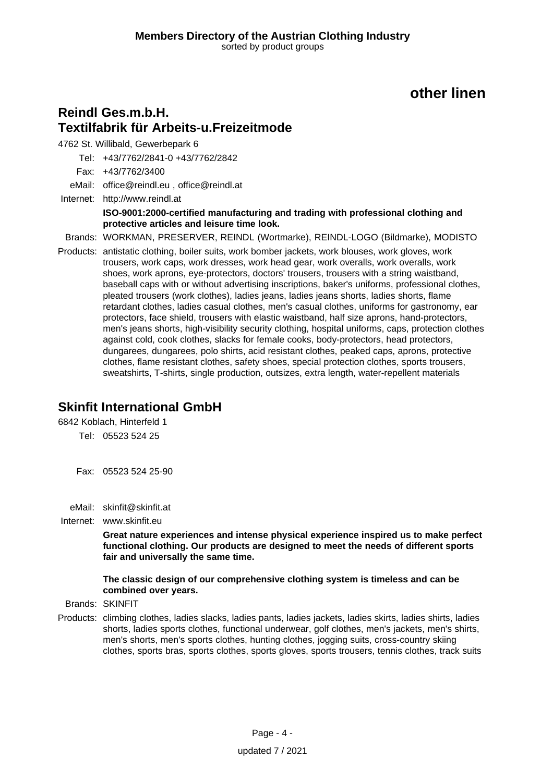### **Reindl Ges.m.b.H. Textilfabrik für Arbeits-u.Freizeitmode**

4762 St. Willibald, Gewerbepark 6

Tel: +43/7762/2841-0 +43/7762/2842

Fax: +43/7762/3400

eMail: office@reindl.eu , office@reindl.at

Internet: <http://www.reindl.at> **ISO-9001:2000-certified manufacturing and trading with professional clothing and protective articles and leisure time look.**

Brands: WORKMAN, PRESERVER, REINDL (Wortmarke), REINDL-LOGO (Bildmarke), MODISTO

Products: antistatic clothing, boiler suits, work bomber jackets, work blouses, work gloves, work trousers, work caps, work dresses, work head gear, work overalls, work overalls, work shoes, work aprons, eye-protectors, doctors' trousers, trousers with a string waistband, baseball caps with or without advertising inscriptions, baker's uniforms, professional clothes, pleated trousers (work clothes), ladies jeans, ladies jeans shorts, ladies shorts, flame retardant clothes, ladies casual clothes, men's casual clothes, uniforms for gastronomy, ear protectors, face shield, trousers with elastic waistband, half size aprons, hand-protectors, men's jeans shorts, high-visibility security clothing, hospital uniforms, caps, protection clothes against cold, cook clothes, slacks for female cooks, body-protectors, head protectors, dungarees, dungarees, polo shirts, acid resistant clothes, peaked caps, aprons, protective clothes, flame resistant clothes, safety shoes, special protection clothes, sports trousers, sweatshirts, T-shirts, single production, outsizes, extra length, water-repellent materials

### **Skinfit International GmbH**

6842 Koblach, Hinterfeld 1

Tel: 05523 524 25

Fax: 05523 524 25-90

eMail: skinfit@skinfit.at

Internet: www.skinfit.eu

**Great nature experiences and intense physical experience inspired us to make perfect functional clothing. Our products are designed to meet the needs of different sports fair and universally the same time.**

#### **The classic design of our comprehensive clothing system is timeless and can be combined over years.**

Brands: SKINFIT

Products: climbing clothes, ladies slacks, ladies pants, ladies jackets, ladies skirts, ladies shirts, ladies shorts, ladies sports clothes, functional underwear, golf clothes, men's jackets, men's shirts, men's shorts, men's sports clothes, hunting clothes, jogging suits, cross-country skiing clothes, sports bras, sports clothes, sports gloves, sports trousers, tennis clothes, track suits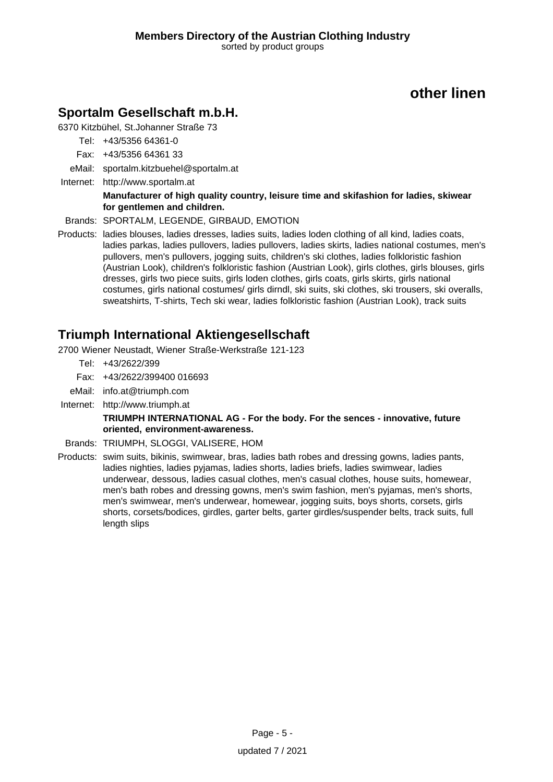### **Sportalm Gesellschaft m.b.H.**

6370 Kitzbühel, St.Johanner Straße 73

- Tel: +43/5356 64361-0
- Fax: +43/5356 64361 33
- eMail: sportalm.kitzbuehel@sportalm.at
- Internet: <http://www.sportalm.at>

#### **Manufacturer of high quality country, leisure time and skifashion for ladies, skiwear for gentlemen and children.**

- Brands: SPORTALM, LEGENDE, GIRBAUD, EMOTION
- Products: ladies blouses, ladies dresses, ladies suits, ladies loden clothing of all kind, ladies coats, ladies parkas, ladies pullovers, ladies pullovers, ladies skirts, ladies national costumes, men's pullovers, men's pullovers, jogging suits, children's ski clothes, ladies folkloristic fashion (Austrian Look), children's folkloristic fashion (Austrian Look), girls clothes, girls blouses, girls dresses, girls two piece suits, girls loden clothes, girls coats, girls skirts, girls national costumes, girls national costumes/ girls dirndl, ski suits, ski clothes, ski trousers, ski overalls, sweatshirts, T-shirts, Tech ski wear, ladies folkloristic fashion (Austrian Look), track suits

### **Triumph International Aktiengesellschaft**

- 2700 Wiener Neustadt, Wiener Straße-Werkstraße 121-123
	- Tel: +43/2622/399
	- Fax: +43/2622/399400 016693
- eMail: info.at@triumph.com
- Internet: <http://www.triumph.at>

#### **TRIUMPH INTERNATIONAL AG - For the body. For the sences - innovative, future oriented, environment-awareness.**

- Brands: TRIUMPH, SLOGGI, VALISERE, HOM
- Products: swim suits, bikinis, swimwear, bras, ladies bath robes and dressing gowns, ladies pants, ladies nighties, ladies pyjamas, ladies shorts, ladies briefs, ladies swimwear, ladies underwear, dessous, ladies casual clothes, men's casual clothes, house suits, homewear, men's bath robes and dressing gowns, men's swim fashion, men's pyjamas, men's shorts, men's swimwear, men's underwear, homewear, jogging suits, boys shorts, corsets, girls shorts, corsets/bodices, girdles, garter belts, garter girdles/suspender belts, track suits, full length slips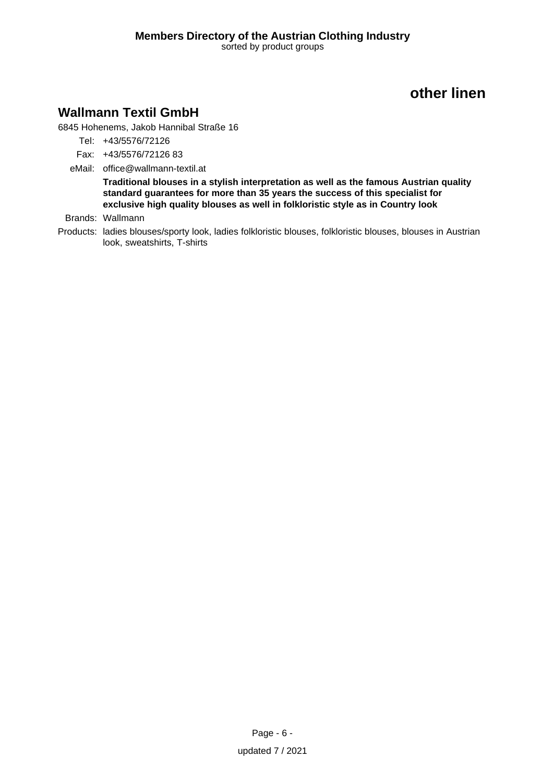### **Wallmann Textil GmbH**

6845 Hohenems, Jakob Hannibal Straße 16

- Tel: +43/5576/72126
- Fax: +43/5576/72126 83
- eMail: office@wallmann-textil.at

**Traditional blouses in a stylish interpretation as well as the famous Austrian quality standard guarantees for more than 35 years the success of this specialist for exclusive high quality blouses as well in folkloristic style as in Country look**

Brands: Wallmann

Products: ladies blouses/sporty look, ladies folkloristic blouses, folkloristic blouses, blouses in Austrian look, sweatshirts, T-shirts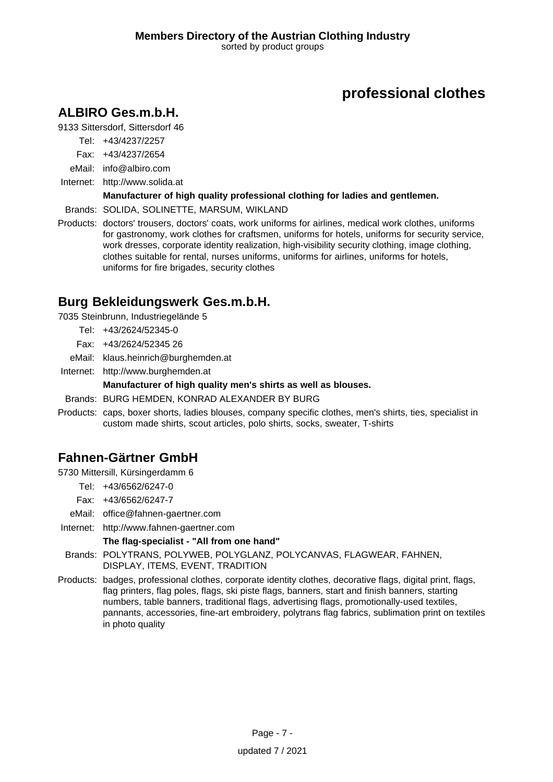# **ALBIRO Ges.m.b.H.**

9133 Sittersdorf, Sittersdorf 46

- Tel: +43/4237/2257
- Fax: +43/4237/2654
- eMail: info@albiro.com
- Internet: <http://www.solida.at>

### **Manufacturer of high quality professional clothing for ladies and gentlemen.**

Brands: SOLIDA, SOLINETTE, MARSUM, WIKLAND

Products: doctors' trousers, doctors' coats, work uniforms for airlines, medical work clothes, uniforms for gastronomy, work clothes for craftsmen, uniforms for hotels, uniforms for security service, work dresses, corporate identity realization, high-visibility security clothing, image clothing, clothes suitable for rental, nurses uniforms, uniforms for airlines, uniforms for hotels, uniforms for fire brigades, security clothes

# **Burg Bekleidungswerk Ges.m.b.H.**

7035 Steinbrunn, Industriegelände 5

- Tel: +43/2624/52345-0
- Fax: +43/2624/52345 26
- eMail: klaus.heinrich@burghemden.at
- Internet: <http://www.burghemden.at>

### **Manufacturer of high quality men's shirts as well as blouses.**

- Brands: BURG HEMDEN, KONRAD ALEXANDER BY BURG
- Products: caps, boxer shorts, ladies blouses, company specific clothes, men's shirts, ties, specialist in custom made shirts, scout articles, polo shirts, socks, sweater, T-shirts

# **Fahnen-Gärtner GmbH**

5730 Mittersill, Kürsingerdamm 6

- Tel: +43/6562/6247-0
- Fax: +43/6562/6247-7
- eMail: office@fahnen-gaertner.com
- Internet: <http://www.fahnen-gaertner.com>

### **The flag-specialist - "All from one hand"**

- Brands: POLYTRANS, POLYWEB, POLYGLANZ, POLYCANVAS, FLAGWEAR, FAHNEN, DISPLAY, ITEMS, EVENT, TRADITION
- Products: badges, professional clothes, corporate identity clothes, decorative flags, digital print, flags, flag printers, flag poles, flags, ski piste flags, banners, start and finish banners, starting numbers, table banners, traditional flags, advertising flags, promotionally-used textiles, pannants, accessories, fine-art embroidery, polytrans flag fabrics, sublimation print on textiles in photo quality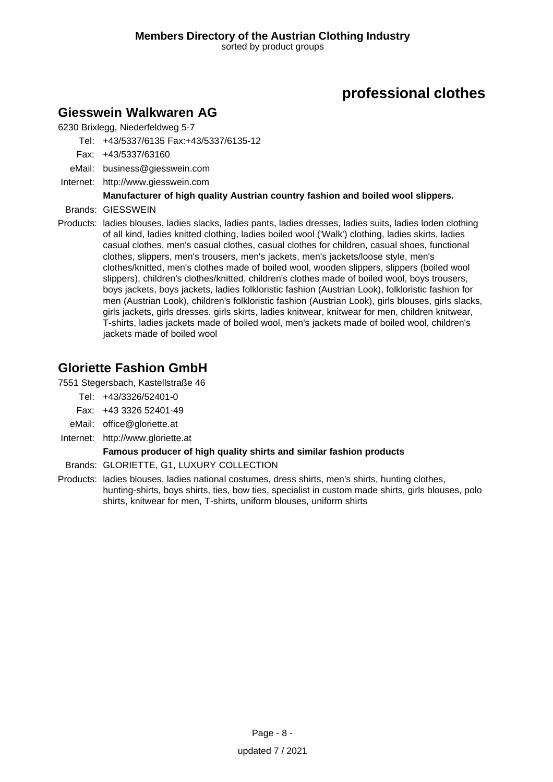### **Giesswein Walkwaren AG**

6230 Brixlegg, Niederfeldweg 5-7

Tel: +43/5337/6135 Fax:+43/5337/6135-12

- Fax: +43/5337/63160
- eMail: business@giesswein.com
- Internet: <http://www.giesswein.com>

### **Manufacturer of high quality Austrian country fashion and boiled wool slippers.**

- Brands: GIESSWEIN
- Products: ladies blouses, ladies slacks, ladies pants, ladies dresses, ladies suits, ladies loden clothing of all kind, ladies knitted clothing, ladies boiled wool ('Walk') clothing, ladies skirts, ladies casual clothes, men's casual clothes, casual clothes for children, casual shoes, functional clothes, slippers, men's trousers, men's jackets, men's jackets/loose style, men's clothes/knitted, men's clothes made of boiled wool, wooden slippers, slippers (boiled wool slippers), children's clothes/knitted, children's clothes made of boiled wool, boys trousers, boys jackets, boys jackets, ladies folkloristic fashion (Austrian Look), folkloristic fashion for men (Austrian Look), children's folkloristic fashion (Austrian Look), girls blouses, girls slacks, girls jackets, girls dresses, girls skirts, ladies knitwear, knitwear for men, children knitwear, T-shirts, ladies jackets made of boiled wool, men's jackets made of boiled wool, children's jackets made of boiled wool

# **Gloriette Fashion GmbH**

7551 Stegersbach, Kastellstraße 46

- Tel: +43/3326/52401-0
- Fax: +43 3326 52401-49
- eMail: office@gloriette.at
- Internet: <http://www.gloriette.at>

#### **Famous producer of high quality shirts and similar fashion products**

- Brands: GLORIETTE, G1, LUXURY COLLECTION
- Products: ladies blouses, ladies national costumes, dress shirts, men's shirts, hunting clothes, hunting-shirts, boys shirts, ties, bow ties, specialist in custom made shirts, girls blouses, polo shirts, knitwear for men, T-shirts, uniform blouses, uniform shirts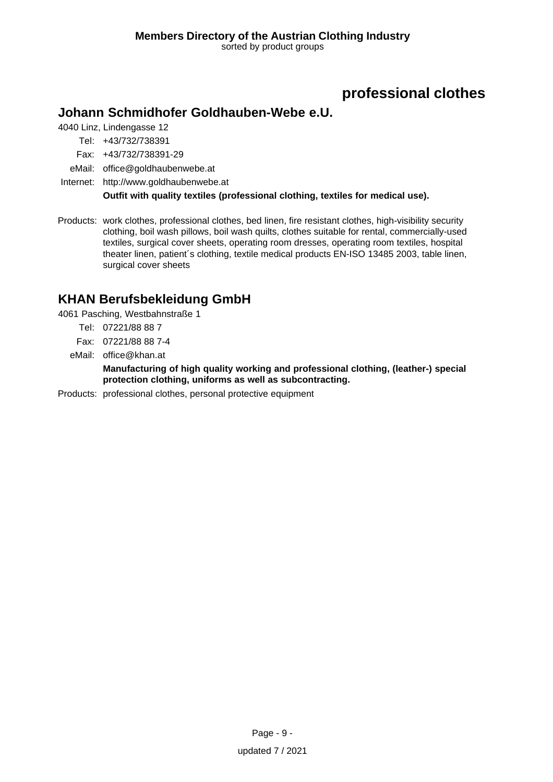### **Johann Schmidhofer Goldhauben-Webe e.U.**

4040 Linz, Lindengasse 12

Tel: +43/732/738391

Fax: +43/732/738391-29

eMail: office@goldhaubenwebe.at

Internet: <http://www.goldhaubenwebe.at>

**Outfit with quality textiles (professional clothing, textiles for medical use).**

Products: work clothes, professional clothes, bed linen, fire resistant clothes, high-visibility security clothing, boil wash pillows, boil wash quilts, clothes suitable for rental, commercially-used textiles, surgical cover sheets, operating room dresses, operating room textiles, hospital theater linen, patient´s clothing, textile medical products EN-ISO 13485 2003, table linen, surgical cover sheets

# **KHAN Berufsbekleidung GmbH**

4061 Pasching, Westbahnstraße 1

- Tel: 07221/88 88 7
- Fax: 07221/88 88 7-4
- eMail: office@khan.at

**Manufacturing of high quality working and professional clothing, (leather-) special protection clothing, uniforms as well as subcontracting.**

Products: professional clothes, personal protective equipment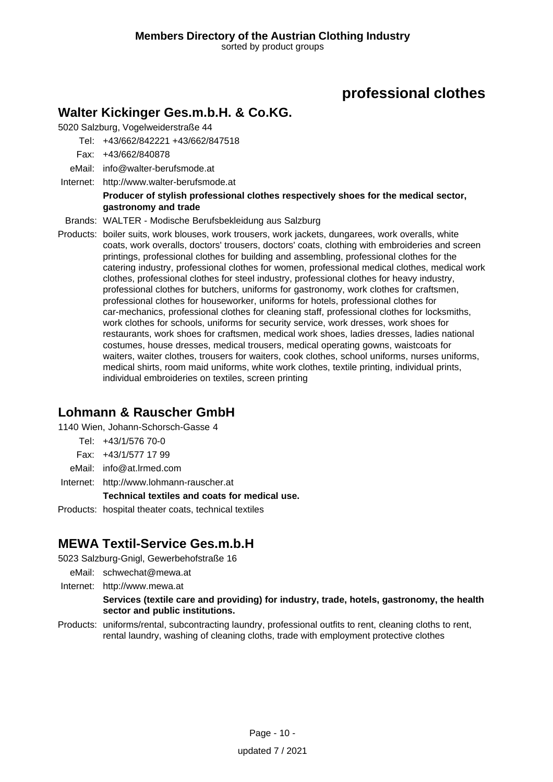### **Walter Kickinger Ges.m.b.H. & Co.KG.**

5020 Salzburg, Vogelweiderstraße 44

- Tel: +43/662/842221 +43/662/847518
- Fax: +43/662/840878
- eMail: info@walter-berufsmode.at
- Internet: <http://www.walter-berufsmode.at>

#### **Producer of stylish professional clothes respectively shoes for the medical sector, gastronomy and trade**

- Brands: WALTER Modische Berufsbekleidung aus Salzburg
- Products: boiler suits, work blouses, work trousers, work jackets, dungarees, work overalls, white coats, work overalls, doctors' trousers, doctors' coats, clothing with embroideries and screen printings, professional clothes for building and assembling, professional clothes for the catering industry, professional clothes for women, professional medical clothes, medical work clothes, professional clothes for steel industry, professional clothes for heavy industry, professional clothes for butchers, uniforms for gastronomy, work clothes for craftsmen, professional clothes for houseworker, uniforms for hotels, professional clothes for car-mechanics, professional clothes for cleaning staff, professional clothes for locksmiths, work clothes for schools, uniforms for security service, work dresses, work shoes for restaurants, work shoes for craftsmen, medical work shoes, ladies dresses, ladies national costumes, house dresses, medical trousers, medical operating gowns, waistcoats for waiters, waiter clothes, trousers for waiters, cook clothes, school uniforms, nurses uniforms, medical shirts, room maid uniforms, white work clothes, textile printing, individual prints, individual embroideries on textiles, screen printing

# **Lohmann & Rauscher GmbH**

1140 Wien, Johann-Schorsch-Gasse 4

- Tel: +43/1/576 70-0
- Fax: +43/1/577 17 99
- eMail: info@at.lrmed.com
- Internet: <http://www.lohmann-rauscher.at>

#### **Technical textiles and coats for medical use.**

Products: hospital theater coats, technical textiles

# **MEWA Textil-Service Ges.m.b.H**

5023 Salzburg-Gnigl, Gewerbehofstraße 16

- eMail: schwechat@mewa.at
- Internet: <http://www.mewa.at>

#### **Services (textile care and providing) for industry, trade, hotels, gastronomy, the health sector and public institutions.**

Products: uniforms/rental, subcontracting laundry, professional outfits to rent, cleaning cloths to rent, rental laundry, washing of cleaning cloths, trade with employment protective clothes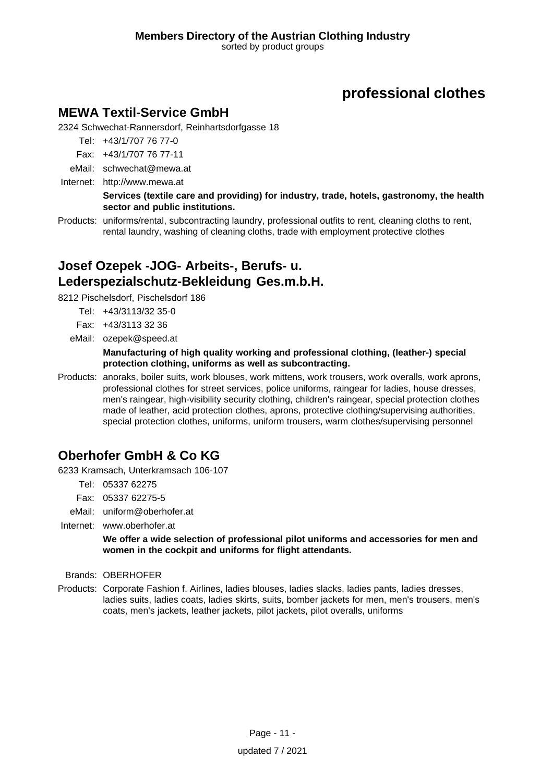### **MEWA Textil-Service GmbH**

2324 Schwechat-Rannersdorf, Reinhartsdorfgasse 18

- Tel: +43/1/707 76 77-0
- Fax: +43/1/707 76 77-11
- eMail: schwechat@mewa.at
- Internet: <http://www.mewa.at>

**Services (textile care and providing) for industry, trade, hotels, gastronomy, the health sector and public institutions.**

Products: uniforms/rental, subcontracting laundry, professional outfits to rent, cleaning cloths to rent, rental laundry, washing of cleaning cloths, trade with employment protective clothes

### **Josef Ozepek -JOG- Arbeits-, Berufs- u. Lederspezialschutz-Bekleidung Ges.m.b.H.**

8212 Pischelsdorf, Pischelsdorf 186

- Tel: +43/3113/32 35-0
- Fax: +43/3113 32 36
- eMail: ozepek@speed.at

#### **Manufacturing of high quality working and professional clothing, (leather-) special protection clothing, uniforms as well as subcontracting.**

Products: anoraks, boiler suits, work blouses, work mittens, work trousers, work overalls, work aprons, professional clothes for street services, police uniforms, raingear for ladies, house dresses, men's raingear, high-visibility security clothing, children's raingear, special protection clothes made of leather, acid protection clothes, aprons, protective clothing/supervising authorities, special protection clothes, uniforms, uniform trousers, warm clothes/supervising personnel

# **Oberhofer GmbH & Co KG**

6233 Kramsach, Unterkramsach 106-107

Tel: 05337 62275

Fax: 05337 62275-5

eMail: uniform@oberhofer.at

Internet: www.oberhofer.at

#### **We offer a wide selection of professional pilot uniforms and accessories for men and women in the cockpit and uniforms for flight attendants.**

Brands: OBERHOFER

Products: Corporate Fashion f. Airlines, ladies blouses, ladies slacks, ladies pants, ladies dresses, ladies suits, ladies coats, ladies skirts, suits, bomber jackets for men, men's trousers, men's coats, men's jackets, leather jackets, pilot jackets, pilot overalls, uniforms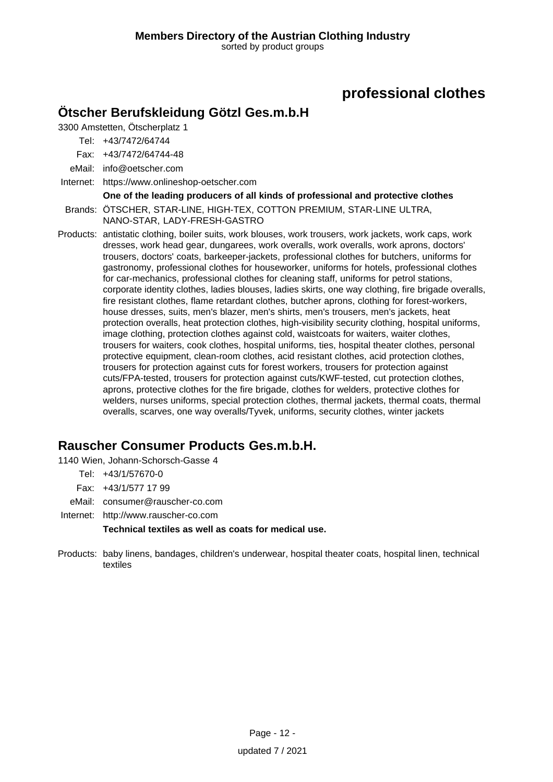### **Ötscher Berufskleidung Götzl Ges.m.b.H**

3300 Amstetten, Ötscherplatz 1

Tel: +43/7472/64744

Fax: +43/7472/64744-48

eMail: info@oetscher.com

Internet: https://www.onlineshop-oetscher.com

**One of the leading producers of all kinds of professional and protective clothes**

Brands: ÖTSCHER, STAR-LINE, HIGH-TEX, COTTON PREMIUM, STAR-LINE ULTRA, NANO-STAR, LADY-FRESH-GASTRO

Products: antistatic clothing, boiler suits, work blouses, work trousers, work jackets, work caps, work dresses, work head gear, dungarees, work overalls, work overalls, work aprons, doctors' trousers, doctors' coats, barkeeper-jackets, professional clothes for butchers, uniforms for gastronomy, professional clothes for houseworker, uniforms for hotels, professional clothes for car-mechanics, professional clothes for cleaning staff, uniforms for petrol stations, corporate identity clothes, ladies blouses, ladies skirts, one way clothing, fire brigade overalls, fire resistant clothes, flame retardant clothes, butcher aprons, clothing for forest-workers, house dresses, suits, men's blazer, men's shirts, men's trousers, men's jackets, heat protection overalls, heat protection clothes, high-visibility security clothing, hospital uniforms, image clothing, protection clothes against cold, waistcoats for waiters, waiter clothes, trousers for waiters, cook clothes, hospital uniforms, ties, hospital theater clothes, personal protective equipment, clean-room clothes, acid resistant clothes, acid protection clothes, trousers for protection against cuts for forest workers, trousers for protection against cuts/FPA-tested, trousers for protection against cuts/KWF-tested, cut protection clothes, aprons, protective clothes for the fire brigade, clothes for welders, protective clothes for welders, nurses uniforms, special protection clothes, thermal jackets, thermal coats, thermal overalls, scarves, one way overalls/Tyvek, uniforms, security clothes, winter jackets

# **Rauscher Consumer Products Ges.m.b.H.**

1140 Wien, Johann-Schorsch-Gasse 4

- Tel: +43/1/57670-0
- Fax: +43/1/577 17 99
- eMail: consumer@rauscher-co.com

Internet: <http://www.rauscher-co.com>

**Technical textiles as well as coats for medical use.**

Products: baby linens, bandages, children's underwear, hospital theater coats, hospital linen, technical textiles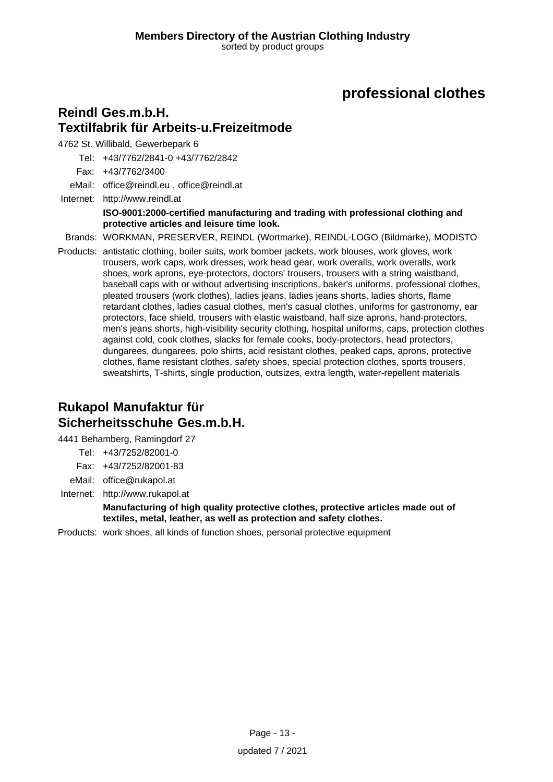### **Reindl Ges.m.b.H. Textilfabrik für Arbeits-u.Freizeitmode**

4762 St. Willibald, Gewerbepark 6

Tel: +43/7762/2841-0 +43/7762/2842

Fax: +43/7762/3400

eMail: office@reindl.eu , office@reindl.at

Internet: <http://www.reindl.at> **ISO-9001:2000-certified manufacturing and trading with professional clothing and protective articles and leisure time look.**

Brands: WORKMAN, PRESERVER, REINDL (Wortmarke), REINDL-LOGO (Bildmarke), MODISTO

Products: antistatic clothing, boiler suits, work bomber jackets, work blouses, work gloves, work trousers, work caps, work dresses, work head gear, work overalls, work overalls, work shoes, work aprons, eye-protectors, doctors' trousers, trousers with a string waistband, baseball caps with or without advertising inscriptions, baker's uniforms, professional clothes, pleated trousers (work clothes), ladies jeans, ladies jeans shorts, ladies shorts, flame retardant clothes, ladies casual clothes, men's casual clothes, uniforms for gastronomy, ear protectors, face shield, trousers with elastic waistband, half size aprons, hand-protectors, men's jeans shorts, high-visibility security clothing, hospital uniforms, caps, protection clothes against cold, cook clothes, slacks for female cooks, body-protectors, head protectors, dungarees, dungarees, polo shirts, acid resistant clothes, peaked caps, aprons, protective clothes, flame resistant clothes, safety shoes, special protection clothes, sports trousers, sweatshirts, T-shirts, single production, outsizes, extra length, water-repellent materials

### **Rukapol Manufaktur für Sicherheitsschuhe Ges.m.b.H.**

4441 Behamberg, Ramingdorf 27

Tel: +43/7252/82001-0

- Fax: +43/7252/82001-83
- eMail: office@rukapol.at
- Internet: <http://www.rukapol.at>

**Manufacturing of high quality protective clothes, protective articles made out of textiles, metal, leather, as well as protection and safety clothes.**

Products: work shoes, all kinds of function shoes, personal protective equipment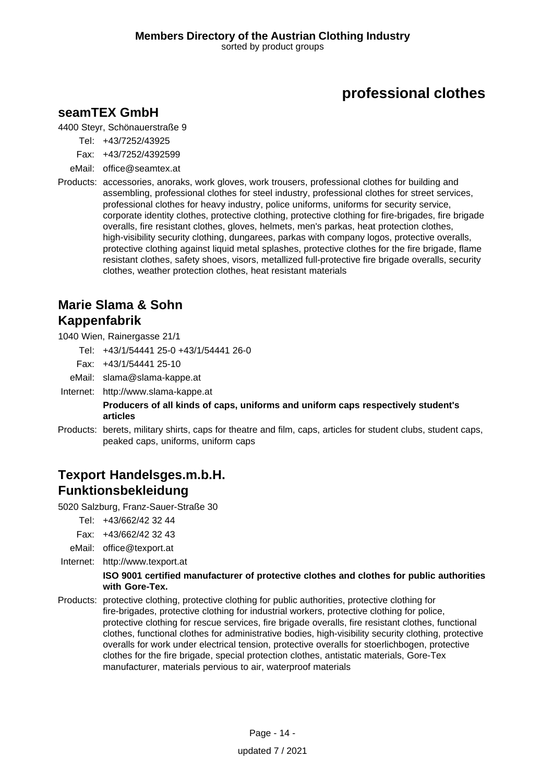### **seamTEX GmbH**

4400 Steyr, Schönauerstraße 9

- Tel: +43/7252/43925
- Fax: +43/7252/4392599
- eMail: office@seamtex.at
- Products: accessories, anoraks, work gloves, work trousers, professional clothes for building and assembling, professional clothes for steel industry, professional clothes for street services, professional clothes for heavy industry, police uniforms, uniforms for security service, corporate identity clothes, protective clothing, protective clothing for fire-brigades, fire brigade overalls, fire resistant clothes, gloves, helmets, men's parkas, heat protection clothes, high-visibility security clothing, dungarees, parkas with company logos, protective overalls, protective clothing against liquid metal splashes, protective clothes for the fire brigade, flame resistant clothes, safety shoes, visors, metallized full-protective fire brigade overalls, security clothes, weather protection clothes, heat resistant materials

### **Marie Slama & Sohn Kappenfabrik**

1040 Wien, Rainergasse 21/1

- Tel: +43/1/54441 25-0 +43/1/54441 26-0
- Fax: +43/1/54441 25-10
- eMail: slama@slama-kappe.at
- Internet: <http://www.slama-kappe.at>

#### **Producers of all kinds of caps, uniforms and uniform caps respectively student's articles**

Products: berets, military shirts, caps for theatre and film, caps, articles for student clubs, student caps, peaked caps, uniforms, uniform caps

### **Texport Handelsges.m.b.H. Funktionsbekleidung**

5020 Salzburg, Franz-Sauer-Straße 30

- Tel: +43/662/42 32 44
- Fax: +43/662/42 32 43
- eMail: office@texport.at
- Internet: <http://www.texport.at>

#### **ISO 9001 certified manufacturer of protective clothes and clothes for public authorities with Gore-Tex.**

Products: protective clothing, protective clothing for public authorities, protective clothing for fire-brigades, protective clothing for industrial workers, protective clothing for police, protective clothing for rescue services, fire brigade overalls, fire resistant clothes, functional clothes, functional clothes for administrative bodies, high-visibility security clothing, protective overalls for work under electrical tension, protective overalls for stoerlichbogen, protective clothes for the fire brigade, special protection clothes, antistatic materials, Gore-Tex manufacturer, materials pervious to air, waterproof materials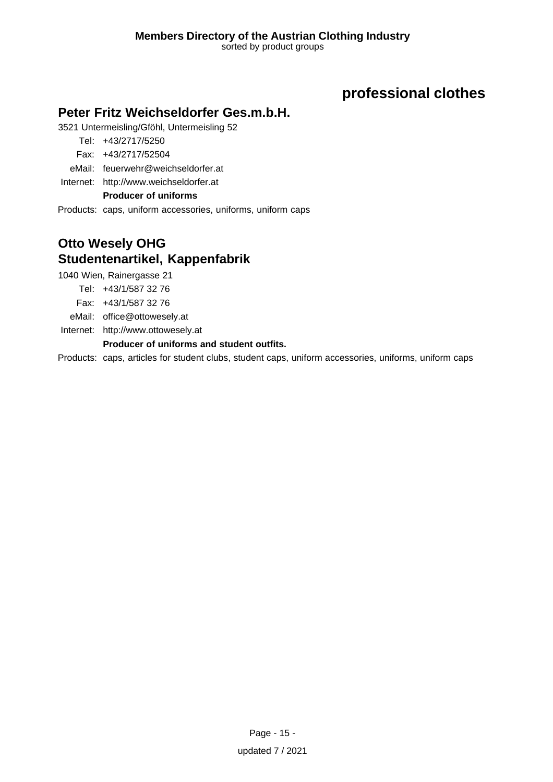### **Peter Fritz Weichseldorfer Ges.m.b.H.**

3521 Untermeisling/Gföhl, Untermeisling 52

Tel: +43/2717/5250

- Fax: +43/2717/52504
- eMail: feuerwehr@weichseldorfer.at

Internet: <http://www.weichseldorfer.at>

### **Producer of uniforms**

Products: caps, uniform accessories, uniforms, uniform caps

# **Otto Wesely OHG Studentenartikel, Kappenfabrik**

1040 Wien, Rainergasse 21

Tel: +43/1/587 32 76

Fax: +43/1/587 32 76

eMail: office@ottowesely.at

Internet: <http://www.ottowesely.at>

#### **Producer of uniforms and student outfits.**

Products: caps, articles for student clubs, student caps, uniform accessories, uniforms, uniform caps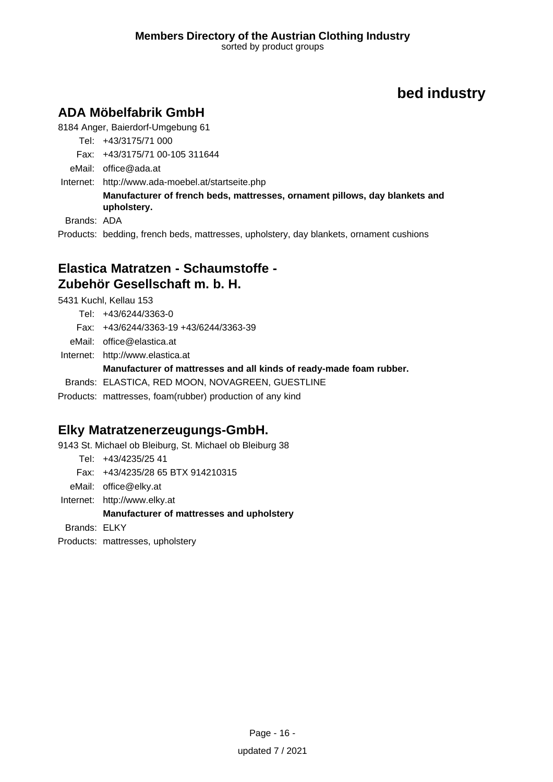# **ADA Möbelfabrik GmbH**

8184 Anger, Baierdorf-Umgebung 61

Tel: +43/3175/71 000

Fax: +43/3175/71 00-105 311644

eMail: office@ada.at

Internet: <http://www.ada-moebel.at/startseite.php>

**Manufacturer of french beds, mattresses, ornament pillows, day blankets and upholstery.**

Brands: ADA

Products: bedding, french beds, mattresses, upholstery, day blankets, ornament cushions

### **Elastica Matratzen - Schaumstoffe - Zubehör Gesellschaft m. b. H.**

5431 Kuchl, Kellau 153

Tel: +43/6244/3363-0

Fax: +43/6244/3363-19 +43/6244/3363-39

eMail: office@elastica.at

Internet: <http://www.elastica.at>

### **Manufacturer of mattresses and all kinds of ready-made foam rubber.**

Brands: ELASTICA, RED MOON, NOVAGREEN, GUESTLINE

Products: mattresses, foam(rubber) production of any kind

# **Elky Matratzenerzeugungs-GmbH.**

9143 St. Michael ob Bleiburg, St. Michael ob Bleiburg 38

Tel: +43/4235/25 41

Fax: +43/4235/28 65 BTX 914210315

eMail: office@elky.at

Internet: <http://www.elky.at>

### **Manufacturer of mattresses and upholstery**

Brands: ELKY

Products: mattresses, upholstery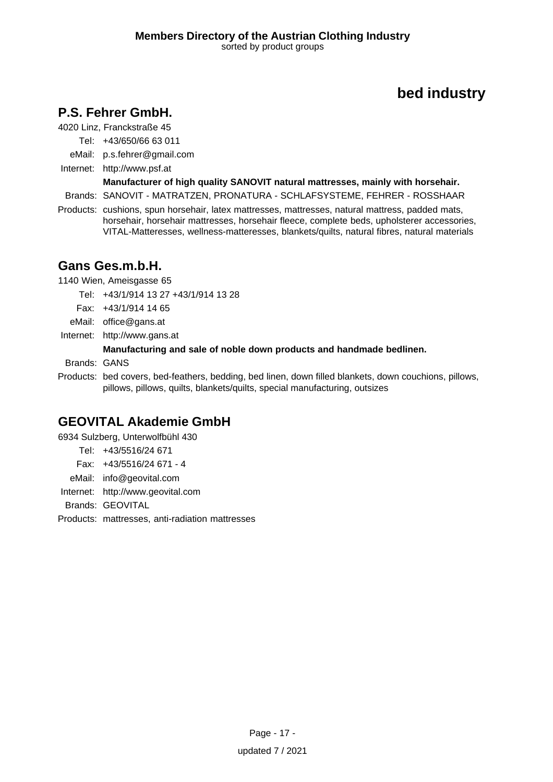# **P.S. Fehrer GmbH.**

4020 Linz, Franckstraße 45

Tel: +43/650/66 63 011

eMail: p.s.fehrer@gmail.com

Internet: <http://www.psf.at>

**Manufacturer of high quality SANOVIT natural mattresses, mainly with horsehair.**

Brands: SANOVIT - MATRATZEN, PRONATURA - SCHLAFSYSTEME, FEHRER - ROSSHAAR

Products: cushions, spun horsehair, latex mattresses, mattresses, natural mattress, padded mats, horsehair, horsehair mattresses, horsehair fleece, complete beds, upholsterer accessories, VITAL-Matteresses, wellness-matteresses, blankets/quilts, natural fibres, natural materials

# **Gans Ges.m.b.H.**

1140 Wien, Ameisgasse 65

Tel: +43/1/914 13 27 +43/1/914 13 28

Fax: +43/1/914 14 65

eMail: office@gans.at

Internet: <http://www.gans.at>

### **Manufacturing and sale of noble down products and handmade bedlinen.**

Brands: GANS

Products: bed covers, bed-feathers, bedding, bed linen, down filled blankets, down couchions, pillows, pillows, pillows, quilts, blankets/quilts, special manufacturing, outsizes

# **GEOVITAL Akademie GmbH**

6934 Sulzberg, Unterwolfbühl 430

Tel: +43/5516/24 671 Fax: +43/5516/24 671 - 4

eMail: info@geovital.com

Internet: <http://www.geovital.com>

Brands: GEOVITAL

Products: mattresses, anti-radiation mattresses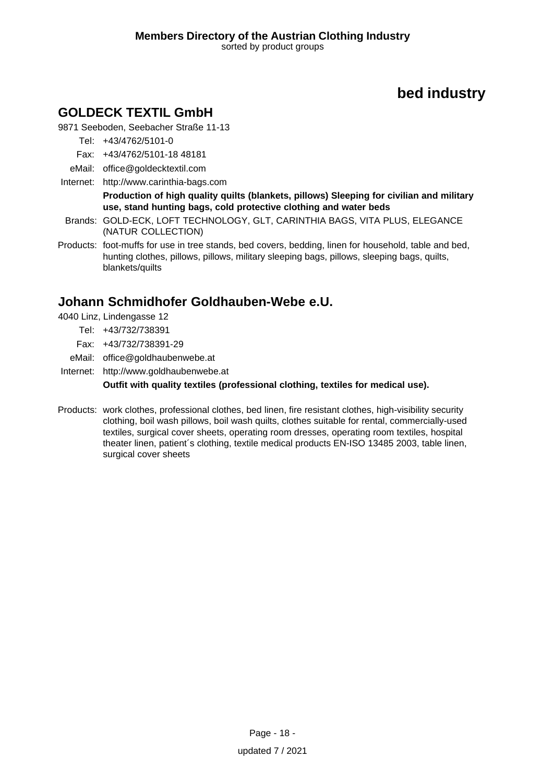# **GOLDECK TEXTIL GmbH**

9871 Seeboden, Seebacher Straße 11-13

Tel: +43/4762/5101-0

- Fax: +43/4762/5101-18 48181
- eMail: office@goldecktextil.com
- Internet: <http://www.carinthia-bags.com> **Production of high quality quilts (blankets, pillows) Sleeping for civilian and military use, stand hunting bags, cold protective clothing and water beds**
- Brands: GOLD-ECK, LOFT TECHNOLOGY, GLT, CARINTHIA BAGS, VITA PLUS, ELEGANCE (NATUR COLLECTION)
- Products: foot-muffs for use in tree stands, bed covers, bedding, linen for household, table and bed, hunting clothes, pillows, pillows, military sleeping bags, pillows, sleeping bags, quilts, blankets/quilts

# **Johann Schmidhofer Goldhauben-Webe e.U.**

- 4040 Linz, Lindengasse 12
	- Tel: +43/732/738391
	- Fax: +43/732/738391-29
- eMail: office@goldhaubenwebe.at
- Internet: <http://www.goldhaubenwebe.at>

**Outfit with quality textiles (professional clothing, textiles for medical use).**

Products: work clothes, professional clothes, bed linen, fire resistant clothes, high-visibility security clothing, boil wash pillows, boil wash quilts, clothes suitable for rental, commercially-used textiles, surgical cover sheets, operating room dresses, operating room textiles, hospital theater linen, patient´s clothing, textile medical products EN-ISO 13485 2003, table linen, surgical cover sheets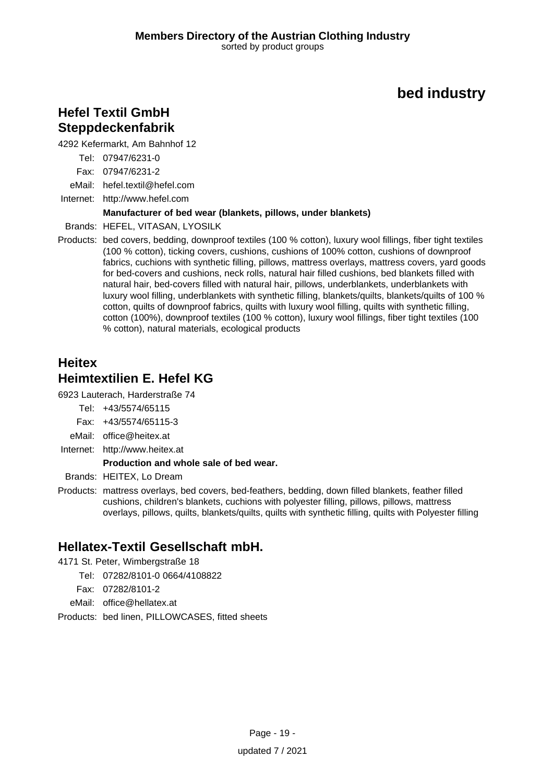### **Hefel Textil GmbH Steppdeckenfabrik**

4292 Kefermarkt, Am Bahnhof 12

Tel: 07947/6231-0

Fax: 07947/6231-2

eMail: hefel.textil@hefel.com

Internet: <http://www.hefel.com>

#### **Manufacturer of bed wear (blankets, pillows, under blankets)**

Brands: HEFEL, VITASAN, LYOSILK

Products: bed covers, bedding, downproof textiles (100 % cotton), luxury wool fillings, fiber tight textiles (100 % cotton), ticking covers, cushions, cushions of 100% cotton, cushions of downproof fabrics, cuchions with synthetic filling, pillows, mattress overlays, mattress covers, yard goods for bed-covers and cushions, neck rolls, natural hair filled cushions, bed blankets filled with natural hair, bed-covers filled with natural hair, pillows, underblankets, underblankets with luxury wool filling, underblankets with synthetic filling, blankets/quilts, blankets/quilts of 100 % cotton, quilts of downproof fabrics, quilts with luxury wool filling, quilts with synthetic filling, cotton (100%), downproof textiles (100 % cotton), luxury wool fillings, fiber tight textiles (100 % cotton), natural materials, ecological products

# **Heitex Heimtextilien E. Hefel KG**

6923 Lauterach, Harderstraße 74

- Tel: +43/5574/65115
- Fax: +43/5574/65115-3
- eMail: office@heitex.at
- Internet: <http://www.heitex.at>

#### **Production and whole sale of bed wear.**

Brands: HEITEX, Lo Dream

Products: mattress overlays, bed covers, bed-feathers, bedding, down filled blankets, feather filled cushions, children's blankets, cuchions with polyester filling, pillows, pillows, mattress overlays, pillows, quilts, blankets/quilts, quilts with synthetic filling, quilts with Polyester filling

# **Hellatex-Textil Gesellschaft mbH.**

- 4171 St. Peter, Wimbergstraße 18
	- Tel: 07282/8101-0 0664/4108822
	- Fax: 07282/8101-2
	- eMail: office@hellatex.at

Products: bed linen, PILLOWCASES, fitted sheets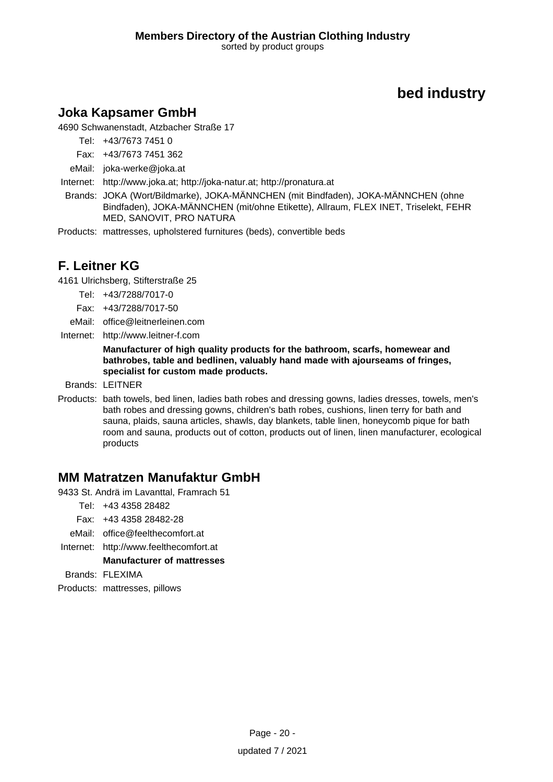# **Joka Kapsamer GmbH**

4690 Schwanenstadt, Atzbacher Straße 17

Tel: +43/7673 7451 0

Fax: +43/7673 7451 362

eMail: joka-werke@joka.at

Internet: <http://www.joka.at; http://joka-natur.at; http://pronatura.at>

Brands: JOKA (Wort/Bildmarke), JOKA-MÄNNCHEN (mit Bindfaden), JOKA-MÄNNCHEN (ohne Bindfaden), JOKA-MÄNNCHEN (mit/ohne Etikette), Allraum, FLEX INET, Triselekt, FEHR MED, SANOVIT, PRO NATURA

Products: mattresses, upholstered furnitures (beds), convertible beds

# **F. Leitner KG**

4161 Ulrichsberg, Stifterstraße 25

- Tel: +43/7288/7017-0
- Fax: +43/7288/7017-50

eMail: office@leitnerleinen.com

Internet: <http://www.leitner-f.com>

**Manufacturer of high quality products for the bathroom, scarfs, homewear and bathrobes, table and bedlinen, valuably hand made with ajourseams of fringes, specialist for custom made products.**

Brands: LEITNER

Products: bath towels, bed linen, ladies bath robes and dressing gowns, ladies dresses, towels, men's bath robes and dressing gowns, children's bath robes, cushions, linen terry for bath and sauna, plaids, sauna articles, shawls, day blankets, table linen, honeycomb pique for bath room and sauna, products out of cotton, products out of linen, linen manufacturer, ecological products

### **MM Matratzen Manufaktur GmbH**

9433 St. Andrä im Lavanttal, Framrach 51

- Tel: +43 4358 28482
- Fax: +43 4358 28482-28
- eMail: office@feelthecomfort.at
- Internet: <http://www.feelthecomfort.at>

**Manufacturer of mattresses**

Brands: FLEXIMA

Products: mattresses, pillows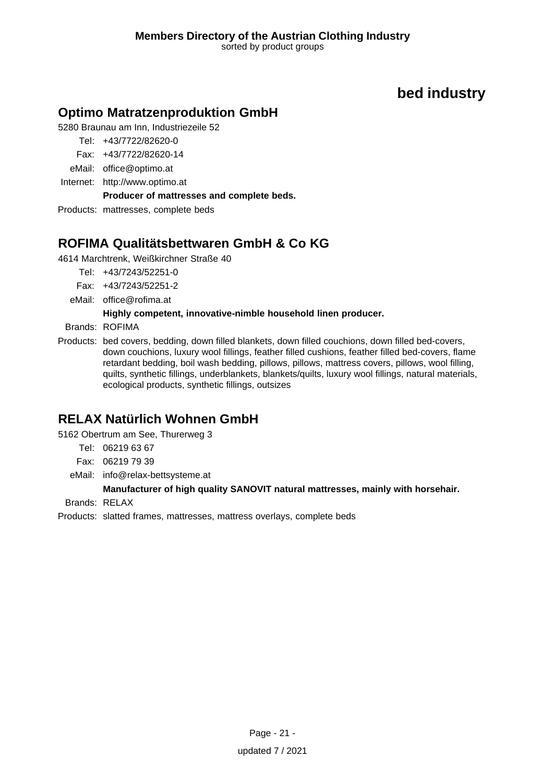# **Optimo Matratzenproduktion GmbH**

5280 Braunau am Inn, Industriezeile 52

- Tel: +43/7722/82620-0
- Fax: +43/7722/82620-14
- eMail: office@optimo.at
- Internet: <http://www.optimo.at>

### **Producer of mattresses and complete beds.**

Products: mattresses, complete beds

# **ROFIMA Qualitätsbettwaren GmbH & Co KG**

4614 Marchtrenk, Weißkirchner Straße 40

- Tel: +43/7243/52251-0
- Fax: +43/7243/52251-2
- eMail: office@rofima.at

### **Highly competent, innovative-nimble household linen producer.**

Brands: ROFIMA

Products: bed covers, bedding, down filled blankets, down filled couchions, down filled bed-covers, down couchions, luxury wool fillings, feather filled cushions, feather filled bed-covers, flame retardant bedding, boil wash bedding, pillows, pillows, mattress covers, pillows, wool filling, quilts, synthetic fillings, underblankets, blankets/quilts, luxury wool fillings, natural materials, ecological products, synthetic fillings, outsizes

# **RELAX Natürlich Wohnen GmbH**

5162 Obertrum am See, Thurerweg 3

- Tel: 06219 63 67
- Fax: 06219 79 39
- eMail: info@relax-bettsysteme.at

### **Manufacturer of high quality SANOVIT natural mattresses, mainly with horsehair.**

Brands: RELAX

Products: slatted frames, mattresses, mattress overlays, complete beds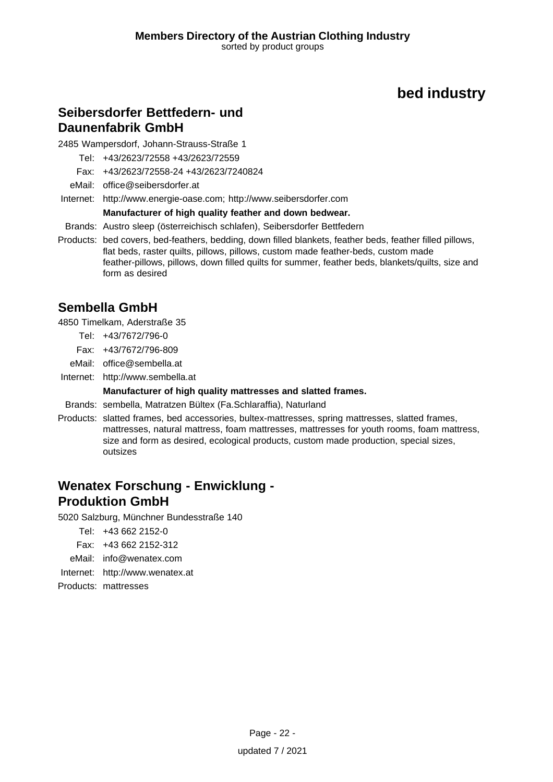### **Seibersdorfer Bettfedern- und Daunenfabrik GmbH**

2485 Wampersdorf, Johann-Strauss-Straße 1

Tel: +43/2623/72558 +43/2623/72559

Fax: +43/2623/72558-24 +43/2623/7240824

eMail: office@seibersdorfer.at

Internet: <http://www.energie-oase.com; http://www.seibersdorfer.com>

#### **Manufacturer of high quality feather and down bedwear.**

Brands: Austro sleep (österreichisch schlafen), Seibersdorfer Bettfedern

Products: bed covers, bed-feathers, bedding, down filled blankets, feather beds, feather filled pillows, flat beds, raster quilts, pillows, pillows, custom made feather-beds, custom made feather-pillows, pillows, down filled quilts for summer, feather beds, blankets/quilts, size and form as desired

# **Sembella GmbH**

4850 Timelkam, Aderstraße 35

- Tel: +43/7672/796-0
- Fax: +43/7672/796-809
- eMail: office@sembella.at

Internet: <http://www.sembella.at>

#### **Manufacturer of high quality mattresses and slatted frames.**

Brands: sembella, Matratzen Bültex (Fa.Schlaraffia), Naturland

Products: slatted frames, bed accessories, bultex-mattresses, spring mattresses, slatted frames, mattresses, natural mattress, foam mattresses, mattresses for youth rooms, foam mattress, size and form as desired, ecological products, custom made production, special sizes, outsizes

### **Wenatex Forschung - Enwicklung - Produktion GmbH**

5020 Salzburg, Münchner Bundesstraße 140

Tel: +43 662 2152-0

- Fax: +43 662 2152-312
- eMail: info@wenatex.com
- Internet: <http://www.wenatex.at>

Products: mattresses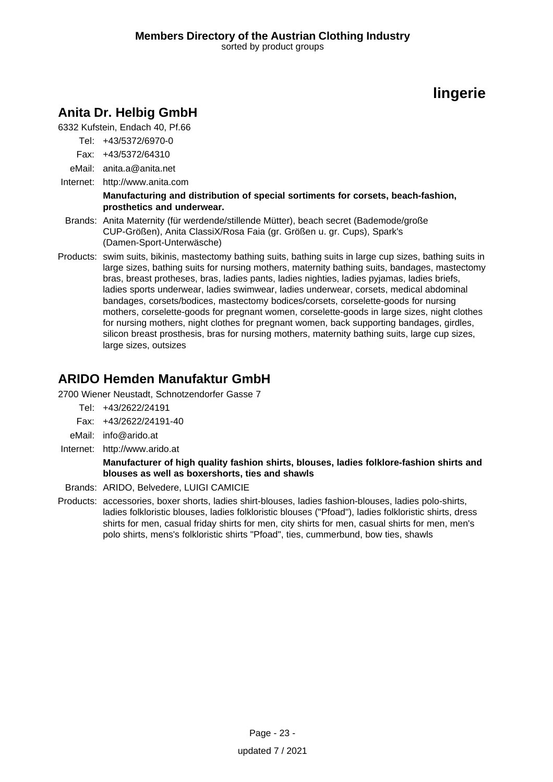# **Anita Dr. Helbig GmbH**

6332 Kufstein, Endach 40, Pf.66

- Tel: +43/5372/6970-0
- Fax: +43/5372/64310
- eMail: anita.a@anita.net
- Internet: <http://www.anita.com>

#### **Manufacturing and distribution of special sortiments for corsets, beach-fashion, prosthetics and underwear.**

- Brands: Anita Maternity (für werdende/stillende Mütter), beach secret (Bademode/große CUP-Größen), Anita ClassiX/Rosa Faia (gr. Größen u. gr. Cups), Spark's (Damen-Sport-Unterwäsche)
- Products: swim suits, bikinis, mastectomy bathing suits, bathing suits in large cup sizes, bathing suits in large sizes, bathing suits for nursing mothers, maternity bathing suits, bandages, mastectomy bras, breast protheses, bras, ladies pants, ladies nighties, ladies pyjamas, ladies briefs, ladies sports underwear, ladies swimwear, ladies underwear, corsets, medical abdominal bandages, corsets/bodices, mastectomy bodices/corsets, corselette-goods for nursing mothers, corselette-goods for pregnant women, corselette-goods in large sizes, night clothes for nursing mothers, night clothes for pregnant women, back supporting bandages, girdles, silicon breast prosthesis, bras for nursing mothers, maternity bathing suits, large cup sizes, large sizes, outsizes

# **ARIDO Hemden Manufaktur GmbH**

2700 Wiener Neustadt, Schnotzendorfer Gasse 7

- Tel: +43/2622/24191
- Fax: +43/2622/24191-40
- eMail: info@arido.at
- Internet: <http://www.arido.at>

#### **Manufacturer of high quality fashion shirts, blouses, ladies folklore-fashion shirts and blouses as well as boxershorts, ties and shawls**

Brands: ARIDO, Belvedere, LUIGI CAMICIE

Products: accessories, boxer shorts, ladies shirt-blouses, ladies fashion-blouses, ladies polo-shirts, ladies folkloristic blouses, ladies folkloristic blouses ("Pfoad"), ladies folkloristic shirts, dress shirts for men, casual friday shirts for men, city shirts for men, casual shirts for men, men's polo shirts, mens's folkloristic shirts "Pfoad", ties, cummerbund, bow ties, shawls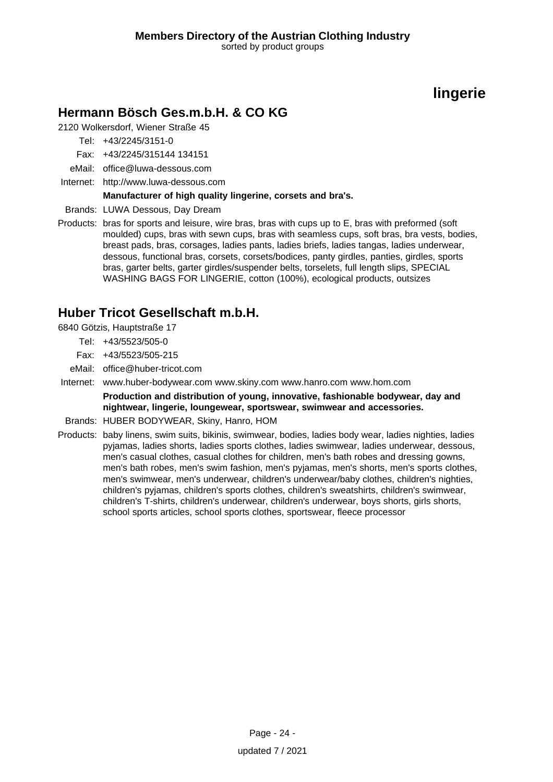# **Hermann Bösch Ges.m.b.H. & CO KG**

2120 Wolkersdorf, Wiener Straße 45

Tel: +43/2245/3151-0

Fax: +43/2245/315144 134151

- eMail: office@luwa-dessous.com
- Internet: <http://www.luwa-dessous.com>

#### **Manufacturer of high quality lingerine, corsets and bra's.**

Brands: LUWA Dessous, Day Dream

Products: bras for sports and leisure, wire bras, bras with cups up to E, bras with preformed (soft moulded) cups, bras with sewn cups, bras with seamless cups, soft bras, bra vests, bodies, breast pads, bras, corsages, ladies pants, ladies briefs, ladies tangas, ladies underwear, dessous, functional bras, corsets, corsets/bodices, panty girdles, panties, girdles, sports bras, garter belts, garter girdles/suspender belts, torselets, full length slips, SPECIAL WASHING BAGS FOR LINGERIE, cotton (100%), ecological products, outsizes

# **Huber Tricot Gesellschaft m.b.H.**

6840 Götzis, Hauptstraße 17

- Tel: +43/5523/505-0
- Fax: +43/5523/505-215
- eMail: office@huber-tricot.com
- Internet: www.huber-bodywear.com www.skiny.com www.hanro.com www.hom.com **Production and distribution of young, innovative, fashionable bodywear, day and nightwear, lingerie, loungewear, sportswear, swimwear and accessories.**
- Brands: HUBER BODYWEAR, Skiny, Hanro, HOM
- Products: baby linens, swim suits, bikinis, swimwear, bodies, ladies body wear, ladies nighties, ladies pyjamas, ladies shorts, ladies sports clothes, ladies swimwear, ladies underwear, dessous, men's casual clothes, casual clothes for children, men's bath robes and dressing gowns, men's bath robes, men's swim fashion, men's pyjamas, men's shorts, men's sports clothes, men's swimwear, men's underwear, children's underwear/baby clothes, children's nighties, children's pyjamas, children's sports clothes, children's sweatshirts, children's swimwear, children's T-shirts, children's underwear, children's underwear, boys shorts, girls shorts, school sports articles, school sports clothes, sportswear, fleece processor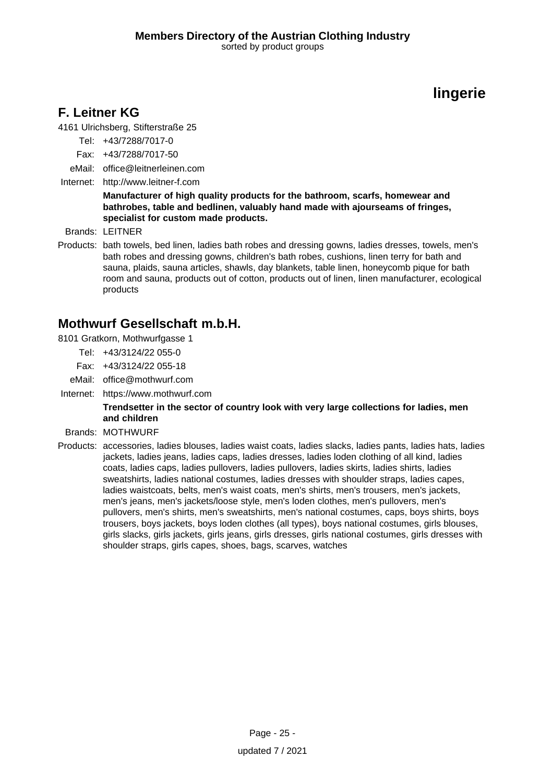# **F. Leitner KG**

4161 Ulrichsberg, Stifterstraße 25

- Tel: +43/7288/7017-0
- Fax: +43/7288/7017-50
- eMail: office@leitnerleinen.com
- Internet: <http://www.leitner-f.com>

#### **Manufacturer of high quality products for the bathroom, scarfs, homewear and bathrobes, table and bedlinen, valuably hand made with ajourseams of fringes, specialist for custom made products.**

Brands: LEITNER

Products: bath towels, bed linen, ladies bath robes and dressing gowns, ladies dresses, towels, men's bath robes and dressing gowns, children's bath robes, cushions, linen terry for bath and sauna, plaids, sauna articles, shawls, day blankets, table linen, honeycomb pique for bath room and sauna, products out of cotton, products out of linen, linen manufacturer, ecological products

### **Mothwurf Gesellschaft m.b.H.**

- 8101 Gratkorn, Mothwurfgasse 1
	- Tel: +43/3124/22 055-0
	- Fax: +43/3124/22 055-18
	- eMail: office@mothwurf.com
- Internet: https://www.mothwurf.com

#### **Trendsetter in the sector of country look with very large collections for ladies, men and children**

- Brands: MOTHWURF
- Products: accessories, ladies blouses, ladies waist coats, ladies slacks, ladies pants, ladies hats, ladies jackets, ladies jeans, ladies caps, ladies dresses, ladies loden clothing of all kind, ladies coats, ladies caps, ladies pullovers, ladies pullovers, ladies skirts, ladies shirts, ladies sweatshirts, ladies national costumes, ladies dresses with shoulder straps, ladies capes, ladies waistcoats, belts, men's waist coats, men's shirts, men's trousers, men's jackets, men's jeans, men's jackets/loose style, men's loden clothes, men's pullovers, men's pullovers, men's shirts, men's sweatshirts, men's national costumes, caps, boys shirts, boys trousers, boys jackets, boys loden clothes (all types), boys national costumes, girls blouses, girls slacks, girls jackets, girls jeans, girls dresses, girls national costumes, girls dresses with shoulder straps, girls capes, shoes, bags, scarves, watches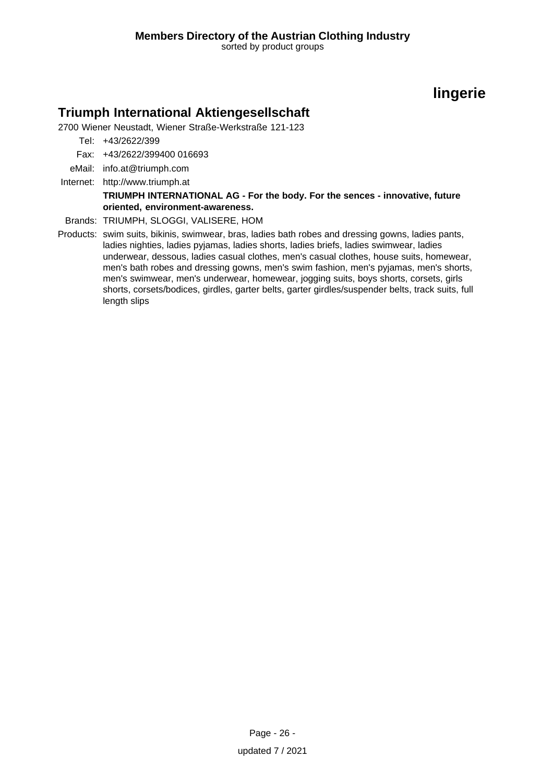### **Triumph International Aktiengesellschaft**

2700 Wiener Neustadt, Wiener Straße-Werkstraße 121-123

Tel: +43/2622/399

Fax: +43/2622/399400 016693

- eMail: info.at@triumph.com
- Internet: <http://www.triumph.at>

#### **TRIUMPH INTERNATIONAL AG - For the body. For the sences - innovative, future oriented, environment-awareness.**

Brands: TRIUMPH, SLOGGI, VALISERE, HOM

Products: swim suits, bikinis, swimwear, bras, ladies bath robes and dressing gowns, ladies pants, ladies nighties, ladies pyjamas, ladies shorts, ladies briefs, ladies swimwear, ladies underwear, dessous, ladies casual clothes, men's casual clothes, house suits, homewear, men's bath robes and dressing gowns, men's swim fashion, men's pyjamas, men's shorts, men's swimwear, men's underwear, homewear, jogging suits, boys shorts, corsets, girls shorts, corsets/bodices, girdles, garter belts, garter girdles/suspender belts, track suits, full length slips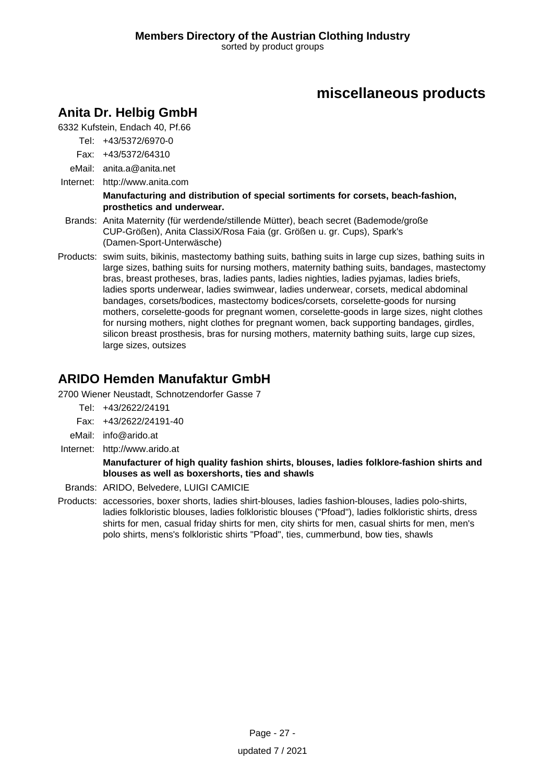# **Anita Dr. Helbig GmbH**

6332 Kufstein, Endach 40, Pf.66

- Tel: +43/5372/6970-0
- Fax: +43/5372/64310
- eMail: anita.a@anita.net
- Internet: <http://www.anita.com>

#### **Manufacturing and distribution of special sortiments for corsets, beach-fashion, prosthetics and underwear.**

- Brands: Anita Maternity (für werdende/stillende Mütter), beach secret (Bademode/große CUP-Größen), Anita ClassiX/Rosa Faia (gr. Größen u. gr. Cups), Spark's (Damen-Sport-Unterwäsche)
- Products: swim suits, bikinis, mastectomy bathing suits, bathing suits in large cup sizes, bathing suits in large sizes, bathing suits for nursing mothers, maternity bathing suits, bandages, mastectomy bras, breast protheses, bras, ladies pants, ladies nighties, ladies pyjamas, ladies briefs, ladies sports underwear, ladies swimwear, ladies underwear, corsets, medical abdominal bandages, corsets/bodices, mastectomy bodices/corsets, corselette-goods for nursing mothers, corselette-goods for pregnant women, corselette-goods in large sizes, night clothes for nursing mothers, night clothes for pregnant women, back supporting bandages, girdles, silicon breast prosthesis, bras for nursing mothers, maternity bathing suits, large cup sizes, large sizes, outsizes

# **ARIDO Hemden Manufaktur GmbH**

2700 Wiener Neustadt, Schnotzendorfer Gasse 7

- Tel: +43/2622/24191
- Fax: +43/2622/24191-40
- eMail: info@arido.at
- Internet: <http://www.arido.at>

### **Manufacturer of high quality fashion shirts, blouses, ladies folklore-fashion shirts and blouses as well as boxershorts, ties and shawls**

Brands: ARIDO, Belvedere, LUIGI CAMICIE

Products: accessories, boxer shorts, ladies shirt-blouses, ladies fashion-blouses, ladies polo-shirts, ladies folkloristic blouses, ladies folkloristic blouses ("Pfoad"), ladies folkloristic shirts, dress shirts for men, casual friday shirts for men, city shirts for men, casual shirts for men, men's polo shirts, mens's folkloristic shirts "Pfoad", ties, cummerbund, bow ties, shawls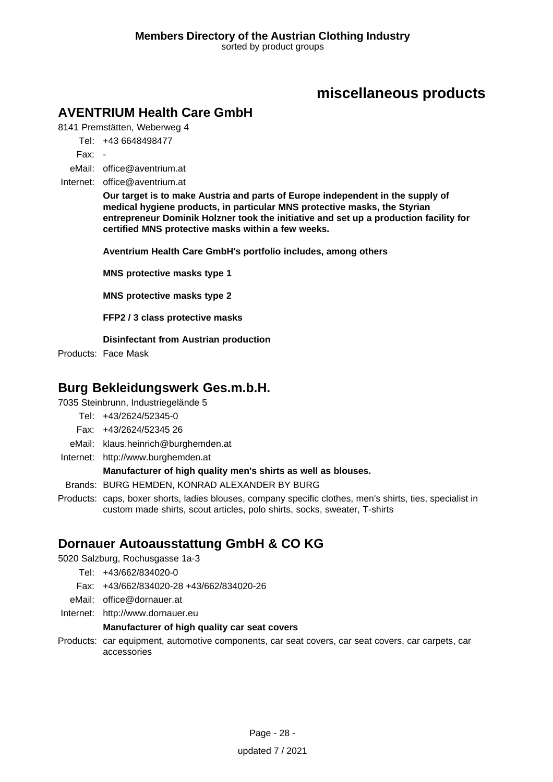# **AVENTRIUM Health Care GmbH**

8141 Premstätten, Weberweg 4

Tel: +43 6648498477

Fax: -

eMail: office@aventrium.at

Internet: office@aventrium.at

**Our target is to make Austria and parts of Europe independent in the supply of medical hygiene products, in particular MNS protective masks, the Styrian entrepreneur Dominik Holzner took the initiative and set up a production facility for certified MNS protective masks within a few weeks.**

**Aventrium Health Care GmbH's portfolio includes, among others**

**MNS protective masks type 1**

**MNS protective masks type 2**

**FFP2 / 3 class protective masks**

**Disinfectant from Austrian production**

Products: Face Mask

### **Burg Bekleidungswerk Ges.m.b.H.**

7035 Steinbrunn, Industriegelände 5

- Tel: +43/2624/52345-0
- Fax: +43/2624/52345 26
- eMail: klaus.heinrich@burghemden.at
- Internet: <http://www.burghemden.at>

#### **Manufacturer of high quality men's shirts as well as blouses.**

Brands: BURG HEMDEN, KONRAD ALEXANDER BY BURG

Products: caps, boxer shorts, ladies blouses, company specific clothes, men's shirts, ties, specialist in custom made shirts, scout articles, polo shirts, socks, sweater, T-shirts

### **Dornauer Autoausstattung GmbH & CO KG**

5020 Salzburg, Rochusgasse 1a-3

- Tel: +43/662/834020-0
- Fax: +43/662/834020-28 +43/662/834020-26
- eMail: office@dornauer.at
- Internet: <http://www.dornauer.eu>

#### **Manufacturer of high quality car seat covers**

Products: car equipment, automotive components, car seat covers, car seat covers, car carpets, car accessories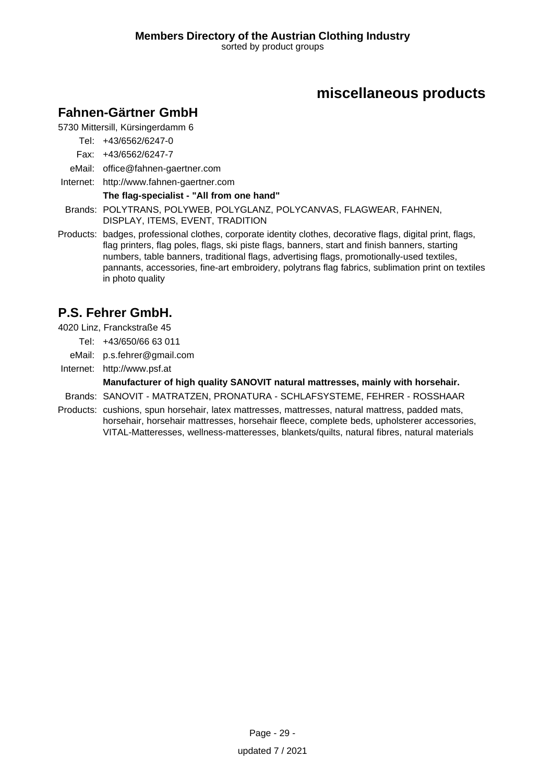# **Fahnen-Gärtner GmbH**

5730 Mittersill, Kürsingerdamm 6

- Tel: +43/6562/6247-0
- Fax: +43/6562/6247-7
- eMail: office@fahnen-gaertner.com
- Internet: <http://www.fahnen-gaertner.com>

### **The flag-specialist - "All from one hand"**

- Brands: POLYTRANS, POLYWEB, POLYGLANZ, POLYCANVAS, FLAGWEAR, FAHNEN, DISPLAY, ITEMS, EVENT, TRADITION
- Products: badges, professional clothes, corporate identity clothes, decorative flags, digital print, flags, flag printers, flag poles, flags, ski piste flags, banners, start and finish banners, starting numbers, table banners, traditional flags, advertising flags, promotionally-used textiles, pannants, accessories, fine-art embroidery, polytrans flag fabrics, sublimation print on textiles in photo quality

# **P.S. Fehrer GmbH.**

4020 Linz, Franckstraße 45

- Tel: +43/650/66 63 011
- eMail: p.s.fehrer@gmail.com
- Internet: <http://www.psf.at>

### **Manufacturer of high quality SANOVIT natural mattresses, mainly with horsehair.**

- Brands: SANOVIT MATRATZEN, PRONATURA SCHLAFSYSTEME, FEHRER ROSSHAAR
- Products: cushions, spun horsehair, latex mattresses, mattresses, natural mattress, padded mats, horsehair, horsehair mattresses, horsehair fleece, complete beds, upholsterer accessories, VITAL-Matteresses, wellness-matteresses, blankets/quilts, natural fibres, natural materials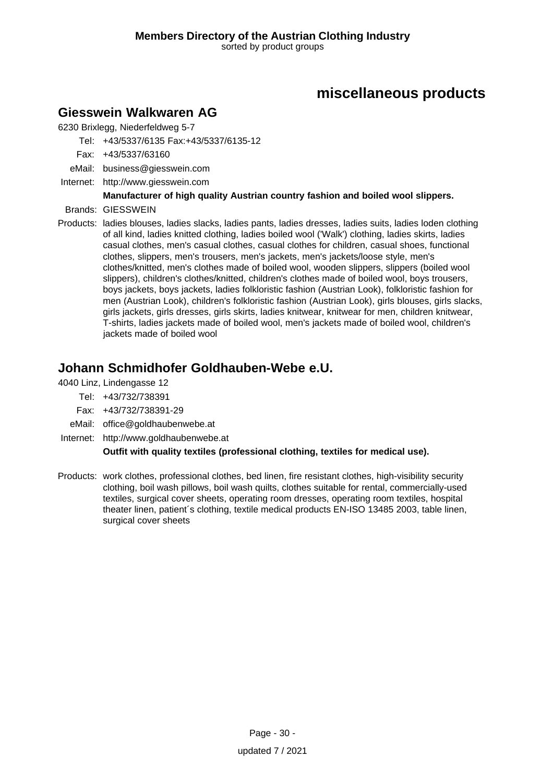### **Giesswein Walkwaren AG**

6230 Brixlegg, Niederfeldweg 5-7

Tel: +43/5337/6135 Fax:+43/5337/6135-12

- Fax: +43/5337/63160
- eMail: business@giesswein.com
- Internet: <http://www.giesswein.com>

### **Manufacturer of high quality Austrian country fashion and boiled wool slippers.**

- Brands: GIESSWEIN
- Products: ladies blouses, ladies slacks, ladies pants, ladies dresses, ladies suits, ladies loden clothing of all kind, ladies knitted clothing, ladies boiled wool ('Walk') clothing, ladies skirts, ladies casual clothes, men's casual clothes, casual clothes for children, casual shoes, functional clothes, slippers, men's trousers, men's jackets, men's jackets/loose style, men's clothes/knitted, men's clothes made of boiled wool, wooden slippers, slippers (boiled wool slippers), children's clothes/knitted, children's clothes made of boiled wool, boys trousers, boys jackets, boys jackets, ladies folkloristic fashion (Austrian Look), folkloristic fashion for men (Austrian Look), children's folkloristic fashion (Austrian Look), girls blouses, girls slacks, girls jackets, girls dresses, girls skirts, ladies knitwear, knitwear for men, children knitwear, T-shirts, ladies jackets made of boiled wool, men's jackets made of boiled wool, children's jackets made of boiled wool

# **Johann Schmidhofer Goldhauben-Webe e.U.**

4040 Linz, Lindengasse 12

- Tel: +43/732/738391
- Fax: +43/732/738391-29
- eMail: office@goldhaubenwebe.at
- Internet: <http://www.goldhaubenwebe.at>

### **Outfit with quality textiles (professional clothing, textiles for medical use).**

Products: work clothes, professional clothes, bed linen, fire resistant clothes, high-visibility security clothing, boil wash pillows, boil wash quilts, clothes suitable for rental, commercially-used textiles, surgical cover sheets, operating room dresses, operating room textiles, hospital theater linen, patient´s clothing, textile medical products EN-ISO 13485 2003, table linen, surgical cover sheets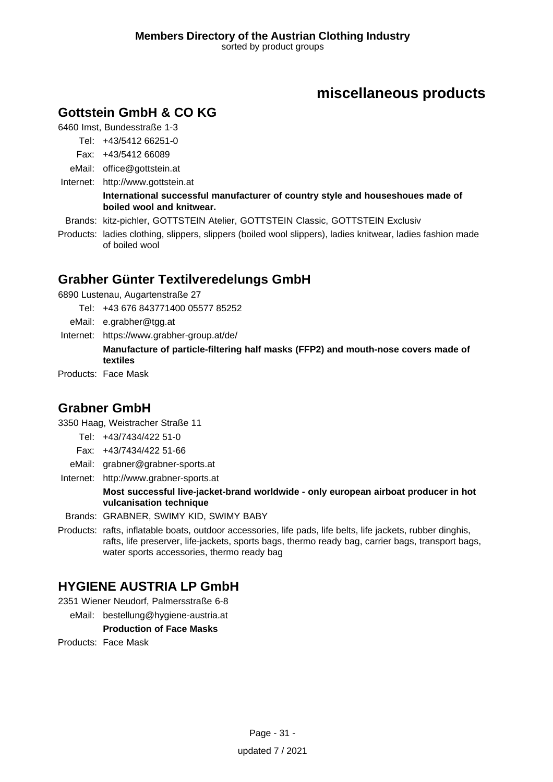# **Gottstein GmbH & CO KG**

6460 Imst, Bundesstraße 1-3

Tel: +43/5412 66251-0

- Fax: +43/5412 66089
- eMail: office@gottstein.at
- Internet: <http://www.gottstein.at>

#### **International successful manufacturer of country style and houseshoues made of boiled wool and knitwear.**

- Brands: kitz-pichler, GOTTSTEIN Atelier, GOTTSTEIN Classic, GOTTSTEIN Exclusiv
- Products: ladies clothing, slippers, slippers (boiled wool slippers), ladies knitwear, ladies fashion made of boiled wool

# **Grabher Günter Textilveredelungs GmbH**

6890 Lustenau, Augartenstraße 27

- Tel: +43 676 843771400 05577 85252
- eMail: e.grabher@tgg.at
- Internet: https://www.grabher-group.at/de/ **Manufacture of particle-filtering half masks (FFP2) and mouth-nose covers made of textiles**

Products: Face Mask

### **Grabner GmbH**

3350 Haag, Weistracher Straße 11

- Tel: +43/7434/422 51-0
- Fax: +43/7434/422 51-66
- eMail: grabner@grabner-sports.at
- Internet: <http://www.grabner-sports.at>

#### **Most successful live-jacket-brand worldwide - only european airboat producer in hot vulcanisation technique**

- Brands: GRABNER, SWIMY KID, SWIMY BABY
- Products: rafts, inflatable boats, outdoor accessories, life pads, life belts, life jackets, rubber dinghis, rafts, life preserver, life-jackets, sports bags, thermo ready bag, carrier bags, transport bags, water sports accessories, thermo ready bag

# **HYGIENE AUSTRIA LP GmbH**

2351 Wiener Neudorf, Palmersstraße 6-8

eMail: bestellung@hygiene-austria.at

#### **Production of Face Masks**

Products: Face Mask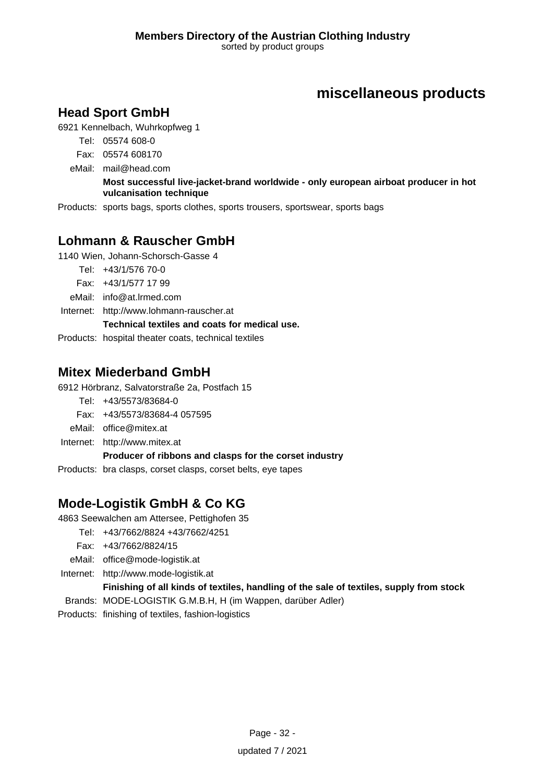# **Head Sport GmbH**

6921 Kennelbach, Wuhrkopfweg 1

Tel: 05574 608-0

Fax: 05574 608170

eMail: mail@head.com

#### **Most successful live-jacket-brand worldwide - only european airboat producer in hot vulcanisation technique**

Products: sports bags, sports clothes, sports trousers, sportswear, sports bags

# **Lohmann & Rauscher GmbH**

1140 Wien, Johann-Schorsch-Gasse 4

- Tel: +43/1/576 70-0
- Fax: +43/1/577 17 99

eMail: info@at.lrmed.com

Internet: <http://www.lohmann-rauscher.at>

**Technical textiles and coats for medical use.**

Products: hospital theater coats, technical textiles

### **Mitex Miederband GmbH**

6912 Hörbranz, Salvatorstraße 2a, Postfach 15

- Tel: +43/5573/83684-0
- Fax: +43/5573/83684-4 057595
- eMail: office@mitex.at
- Internet: <http://www.mitex.at>

**Producer of ribbons and clasps for the corset industry**

Products: bra clasps, corset clasps, corset belts, eye tapes

# **Mode-Logistik GmbH & Co KG**

4863 Seewalchen am Attersee, Pettighofen 35

- Tel: +43/7662/8824 +43/7662/4251
	- Fax: +43/7662/8824/15
- eMail: office@mode-logistik.at
- Internet: <http://www.mode-logistik.at>

### **Finishing of all kinds of textiles, handling of the sale of textiles, supply from stock**

Brands: MODE-LOGISTIK G.M.B.H, H (im Wappen, darüber Adler)

Products: finishing of textiles, fashion-logistics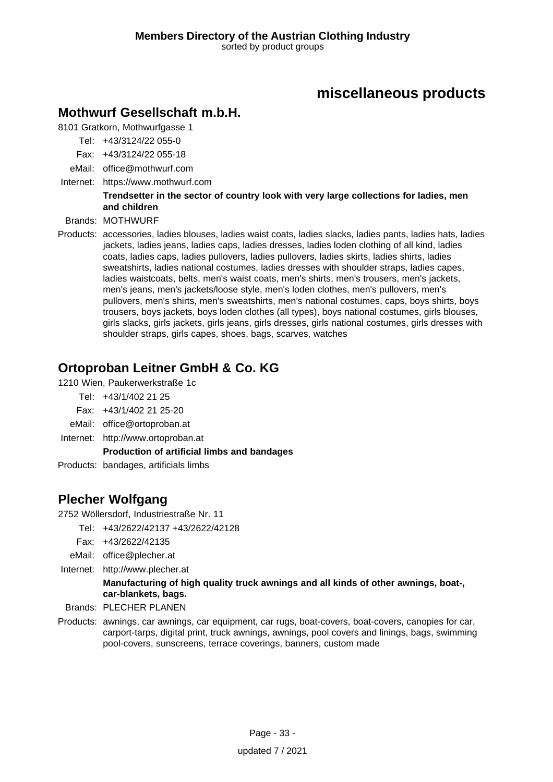# **Mothwurf Gesellschaft m.b.H.**

8101 Gratkorn, Mothwurfgasse 1

- Tel: +43/3124/22 055-0
- Fax: +43/3124/22 055-18
- eMail: office@mothwurf.com
- Internet: https://www.mothwurf.com

#### **Trendsetter in the sector of country look with very large collections for ladies, men and children**

Brands: MOTHWURF

Products: accessories, ladies blouses, ladies waist coats, ladies slacks, ladies pants, ladies hats, ladies jackets, ladies jeans, ladies caps, ladies dresses, ladies loden clothing of all kind, ladies coats, ladies caps, ladies pullovers, ladies pullovers, ladies skirts, ladies shirts, ladies sweatshirts, ladies national costumes, ladies dresses with shoulder straps, ladies capes, ladies waistcoats, belts, men's waist coats, men's shirts, men's trousers, men's jackets, men's jeans, men's jackets/loose style, men's loden clothes, men's pullovers, men's pullovers, men's shirts, men's sweatshirts, men's national costumes, caps, boys shirts, boys trousers, boys jackets, boys loden clothes (all types), boys national costumes, girls blouses, girls slacks, girls jackets, girls jeans, girls dresses, girls national costumes, girls dresses with shoulder straps, girls capes, shoes, bags, scarves, watches

### **Ortoproban Leitner GmbH & Co. KG**

1210 Wien, Paukerwerkstraße 1c

- Tel: +43/1/402 21 25
- Fax: +43/1/402 21 25-20
- eMail: office@ortoproban.at
- Internet: <http://www.ortoproban.at>

#### **Production of artificial limbs and bandages**

Products: bandages, artificials limbs

# **Plecher Wolfgang**

2752 Wöllersdorf, Industriestraße Nr. 11

- Tel: +43/2622/42137 +43/2622/42128
- Fax: +43/2622/42135
- eMail: office@plecher.at
- Internet: <http://www.plecher.at>

#### **Manufacturing of high quality truck awnings and all kinds of other awnings, boat-, car-blankets, bags.**

Brands: PLECHER PLANEN

Products: awnings, car awnings, car equipment, car rugs, boat-covers, boat-covers, canopies for car, carport-tarps, digital print, truck awnings, awnings, pool covers and linings, bags, swimming pool-covers, sunscreens, terrace coverings, banners, custom made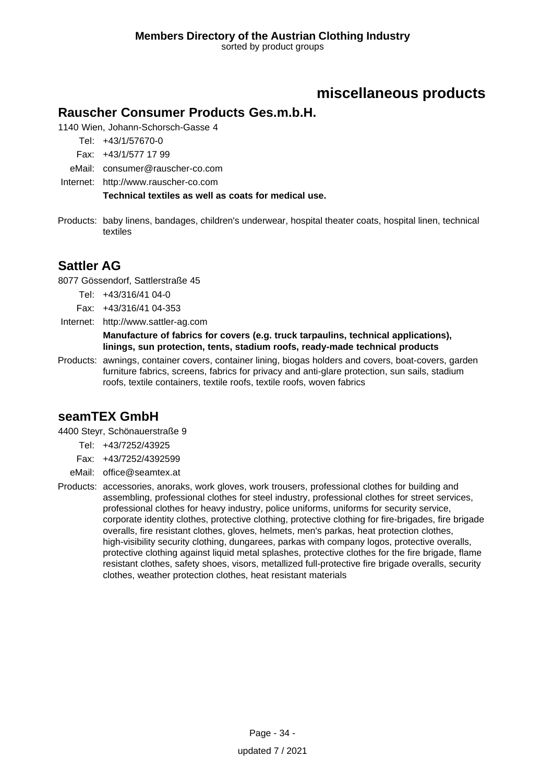### **Rauscher Consumer Products Ges.m.b.H.**

1140 Wien, Johann-Schorsch-Gasse 4

Tel: +43/1/57670-0

- Fax: +43/1/577 17 99
- eMail: consumer@rauscher-co.com
- Internet: <http://www.rauscher-co.com>

**Technical textiles as well as coats for medical use.**

Products: baby linens, bandages, children's underwear, hospital theater coats, hospital linen, technical textiles

# **Sattler AG**

8077 Gössendorf, Sattlerstraße 45

Tel: +43/316/41 04-0

- Fax: +43/316/41 04-353
- Internet: <http://www.sattler-ag.com>

**Manufacture of fabrics for covers (e.g. truck tarpaulins, technical applications), linings, sun protection, tents, stadium roofs, ready-made technical products**

Products: awnings, container covers, container lining, biogas holders and covers, boat-covers, garden furniture fabrics, screens, fabrics for privacy and anti-glare protection, sun sails, stadium roofs, textile containers, textile roofs, textile roofs, woven fabrics

# **seamTEX GmbH**

4400 Steyr, Schönauerstraße 9

Tel: +43/7252/43925

Fax: +43/7252/4392599

eMail: office@seamtex.at

Products: accessories, anoraks, work gloves, work trousers, professional clothes for building and assembling, professional clothes for steel industry, professional clothes for street services, professional clothes for heavy industry, police uniforms, uniforms for security service, corporate identity clothes, protective clothing, protective clothing for fire-brigades, fire brigade overalls, fire resistant clothes, gloves, helmets, men's parkas, heat protection clothes, high-visibility security clothing, dungarees, parkas with company logos, protective overalls, protective clothing against liquid metal splashes, protective clothes for the fire brigade, flame resistant clothes, safety shoes, visors, metallized full-protective fire brigade overalls, security clothes, weather protection clothes, heat resistant materials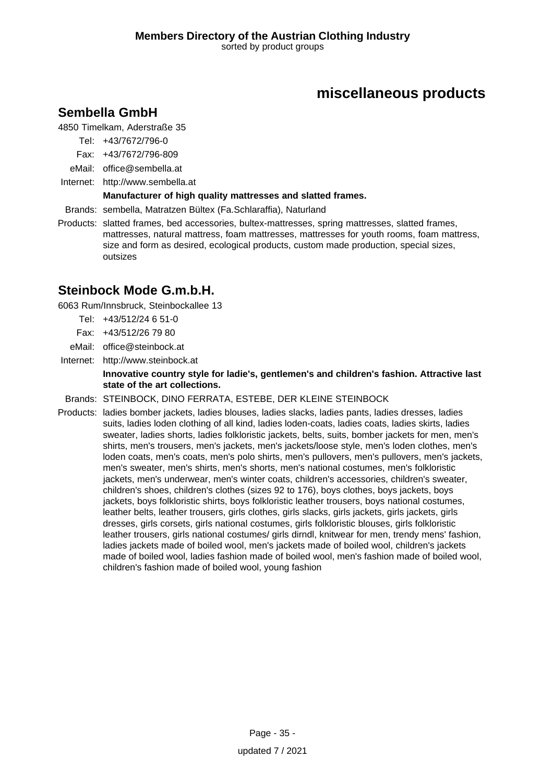# **miscellaneous products**

## **Sembella GmbH**

4850 Timelkam, Aderstraße 35

- Tel: +43/7672/796-0
- Fax: +43/7672/796-809
- eMail: office@sembella.at
- Internet: <http://www.sembella.at>

### **Manufacturer of high quality mattresses and slatted frames.**

Brands: sembella, Matratzen Bültex (Fa.Schlaraffia), Naturland

Products: slatted frames, bed accessories, bultex-mattresses, spring mattresses, slatted frames, mattresses, natural mattress, foam mattresses, mattresses for youth rooms, foam mattress, size and form as desired, ecological products, custom made production, special sizes, outsizes

### **Steinbock Mode G.m.b.H.**

6063 Rum/Innsbruck, Steinbockallee 13

- Tel: +43/512/24 6 51-0
- Fax: +43/512/26 79 80
- eMail: office@steinbock.at
- Internet: <http://www.steinbock.at>

#### **Innovative country style for ladie's, gentlemen's and children's fashion. Attractive last state of the art collections.**

Brands: STEINBOCK, DINO FERRATA, ESTEBE, DER KLEINE STEINBOCK

Products: ladies bomber jackets, ladies blouses, ladies slacks, ladies pants, ladies dresses, ladies suits, ladies loden clothing of all kind, ladies loden-coats, ladies coats, ladies skirts, ladies sweater, ladies shorts, ladies folkloristic jackets, belts, suits, bomber jackets for men, men's shirts, men's trousers, men's jackets, men's jackets/loose style, men's loden clothes, men's loden coats, men's coats, men's polo shirts, men's pullovers, men's pullovers, men's jackets, men's sweater, men's shirts, men's shorts, men's national costumes, men's folkloristic jackets, men's underwear, men's winter coats, children's accessories, children's sweater, children's shoes, children's clothes (sizes 92 to 176), boys clothes, boys jackets, boys jackets, boys folkloristic shirts, boys folkloristic leather trousers, boys national costumes, leather belts, leather trousers, girls clothes, girls slacks, girls jackets, girls jackets, girls dresses, girls corsets, girls national costumes, girls folkloristic blouses, girls folkloristic leather trousers, girls national costumes/ girls dirndl, knitwear for men, trendy mens' fashion, ladies jackets made of boiled wool, men's jackets made of boiled wool, children's jackets made of boiled wool, ladies fashion made of boiled wool, men's fashion made of boiled wool, children's fashion made of boiled wool, young fashion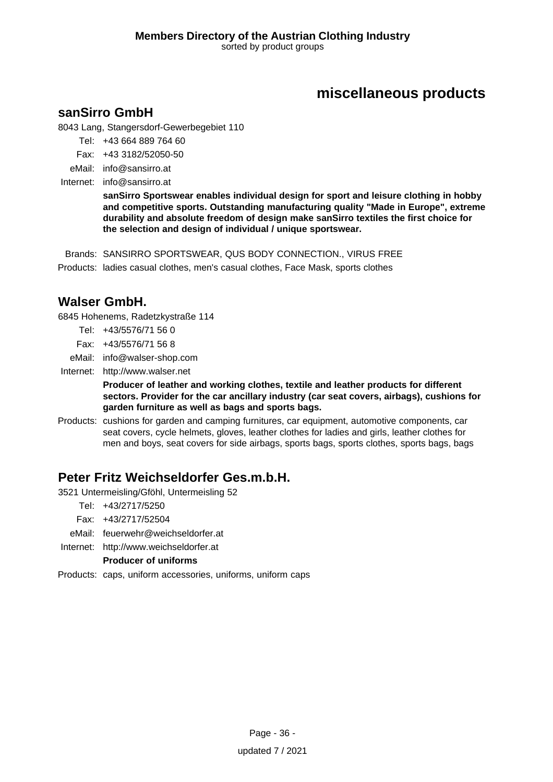## **miscellaneous products**

### **sanSirro GmbH**

8043 Lang, Stangersdorf-Gewerbegebiet 110

- Tel: +43 664 889 764 60
- Fax: +43 3182/52050-50
- eMail: info@sansirro.at
- Internet: info@sansirro.at

**sanSirro Sportswear enables individual design for sport and leisure clothing in hobby and competitive sports. Outstanding manufacturing quality "Made in Europe", extreme durability and absolute freedom of design make sanSirro textiles the first choice for the selection and design of individual / unique sportswear.**

Brands: SANSIRRO SPORTSWEAR, QUS BODY CONNECTION., VIRUS FREE Products: ladies casual clothes, men's casual clothes, Face Mask, sports clothes

## **Walser GmbH.**

6845 Hohenems, Radetzkystraße 114

- Tel: +43/5576/71 56 0
- Fax: +43/5576/71 56 8
- eMail: info@walser-shop.com
- Internet: <http://www.walser.net>

**Producer of leather and working clothes, textile and leather products for different sectors. Provider for the car ancillary industry (car seat covers, airbags), cushions for garden furniture as well as bags and sports bags.**

Products: cushions for garden and camping furnitures, car equipment, automotive components, car seat covers, cycle helmets, gloves, leather clothes for ladies and girls, leather clothes for men and boys, seat covers for side airbags, sports bags, sports clothes, sports bags, bags

### **Peter Fritz Weichseldorfer Ges.m.b.H.**

- 3521 Untermeisling/Gföhl, Untermeisling 52
	- Tel: +43/2717/5250
	- Fax: +43/2717/52504
	- eMail: feuerwehr@weichseldorfer.at
- Internet: <http://www.weichseldorfer.at>

### **Producer of uniforms**

Products: caps, uniform accessories, uniforms, uniform caps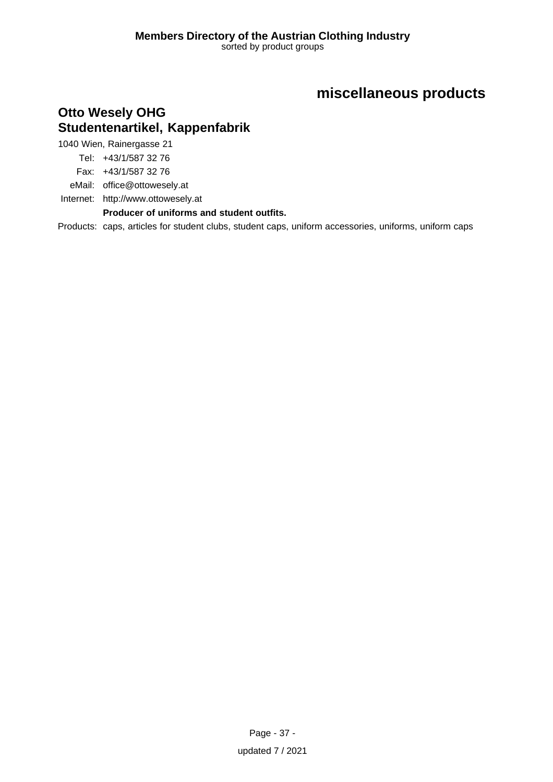# **miscellaneous products**

## **Otto Wesely OHG Studentenartikel, Kappenfabrik**

1040 Wien, Rainergasse 21

Tel: +43/1/587 32 76

Fax: +43/1/587 32 76

eMail: office@ottowesely.at

Internet: <http://www.ottowesely.at>

**Producer of uniforms and student outfits.**

Products: caps, articles for student clubs, student caps, uniform accessories, uniforms, uniform caps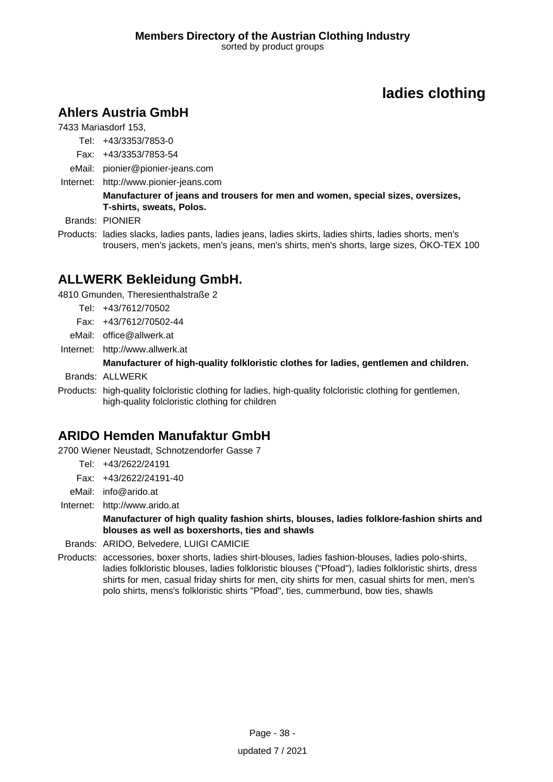## **Ahlers Austria GmbH**

7433 Mariasdorf 153,

- Tel: +43/3353/7853-0
- Fax: +43/3353/7853-54
- eMail: pionier@pionier-jeans.com
- Internet: <http://www.pionier-jeans.com>

**Manufacturer of jeans and trousers for men and women, special sizes, oversizes, T-shirts, sweats, Polos.**

Brands: PIONIER

Products: ladies slacks, ladies pants, ladies jeans, ladies skirts, ladies shirts, ladies shorts, men's trousers, men's jackets, men's jeans, men's shirts, men's shorts, large sizes, ÖKO-TEX 100

## **ALLWERK Bekleidung GmbH.**

4810 Gmunden, Theresienthalstraße 2

- Tel: +43/7612/70502
- Fax: +43/7612/70502-44
- eMail: office@allwerk.at
- Internet: <http://www.allwerk.at>

#### **Manufacturer of high-quality folkloristic clothes for ladies, gentlemen and children.**

Brands: ALLWERK

Products: high-quality folcloristic clothing for ladies, high-quality folcloristic clothing for gentlemen, high-quality folcloristic clothing for children

## **ARIDO Hemden Manufaktur GmbH**

2700 Wiener Neustadt, Schnotzendorfer Gasse 7

- Tel: +43/2622/24191
- Fax: +43/2622/24191-40
- eMail: info@arido.at

Internet: <http://www.arido.at>

**Manufacturer of high quality fashion shirts, blouses, ladies folklore-fashion shirts and blouses as well as boxershorts, ties and shawls**

Brands: ARIDO, Belvedere, LUIGI CAMICIE

Products: accessories, boxer shorts, ladies shirt-blouses, ladies fashion-blouses, ladies polo-shirts, ladies folkloristic blouses, ladies folkloristic blouses ("Pfoad"), ladies folkloristic shirts, dress shirts for men, casual friday shirts for men, city shirts for men, casual shirts for men, men's polo shirts, mens's folkloristic shirts "Pfoad", ties, cummerbund, bow ties, shawls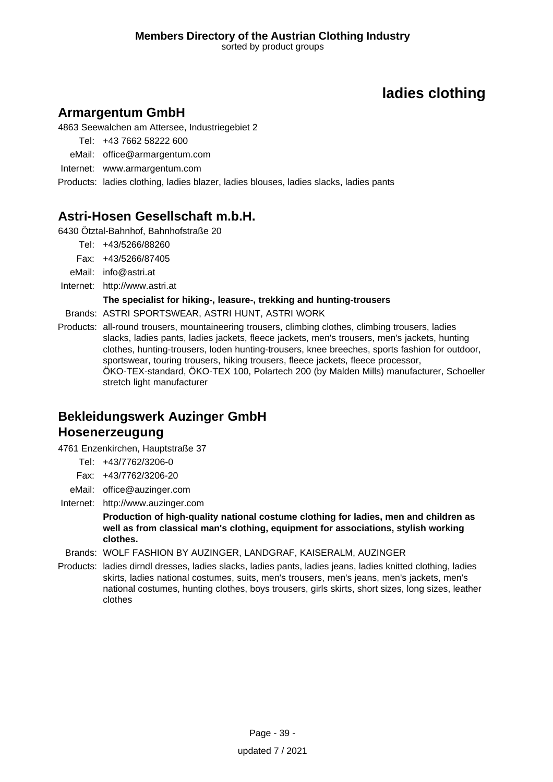## **Armargentum GmbH**

4863 Seewalchen am Attersee, Industriegebiet 2

- Tel: +43 7662 58222 600
- eMail: office@armargentum.com
- Internet: www.armargentum.com

Products: ladies clothing, ladies blazer, ladies blouses, ladies slacks, ladies pants

## **Astri-Hosen Gesellschaft m.b.H.**

6430 Ötztal-Bahnhof, Bahnhofstraße 20

- Tel: +43/5266/88260
- Fax: +43/5266/87405
- eMail: info@astri.at
- Internet: <http://www.astri.at>

### **The specialist for hiking-, leasure-, trekking and hunting-trousers**

- Brands: ASTRI SPORTSWEAR, ASTRI HUNT, ASTRI WORK
- Products: all-round trousers, mountaineering trousers, climbing clothes, climbing trousers, ladies slacks, ladies pants, ladies jackets, fleece jackets, men's trousers, men's jackets, hunting clothes, hunting-trousers, loden hunting-trousers, knee breeches, sports fashion for outdoor, sportswear, touring trousers, hiking trousers, fleece jackets, fleece processor, ÖKO-TEX-standard, ÖKO-TEX 100, Polartech 200 (by Malden Mills) manufacturer, Schoeller stretch light manufacturer

# **Bekleidungswerk Auzinger GmbH Hosenerzeugung**

4761 Enzenkirchen, Hauptstraße 37

- Tel: +43/7762/3206-0
- Fax: +43/7762/3206-20
- eMail: office@auzinger.com
- Internet: <http://www.auzinger.com>

**Production of high-quality national costume clothing for ladies, men and children as well as from classical man's clothing, equipment for associations, stylish working clothes.**

### Brands: WOLF FASHION BY AUZINGER, LANDGRAF, KAISERALM, AUZINGER

Products: ladies dirndl dresses, ladies slacks, ladies pants, ladies jeans, ladies knitted clothing, ladies skirts, ladies national costumes, suits, men's trousers, men's jeans, men's jackets, men's national costumes, hunting clothes, boys trousers, girls skirts, short sizes, long sizes, leather clothes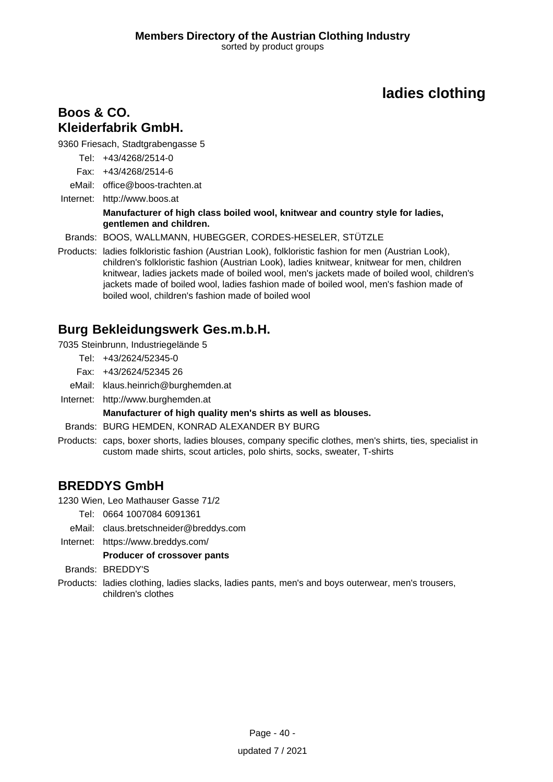### **Boos & CO. Kleiderfabrik GmbH.**

9360 Friesach, Stadtgrabengasse 5

- Tel: +43/4268/2514-0
- Fax: +43/4268/2514-6
- eMail: office@boos-trachten.at

Internet: <http://www.boos.at>

#### **Manufacturer of high class boiled wool, knitwear and country style for ladies, gentlemen and children.**

Brands: BOOS, WALLMANN, HUBEGGER, CORDES-HESELER, STÜTZLE

Products: ladies folkloristic fashion (Austrian Look), folkloristic fashion for men (Austrian Look), children's folkloristic fashion (Austrian Look), ladies knitwear, knitwear for men, children knitwear, ladies jackets made of boiled wool, men's jackets made of boiled wool, children's jackets made of boiled wool, ladies fashion made of boiled wool, men's fashion made of boiled wool, children's fashion made of boiled wool

## **Burg Bekleidungswerk Ges.m.b.H.**

7035 Steinbrunn, Industriegelände 5

- Tel: +43/2624/52345-0
- Fax: +43/2624/52345 26
- eMail: klaus.heinrich@burghemden.at
- Internet: <http://www.burghemden.at>

### **Manufacturer of high quality men's shirts as well as blouses.**

- Brands: BURG HEMDEN, KONRAD ALEXANDER BY BURG
- Products: caps, boxer shorts, ladies blouses, company specific clothes, men's shirts, ties, specialist in custom made shirts, scout articles, polo shirts, socks, sweater, T-shirts

## **BREDDYS GmbH**

1230 Wien, Leo Mathauser Gasse 71/2

- Tel: 0664 1007084 6091361
- eMail: claus.bretschneider@breddys.com
- Internet: https://www.breddys.com/

### **Producer of crossover pants**

- Brands: BREDDY'S
- Products: ladies clothing, ladies slacks, ladies pants, men's and boys outerwear, men's trousers, children's clothes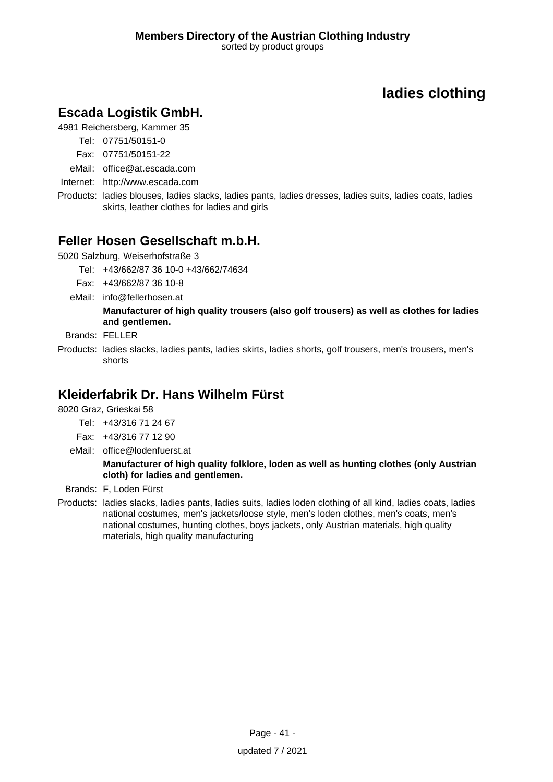## **Escada Logistik GmbH.**

4981 Reichersberg, Kammer 35

- Tel: 07751/50151-0
- Fax: 07751/50151-22
- eMail: office@at.escada.com
- Internet: <http://www.escada.com>
- Products: ladies blouses, ladies slacks, ladies pants, ladies dresses, ladies suits, ladies coats, ladies skirts, leather clothes for ladies and girls

### **Feller Hosen Gesellschaft m.b.H.**

5020 Salzburg, Weiserhofstraße 3

Tel: +43/662/87 36 10-0 +43/662/74634

- Fax: +43/662/87 36 10-8
- eMail: info@fellerhosen.at

**Manufacturer of high quality trousers (also golf trousers) as well as clothes for ladies and gentlemen.**

- Brands: FELLER
- Products: ladies slacks, ladies pants, ladies skirts, ladies shorts, golf trousers, men's trousers, men's shorts

## **Kleiderfabrik Dr. Hans Wilhelm Fürst**

8020 Graz, Grieskai 58

- Tel: +43/316 71 24 67
- Fax: +43/316 77 12 90
- eMail: office@lodenfuerst.at

**Manufacturer of high quality folklore, loden as well as hunting clothes (only Austrian cloth) for ladies and gentlemen.**

- Brands: F, Loden Fürst
- Products: ladies slacks, ladies pants, ladies suits, ladies loden clothing of all kind, ladies coats, ladies national costumes, men's jackets/loose style, men's loden clothes, men's coats, men's national costumes, hunting clothes, boys jackets, only Austrian materials, high quality materials, high quality manufacturing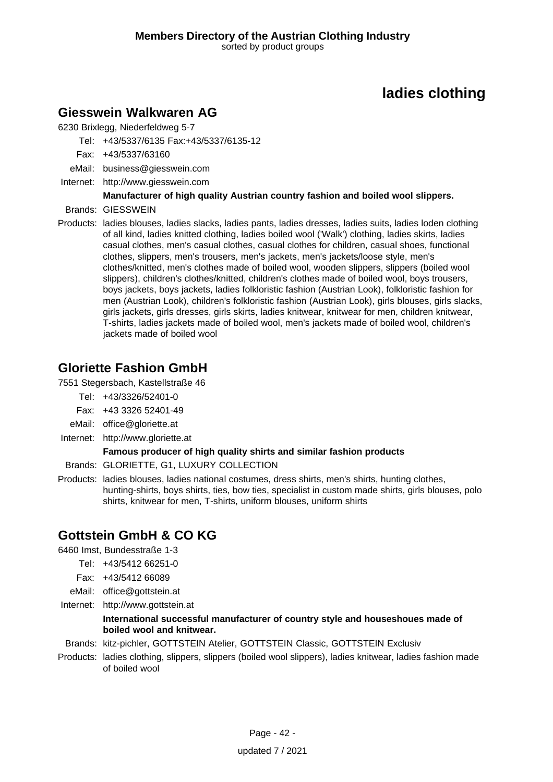## **Giesswein Walkwaren AG**

6230 Brixlegg, Niederfeldweg 5-7

Tel: +43/5337/6135 Fax:+43/5337/6135-12

- Fax: +43/5337/63160
- eMail: business@giesswein.com
- Internet: <http://www.giesswein.com>

### **Manufacturer of high quality Austrian country fashion and boiled wool slippers.**

- Brands: GIESSWEIN
- Products: ladies blouses, ladies slacks, ladies pants, ladies dresses, ladies suits, ladies loden clothing of all kind, ladies knitted clothing, ladies boiled wool ('Walk') clothing, ladies skirts, ladies casual clothes, men's casual clothes, casual clothes for children, casual shoes, functional clothes, slippers, men's trousers, men's jackets, men's jackets/loose style, men's clothes/knitted, men's clothes made of boiled wool, wooden slippers, slippers (boiled wool slippers), children's clothes/knitted, children's clothes made of boiled wool, boys trousers, boys jackets, boys jackets, ladies folkloristic fashion (Austrian Look), folkloristic fashion for men (Austrian Look), children's folkloristic fashion (Austrian Look), girls blouses, girls slacks, girls jackets, girls dresses, girls skirts, ladies knitwear, knitwear for men, children knitwear, T-shirts, ladies jackets made of boiled wool, men's jackets made of boiled wool, children's jackets made of boiled wool

## **Gloriette Fashion GmbH**

7551 Stegersbach, Kastellstraße 46

- Tel: +43/3326/52401-0
- Fax: +43 3326 52401-49
- eMail: office@gloriette.at
- Internet: <http://www.gloriette.at>

### **Famous producer of high quality shirts and similar fashion products**

Brands: GLORIETTE, G1, LUXURY COLLECTION

Products: ladies blouses, ladies national costumes, dress shirts, men's shirts, hunting clothes, hunting-shirts, boys shirts, ties, bow ties, specialist in custom made shirts, girls blouses, polo shirts, knitwear for men, T-shirts, uniform blouses, uniform shirts

## **Gottstein GmbH & CO KG**

6460 Imst, Bundesstraße 1-3

- Tel: +43/5412 66251-0
- Fax: +43/5412 66089
- eMail: office@gottstein.at
- Internet: <http://www.gottstein.at>

#### **International successful manufacturer of country style and houseshoues made of boiled wool and knitwear.**

Brands: kitz-pichler, GOTTSTEIN Atelier, GOTTSTEIN Classic, GOTTSTEIN Exclusiv

Products: ladies clothing, slippers, slippers (boiled wool slippers), ladies knitwear, ladies fashion made of boiled wool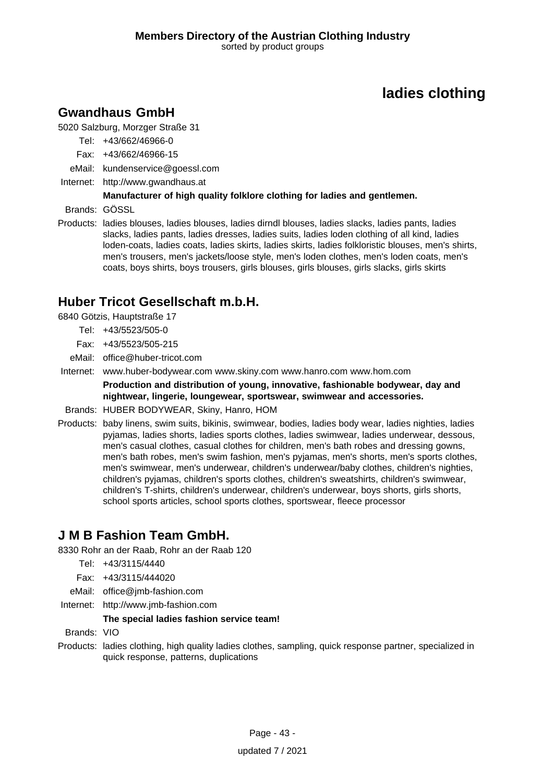## **Gwandhaus GmbH**

5020 Salzburg, Morzger Straße 31

- Tel: +43/662/46966-0
- Fax: +43/662/46966-15
- eMail: kundenservice@goessl.com
- Internet: <http://www.gwandhaus.at>

### **Manufacturer of high quality folklore clothing for ladies and gentlemen.**

Brands: GÖSSL

Products: ladies blouses, ladies blouses, ladies dirndl blouses, ladies slacks, ladies pants, ladies slacks, ladies pants, ladies dresses, ladies suits, ladies loden clothing of all kind, ladies loden-coats, ladies coats, ladies skirts, ladies skirts, ladies folkloristic blouses, men's shirts, men's trousers, men's jackets/loose style, men's loden clothes, men's loden coats, men's coats, boys shirts, boys trousers, girls blouses, girls blouses, girls slacks, girls skirts

## **Huber Tricot Gesellschaft m.b.H.**

6840 Götzis, Hauptstraße 17

- Tel: +43/5523/505-0
- Fax: +43/5523/505-215
- eMail: office@huber-tricot.com
- Internet: www.huber-bodywear.com www.skiny.com www.hanro.com www.hom.com

**Production and distribution of young, innovative, fashionable bodywear, day and nightwear, lingerie, loungewear, sportswear, swimwear and accessories.**

- Brands: HUBER BODYWEAR, Skiny, Hanro, HOM
- Products: baby linens, swim suits, bikinis, swimwear, bodies, ladies body wear, ladies nighties, ladies pyjamas, ladies shorts, ladies sports clothes, ladies swimwear, ladies underwear, dessous, men's casual clothes, casual clothes for children, men's bath robes and dressing gowns, men's bath robes, men's swim fashion, men's pyjamas, men's shorts, men's sports clothes, men's swimwear, men's underwear, children's underwear/baby clothes, children's nighties, children's pyjamas, children's sports clothes, children's sweatshirts, children's swimwear, children's T-shirts, children's underwear, children's underwear, boys shorts, girls shorts, school sports articles, school sports clothes, sportswear, fleece processor

## **J M B Fashion Team GmbH.**

8330 Rohr an der Raab, Rohr an der Raab 120

- Tel: +43/3115/4440
- Fax: +43/3115/444020
- eMail: office@jmb-fashion.com
- Internet: <http://www.jmb-fashion.com>

### **The special ladies fashion service team!**

- Brands: VIO
- Products: ladies clothing, high quality ladies clothes, sampling, quick response partner, specialized in quick response, patterns, duplications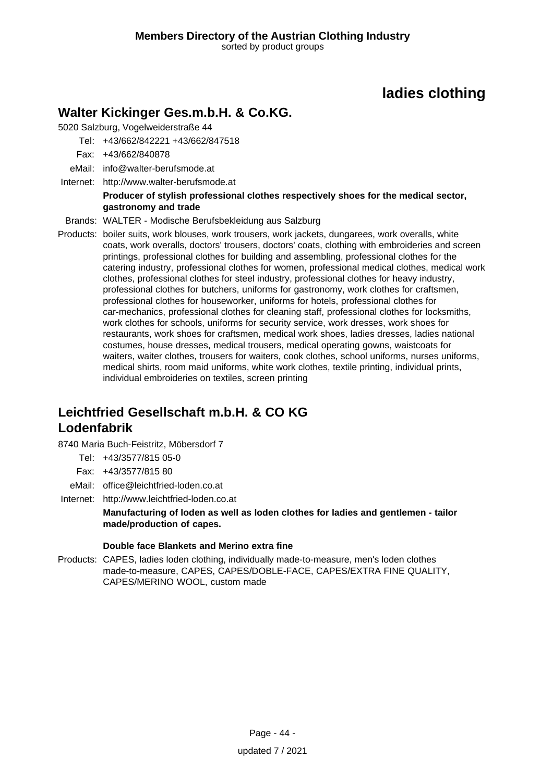## **Walter Kickinger Ges.m.b.H. & Co.KG.**

5020 Salzburg, Vogelweiderstraße 44

- Tel: +43/662/842221 +43/662/847518
- Fax: +43/662/840878
- eMail: info@walter-berufsmode.at
- Internet: <http://www.walter-berufsmode.at>

### **Producer of stylish professional clothes respectively shoes for the medical sector, gastronomy and trade**

- Brands: WALTER Modische Berufsbekleidung aus Salzburg
- Products: boiler suits, work blouses, work trousers, work jackets, dungarees, work overalls, white coats, work overalls, doctors' trousers, doctors' coats, clothing with embroideries and screen printings, professional clothes for building and assembling, professional clothes for the catering industry, professional clothes for women, professional medical clothes, medical work clothes, professional clothes for steel industry, professional clothes for heavy industry, professional clothes for butchers, uniforms for gastronomy, work clothes for craftsmen, professional clothes for houseworker, uniforms for hotels, professional clothes for car-mechanics, professional clothes for cleaning staff, professional clothes for locksmiths, work clothes for schools, uniforms for security service, work dresses, work shoes for restaurants, work shoes for craftsmen, medical work shoes, ladies dresses, ladies national costumes, house dresses, medical trousers, medical operating gowns, waistcoats for waiters, waiter clothes, trousers for waiters, cook clothes, school uniforms, nurses uniforms, medical shirts, room maid uniforms, white work clothes, textile printing, individual prints, individual embroideries on textiles, screen printing

## **Leichtfried Gesellschaft m.b.H. & CO KG Lodenfabrik**

8740 Maria Buch-Feistritz, Möbersdorf 7

- Tel: +43/3577/815 05-0
- Fax: +43/3577/815 80
- eMail: office@leichtfried-loden.co.at
- Internet: <http://www.leichtfried-loden.co.at>

**Manufacturing of loden as well as loden clothes for ladies and gentlemen - tailor made/production of capes.**

### **Double face Blankets and Merino extra fine**

Products: CAPES, ladies loden clothing, individually made-to-measure, men's loden clothes made-to-measure, CAPES, CAPES/DOBLE-FACE, CAPES/EXTRA FINE QUALITY, CAPES/MERINO WOOL, custom made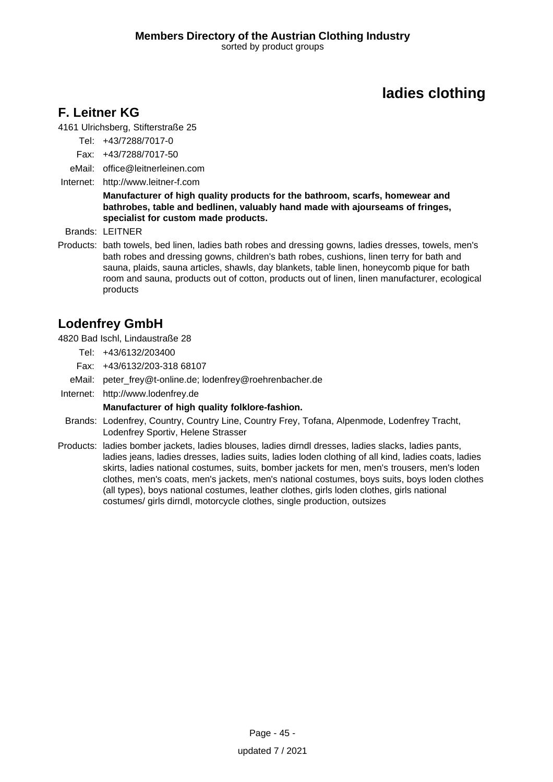## **F. Leitner KG**

4161 Ulrichsberg, Stifterstraße 25

- Tel: +43/7288/7017-0
- Fax: +43/7288/7017-50
- eMail: office@leitnerleinen.com
- Internet: <http://www.leitner-f.com>

#### **Manufacturer of high quality products for the bathroom, scarfs, homewear and bathrobes, table and bedlinen, valuably hand made with ajourseams of fringes, specialist for custom made products.**

Brands: LEITNER

Products: bath towels, bed linen, ladies bath robes and dressing gowns, ladies dresses, towels, men's bath robes and dressing gowns, children's bath robes, cushions, linen terry for bath and sauna, plaids, sauna articles, shawls, day blankets, table linen, honeycomb pique for bath room and sauna, products out of cotton, products out of linen, linen manufacturer, ecological products

## **Lodenfrey GmbH**

4820 Bad Ischl, Lindaustraße 28

- Tel: +43/6132/203400
- Fax: +43/6132/203-318 68107
- eMail: peter\_frey@t-online.de; lodenfrey@roehrenbacher.de
- Internet: <http://www.lodenfrey.de>

#### **Manufacturer of high quality folklore-fashion.**

- Brands: Lodenfrey, Country, Country Line, Country Frey, Tofana, Alpenmode, Lodenfrey Tracht, Lodenfrey Sportiv, Helene Strasser
- Products: ladies bomber jackets, ladies blouses, ladies dirndl dresses, ladies slacks, ladies pants, ladies jeans, ladies dresses, ladies suits, ladies loden clothing of all kind, ladies coats, ladies skirts, ladies national costumes, suits, bomber jackets for men, men's trousers, men's loden clothes, men's coats, men's jackets, men's national costumes, boys suits, boys loden clothes (all types), boys national costumes, leather clothes, girls loden clothes, girls national costumes/ girls dirndl, motorcycle clothes, single production, outsizes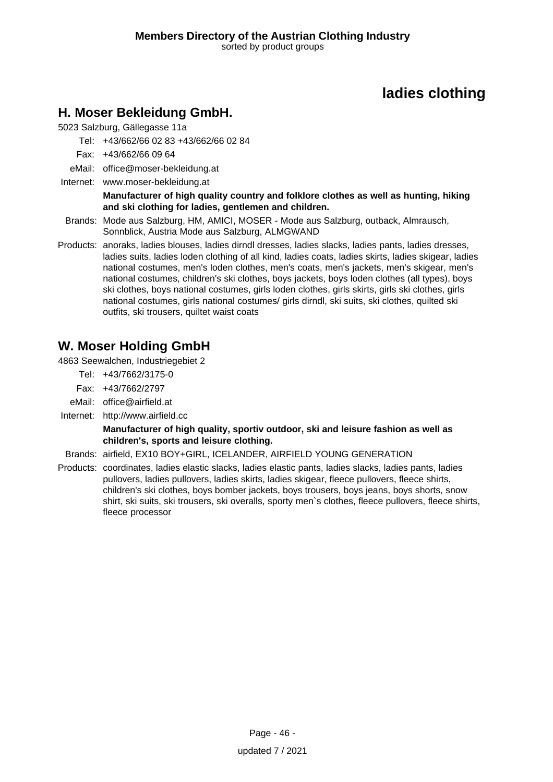## **H. Moser Bekleidung GmbH.**

5023 Salzburg, Gällegasse 11a

Tel: +43/662/66 02 83 +43/662/66 02 84

- Fax: +43/662/66 09 64
- eMail: office@moser-bekleidung.at
- Internet: www.moser-bekleidung.at

#### **Manufacturer of high quality country and folklore clothes as well as hunting, hiking and ski clothing for ladies, gentlemen and children.**

- Brands: Mode aus Salzburg, HM, AMICI, MOSER Mode aus Salzburg, outback, Almrausch, Sonnblick, Austria Mode aus Salzburg, ALMGWAND
- Products: anoraks, ladies blouses, ladies dirndl dresses, ladies slacks, ladies pants, ladies dresses, ladies suits, ladies loden clothing of all kind, ladies coats, ladies skirts, ladies skigear, ladies national costumes, men's loden clothes, men's coats, men's jackets, men's skigear, men's national costumes, children's ski clothes, boys jackets, boys loden clothes (all types), boys ski clothes, boys national costumes, girls loden clothes, girls skirts, girls ski clothes, girls national costumes, girls national costumes/ girls dirndl, ski suits, ski clothes, quilted ski outfits, ski trousers, quiltet waist coats

## **W. Moser Holding GmbH**

4863 Seewalchen, Industriegebiet 2

- Tel: +43/7662/3175-0
- Fax: +43/7662/2797
- eMail: office@airfield.at
- Internet: <http://www.airfield.cc>

**Manufacturer of high quality, sportiv outdoor, ski and leisure fashion as well as children's, sports and leisure clothing.**

Brands: airfield, EX10 BOY+GIRL, ICELANDER, AIRFIELD YOUNG GENERATION

Products: coordinates, ladies elastic slacks, ladies elastic pants, ladies slacks, ladies pants, ladies pullovers, ladies pullovers, ladies skirts, ladies skigear, fleece pullovers, fleece shirts, children's ski clothes, boys bomber jackets, boys trousers, boys jeans, boys shorts, snow shirt, ski suits, ski trousers, ski overalls, sporty men`s clothes, fleece pullovers, fleece shirts, fleece processor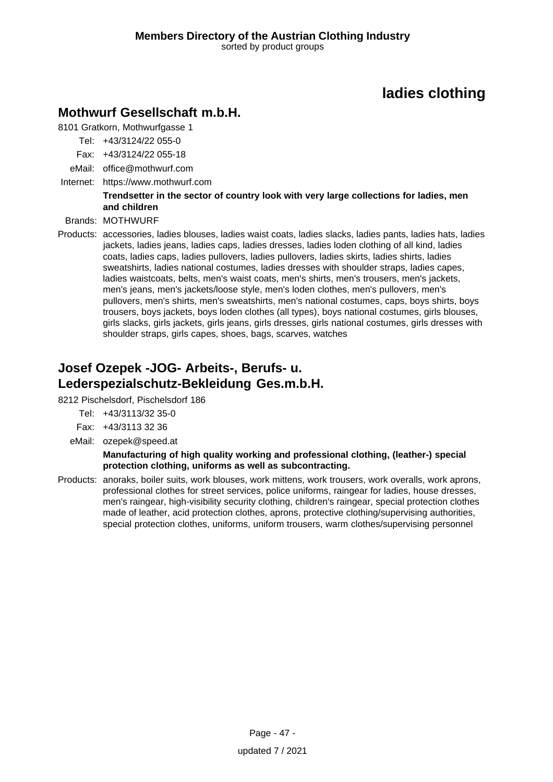## **Mothwurf Gesellschaft m.b.H.**

8101 Gratkorn, Mothwurfgasse 1

- Tel: +43/3124/22 055-0
- Fax: +43/3124/22 055-18
- eMail: office@mothwurf.com
- Internet: https://www.mothwurf.com

### **Trendsetter in the sector of country look with very large collections for ladies, men and children**

Brands: MOTHWURF

Products: accessories, ladies blouses, ladies waist coats, ladies slacks, ladies pants, ladies hats, ladies jackets, ladies jeans, ladies caps, ladies dresses, ladies loden clothing of all kind, ladies coats, ladies caps, ladies pullovers, ladies pullovers, ladies skirts, ladies shirts, ladies sweatshirts, ladies national costumes, ladies dresses with shoulder straps, ladies capes, ladies waistcoats, belts, men's waist coats, men's shirts, men's trousers, men's jackets, men's jeans, men's jackets/loose style, men's loden clothes, men's pullovers, men's pullovers, men's shirts, men's sweatshirts, men's national costumes, caps, boys shirts, boys trousers, boys jackets, boys loden clothes (all types), boys national costumes, girls blouses, girls slacks, girls jackets, girls jeans, girls dresses, girls national costumes, girls dresses with shoulder straps, girls capes, shoes, bags, scarves, watches

## **Josef Ozepek -JOG- Arbeits-, Berufs- u. Lederspezialschutz-Bekleidung Ges.m.b.H.**

8212 Pischelsdorf, Pischelsdorf 186

- Tel: +43/3113/32 35-0
- Fax: +43/3113 32 36
- eMail: ozepek@speed.at

**Manufacturing of high quality working and professional clothing, (leather-) special protection clothing, uniforms as well as subcontracting.**

Products: anoraks, boiler suits, work blouses, work mittens, work trousers, work overalls, work aprons, professional clothes for street services, police uniforms, raingear for ladies, house dresses, men's raingear, high-visibility security clothing, children's raingear, special protection clothes made of leather, acid protection clothes, aprons, protective clothing/supervising authorities, special protection clothes, uniforms, uniform trousers, warm clothes/supervising personnel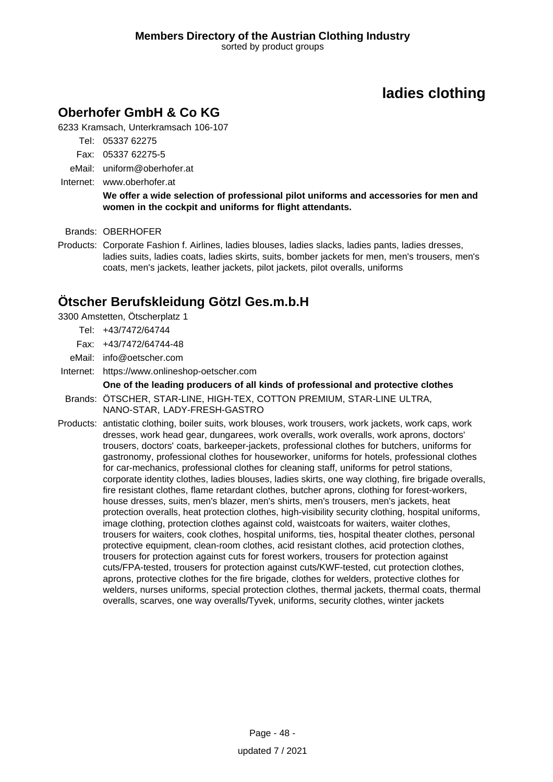## **Oberhofer GmbH & Co KG**

6233 Kramsach, Unterkramsach 106-107

- Tel: 05337 62275
- Fax: 05337 62275-5
- eMail: uniform@oberhofer.at
- Internet: www.oberhofer.at

**We offer a wide selection of professional pilot uniforms and accessories for men and women in the cockpit and uniforms for flight attendants.**

Brands: OBERHOFER

Products: Corporate Fashion f. Airlines, ladies blouses, ladies slacks, ladies pants, ladies dresses, ladies suits, ladies coats, ladies skirts, suits, bomber jackets for men, men's trousers, men's coats, men's jackets, leather jackets, pilot jackets, pilot overalls, uniforms

### **Ötscher Berufskleidung Götzl Ges.m.b.H**

3300 Amstetten, Ötscherplatz 1

- Tel: +43/7472/64744
- Fax: +43/7472/64744-48
- eMail: info@oetscher.com
- Internet: https://www.onlineshop-oetscher.com

#### **One of the leading producers of all kinds of professional and protective clothes** Brands: ÖTSCHER, STAR-LINE, HIGH-TEX, COTTON PREMIUM, STAR-LINE ULTRA, NANO-STAR, LADY-FRESH-GASTRO

Products: antistatic clothing, boiler suits, work blouses, work trousers, work jackets, work caps, work dresses, work head gear, dungarees, work overalls, work overalls, work aprons, doctors' trousers, doctors' coats, barkeeper-jackets, professional clothes for butchers, uniforms for gastronomy, professional clothes for houseworker, uniforms for hotels, professional clothes for car-mechanics, professional clothes for cleaning staff, uniforms for petrol stations, corporate identity clothes, ladies blouses, ladies skirts, one way clothing, fire brigade overalls, fire resistant clothes, flame retardant clothes, butcher aprons, clothing for forest-workers, house dresses, suits, men's blazer, men's shirts, men's trousers, men's jackets, heat protection overalls, heat protection clothes, high-visibility security clothing, hospital uniforms, image clothing, protection clothes against cold, waistcoats for waiters, waiter clothes, trousers for waiters, cook clothes, hospital uniforms, ties, hospital theater clothes, personal protective equipment, clean-room clothes, acid resistant clothes, acid protection clothes, trousers for protection against cuts for forest workers, trousers for protection against cuts/FPA-tested, trousers for protection against cuts/KWF-tested, cut protection clothes, aprons, protective clothes for the fire brigade, clothes for welders, protective clothes for welders, nurses uniforms, special protection clothes, thermal jackets, thermal coats, thermal overalls, scarves, one way overalls/Tyvek, uniforms, security clothes, winter jackets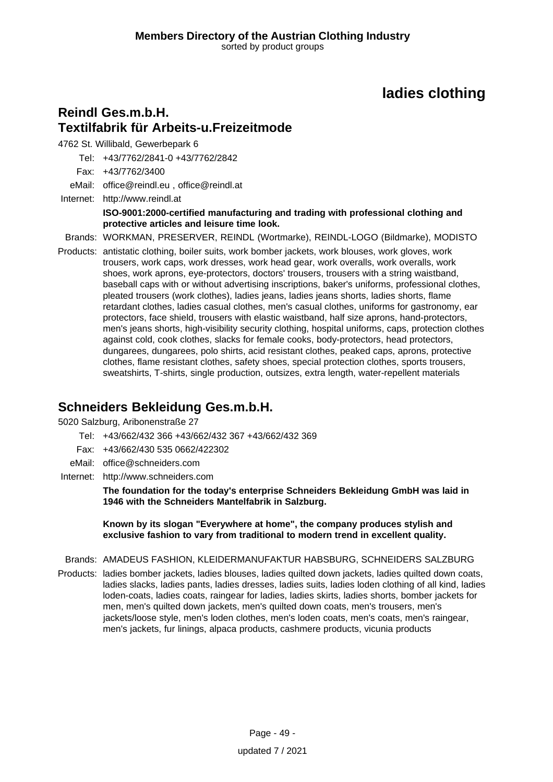## **Reindl Ges.m.b.H. Textilfabrik für Arbeits-u.Freizeitmode**

4762 St. Willibald, Gewerbepark 6

Tel: +43/7762/2841-0 +43/7762/2842

Fax: +43/7762/3400

eMail: office@reindl.eu , office@reindl.at

Internet: <http://www.reindl.at> **ISO-9001:2000-certified manufacturing and trading with professional clothing and protective articles and leisure time look.**

Brands: WORKMAN, PRESERVER, REINDL (Wortmarke), REINDL-LOGO (Bildmarke), MODISTO

Products: antistatic clothing, boiler suits, work bomber jackets, work blouses, work gloves, work trousers, work caps, work dresses, work head gear, work overalls, work overalls, work shoes, work aprons, eye-protectors, doctors' trousers, trousers with a string waistband, baseball caps with or without advertising inscriptions, baker's uniforms, professional clothes, pleated trousers (work clothes), ladies jeans, ladies jeans shorts, ladies shorts, flame retardant clothes, ladies casual clothes, men's casual clothes, uniforms for gastronomy, ear protectors, face shield, trousers with elastic waistband, half size aprons, hand-protectors, men's jeans shorts, high-visibility security clothing, hospital uniforms, caps, protection clothes against cold, cook clothes, slacks for female cooks, body-protectors, head protectors, dungarees, dungarees, polo shirts, acid resistant clothes, peaked caps, aprons, protective clothes, flame resistant clothes, safety shoes, special protection clothes, sports trousers, sweatshirts, T-shirts, single production, outsizes, extra length, water-repellent materials

## **Schneiders Bekleidung Ges.m.b.H.**

5020 Salzburg, Aribonenstraße 27

- Tel: +43/662/432 366 +43/662/432 367 +43/662/432 369
- Fax: +43/662/430 535 0662/422302
- eMail: office@schneiders.com
- Internet: <http://www.schneiders.com>

**The foundation for the today's enterprise Schneiders Bekleidung GmbH was laid in 1946 with the Schneiders Mantelfabrik in Salzburg.**

**Known by its slogan "Everywhere at home", the company produces stylish and exclusive fashion to vary from traditional to modern trend in excellent quality.**

Brands: AMADEUS FASHION, KLEIDERMANUFAKTUR HABSBURG, SCHNEIDERS SALZBURG

Products: ladies bomber jackets, ladies blouses, ladies quilted down jackets, ladies quilted down coats, ladies slacks, ladies pants, ladies dresses, ladies suits, ladies loden clothing of all kind, ladies loden-coats, ladies coats, raingear for ladies, ladies skirts, ladies shorts, bomber jackets for men, men's quilted down jackets, men's quilted down coats, men's trousers, men's jackets/loose style, men's loden clothes, men's loden coats, men's coats, men's raingear, men's jackets, fur linings, alpaca products, cashmere products, vicunia products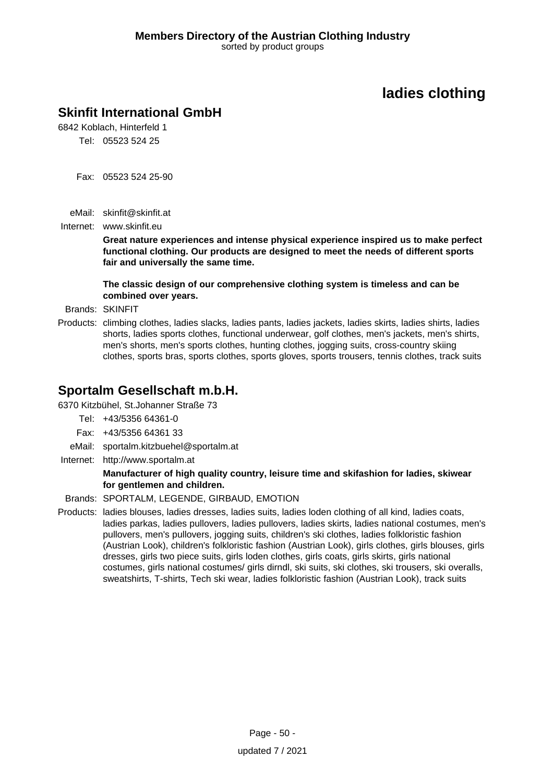## **Skinfit International GmbH**

6842 Koblach, Hinterfeld 1 Tel: 05523 524 25

Fax: 05523 524 25-90

eMail: skinfit@skinfit.at

Internet: www.skinfit.eu

**Great nature experiences and intense physical experience inspired us to make perfect functional clothing. Our products are designed to meet the needs of different sports fair and universally the same time.**

**The classic design of our comprehensive clothing system is timeless and can be combined over years.**

Brands: SKINFIT

Products: climbing clothes, ladies slacks, ladies pants, ladies jackets, ladies skirts, ladies shirts, ladies shorts, ladies sports clothes, functional underwear, golf clothes, men's jackets, men's shirts, men's shorts, men's sports clothes, hunting clothes, jogging suits, cross-country skiing clothes, sports bras, sports clothes, sports gloves, sports trousers, tennis clothes, track suits

### **Sportalm Gesellschaft m.b.H.**

6370 Kitzbühel, St.Johanner Straße 73

- Tel: +43/5356 64361-0
- Fax: +43/5356 64361 33
- eMail: sportalm.kitzbuehel@sportalm.at
- Internet: <http://www.sportalm.at>

#### **Manufacturer of high quality country, leisure time and skifashion for ladies, skiwear for gentlemen and children.**

Brands: SPORTALM, LEGENDE, GIRBAUD, EMOTION

Products: ladies blouses, ladies dresses, ladies suits, ladies loden clothing of all kind, ladies coats, ladies parkas, ladies pullovers, ladies pullovers, ladies skirts, ladies national costumes, men's pullovers, men's pullovers, jogging suits, children's ski clothes, ladies folkloristic fashion (Austrian Look), children's folkloristic fashion (Austrian Look), girls clothes, girls blouses, girls dresses, girls two piece suits, girls loden clothes, girls coats, girls skirts, girls national costumes, girls national costumes/ girls dirndl, ski suits, ski clothes, ski trousers, ski overalls, sweatshirts, T-shirts, Tech ski wear, ladies folkloristic fashion (Austrian Look), track suits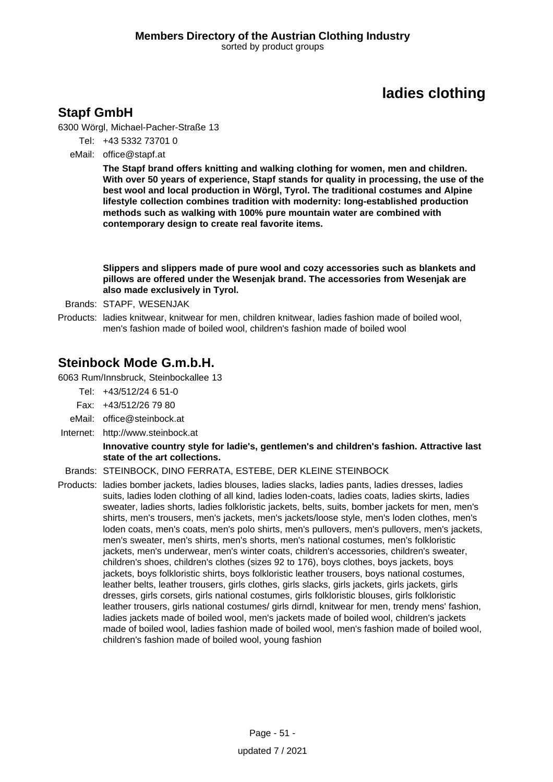## **Stapf GmbH**

6300 Wörgl, Michael-Pacher-Straße 13

- Tel: +43 5332 73701 0
- eMail: office@stapf.at

**The Stapf brand offers knitting and walking clothing for women, men and children. With over 50 years of experience, Stapf stands for quality in processing, the use of the best wool and local production in Wörgl, Tyrol. The traditional costumes and Alpine lifestyle collection combines tradition with modernity: long-established production methods such as walking with 100% pure mountain water are combined with contemporary design to create real favorite items.**

**Slippers and slippers made of pure wool and cozy accessories such as blankets and pillows are offered under the Wesenjak brand. The accessories from Wesenjak are also made exclusively in Tyrol.**

- Brands: STAPF, WESENJAK
- Products: ladies knitwear, knitwear for men, children knitwear, ladies fashion made of boiled wool, men's fashion made of boiled wool, children's fashion made of boiled wool

### **Steinbock Mode G.m.b.H.**

6063 Rum/Innsbruck, Steinbockallee 13

- Tel: +43/512/24 6 51-0
- Fax: +43/512/26 79 80
- eMail: office@steinbock.at
- Internet: <http://www.steinbock.at>

#### **Innovative country style for ladie's, gentlemen's and children's fashion. Attractive last state of the art collections.**

#### Brands: STEINBOCK, DINO FERRATA, ESTEBE, DER KLEINE STEINBOCK

Products: ladies bomber jackets, ladies blouses, ladies slacks, ladies pants, ladies dresses, ladies suits, ladies loden clothing of all kind, ladies loden-coats, ladies coats, ladies skirts, ladies sweater, ladies shorts, ladies folkloristic jackets, belts, suits, bomber jackets for men, men's shirts, men's trousers, men's jackets, men's jackets/loose style, men's loden clothes, men's loden coats, men's coats, men's polo shirts, men's pullovers, men's pullovers, men's jackets, men's sweater, men's shirts, men's shorts, men's national costumes, men's folkloristic jackets, men's underwear, men's winter coats, children's accessories, children's sweater, children's shoes, children's clothes (sizes 92 to 176), boys clothes, boys jackets, boys jackets, boys folkloristic shirts, boys folkloristic leather trousers, boys national costumes, leather belts, leather trousers, girls clothes, girls slacks, girls jackets, girls jackets, girls dresses, girls corsets, girls national costumes, girls folkloristic blouses, girls folkloristic leather trousers, girls national costumes/ girls dirndl, knitwear for men, trendy mens' fashion, ladies jackets made of boiled wool, men's jackets made of boiled wool, children's jackets made of boiled wool, ladies fashion made of boiled wool, men's fashion made of boiled wool, children's fashion made of boiled wool, young fashion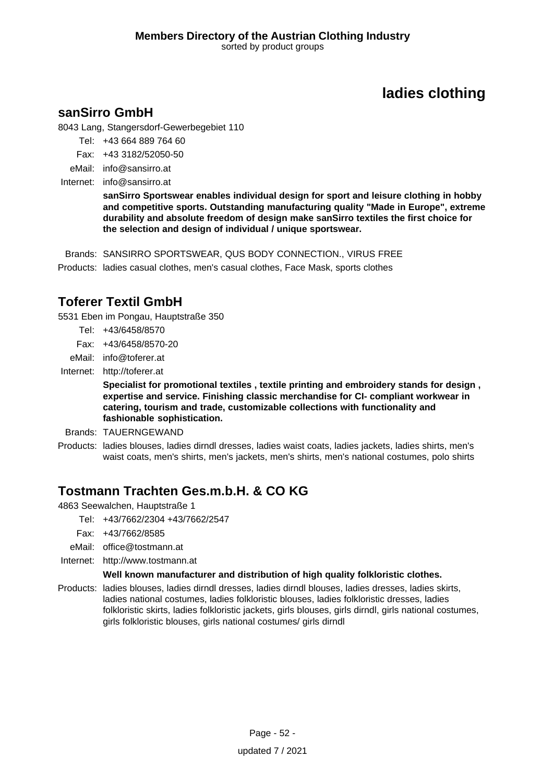### **sanSirro GmbH**

8043 Lang, Stangersdorf-Gewerbegebiet 110

- Tel: +43 664 889 764 60
- Fax: +43 3182/52050-50
- eMail: info@sansirro.at
- Internet: info@sansirro.at

**sanSirro Sportswear enables individual design for sport and leisure clothing in hobby and competitive sports. Outstanding manufacturing quality "Made in Europe", extreme durability and absolute freedom of design make sanSirro textiles the first choice for the selection and design of individual / unique sportswear.**

Brands: SANSIRRO SPORTSWEAR, QUS BODY CONNECTION., VIRUS FREE Products: ladies casual clothes, men's casual clothes, Face Mask, sports clothes

## **Toferer Textil GmbH**

5531 Eben im Pongau, Hauptstraße 350

- Tel: +43/6458/8570
- Fax: +43/6458/8570-20
- eMail: info@toferer.at
- Internet: <http://toferer.at>

**Specialist for promotional textiles , textile printing and embroidery stands for design , expertise and service. Finishing classic merchandise for CI- compliant workwear in catering, tourism and trade, customizable collections with functionality and fashionable sophistication.**

- Brands: TAUERNGEWAND
- Products: ladies blouses, ladies dirndl dresses, ladies waist coats, ladies jackets, ladies shirts, men's waist coats, men's shirts, men's jackets, men's shirts, men's national costumes, polo shirts

## **Tostmann Trachten Ges.m.b.H. & CO KG**

4863 Seewalchen, Hauptstraße 1

- Tel: +43/7662/2304 +43/7662/2547
- Fax: +43/7662/8585
- eMail: office@tostmann.at
- Internet: <http://www.tostmann.at>

### **Well known manufacturer and distribution of high quality folkloristic clothes.**

Products: ladies blouses, ladies dirndl dresses, ladies dirndl blouses, ladies dresses, ladies skirts, ladies national costumes, ladies folkloristic blouses, ladies folkloristic dresses, ladies folkloristic skirts, ladies folkloristic jackets, girls blouses, girls dirndl, girls national costumes, girls folkloristic blouses, girls national costumes/ girls dirndl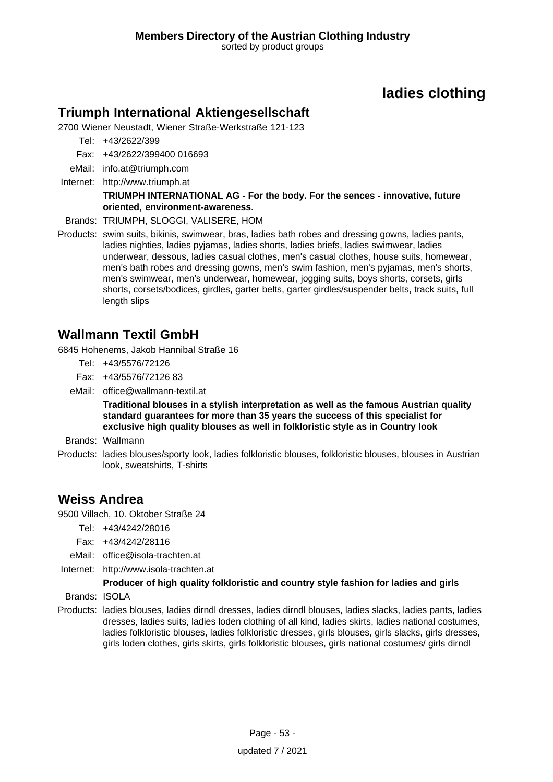### **Triumph International Aktiengesellschaft**

2700 Wiener Neustadt, Wiener Straße-Werkstraße 121-123

Tel: +43/2622/399

Fax: +43/2622/399400 016693

- eMail: info.at@triumph.com
- Internet: <http://www.triumph.at>

#### **TRIUMPH INTERNATIONAL AG - For the body. For the sences - innovative, future oriented, environment-awareness.**

Brands: TRIUMPH, SLOGGI, VALISERE, HOM

Products: swim suits, bikinis, swimwear, bras, ladies bath robes and dressing gowns, ladies pants, ladies nighties, ladies pyjamas, ladies shorts, ladies briefs, ladies swimwear, ladies underwear, dessous, ladies casual clothes, men's casual clothes, house suits, homewear, men's bath robes and dressing gowns, men's swim fashion, men's pyjamas, men's shorts, men's swimwear, men's underwear, homewear, jogging suits, boys shorts, corsets, girls shorts, corsets/bodices, girdles, garter belts, garter girdles/suspender belts, track suits, full length slips

## **Wallmann Textil GmbH**

6845 Hohenems, Jakob Hannibal Straße 16

- Tel: +43/5576/72126
- Fax: +43/5576/72126 83
- eMail: office@wallmann-textil.at

**Traditional blouses in a stylish interpretation as well as the famous Austrian quality standard guarantees for more than 35 years the success of this specialist for exclusive high quality blouses as well in folkloristic style as in Country look**

Brands: Wallmann

Products: ladies blouses/sporty look, ladies folkloristic blouses, folkloristic blouses, blouses in Austrian look, sweatshirts, T-shirts

### **Weiss Andrea**

9500 Villach, 10. Oktober Straße 24

Tel: +43/4242/28016

- Fax: +43/4242/28116
- eMail: office@isola-trachten.at
- Internet: <http://www.isola-trachten.at>

### **Producer of high quality folkloristic and country style fashion for ladies and girls**

Brands: ISOLA

Products: ladies blouses, ladies dirndl dresses, ladies dirndl blouses, ladies slacks, ladies pants, ladies dresses, ladies suits, ladies loden clothing of all kind, ladies skirts, ladies national costumes, ladies folkloristic blouses, ladies folkloristic dresses, girls blouses, girls slacks, girls dresses, girls loden clothes, girls skirts, girls folkloristic blouses, girls national costumes/ girls dirndl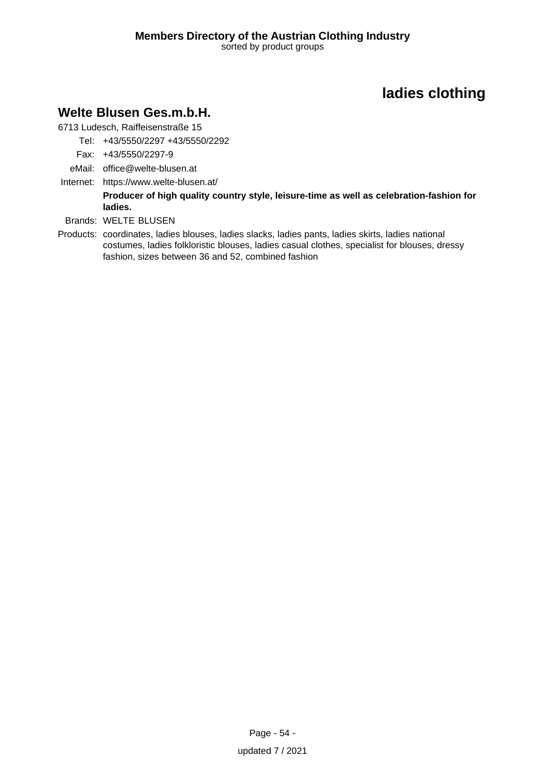## **Welte Blusen Ges.m.b.H.**

6713 Ludesch, Raiffeisenstraße 15

- Tel: +43/5550/2297 +43/5550/2292
- Fax: +43/5550/2297-9
- eMail: office@welte-blusen.at
- Internet: https://www.welte-blusen.at/

**Producer of high quality country style, leisure-time as well as celebration-fashion for ladies.**

- Brands: WELTE BLUSEN
- Products: coordinates, ladies blouses, ladies slacks, ladies pants, ladies skirts, ladies national costumes, ladies folkloristic blouses, ladies casual clothes, specialist for blouses, dressy fashion, sizes between 36 and 52, combined fashion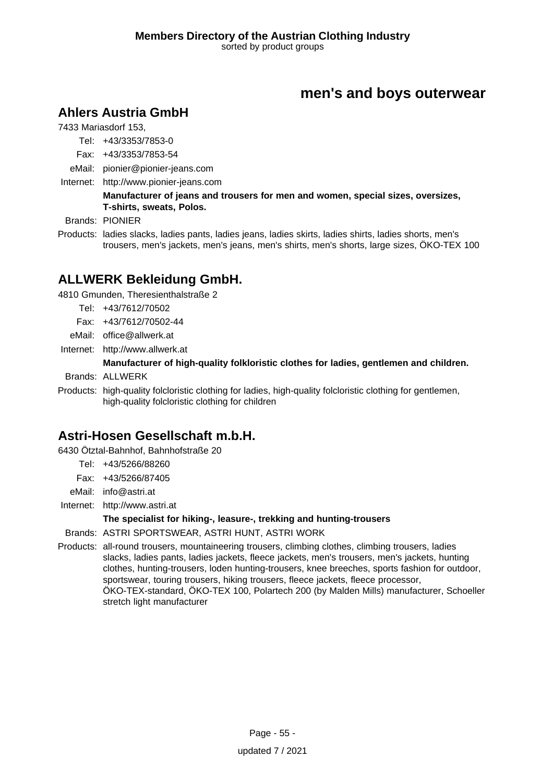## **Ahlers Austria GmbH**

7433 Mariasdorf 153,

- Tel: +43/3353/7853-0
- Fax: +43/3353/7853-54
- eMail: pionier@pionier-jeans.com
- Internet: <http://www.pionier-jeans.com>

### **Manufacturer of jeans and trousers for men and women, special sizes, oversizes, T-shirts, sweats, Polos.**

Brands: PIONIER

Products: ladies slacks, ladies pants, ladies jeans, ladies skirts, ladies shirts, ladies shorts, men's trousers, men's jackets, men's jeans, men's shirts, men's shorts, large sizes, ÖKO-TEX 100

## **ALLWERK Bekleidung GmbH.**

4810 Gmunden, Theresienthalstraße 2

- Tel: +43/7612/70502
- Fax: +43/7612/70502-44
- eMail: office@allwerk.at
- Internet: <http://www.allwerk.at>

#### **Manufacturer of high-quality folkloristic clothes for ladies, gentlemen and children.**

Brands: ALLWERK

Products: high-quality folcloristic clothing for ladies, high-quality folcloristic clothing for gentlemen, high-quality folcloristic clothing for children

## **Astri-Hosen Gesellschaft m.b.H.**

6430 Ötztal-Bahnhof, Bahnhofstraße 20

- Tel: +43/5266/88260
- Fax: +43/5266/87405
- eMail: info@astri.at
- Internet: <http://www.astri.at>

#### **The specialist for hiking-, leasure-, trekking and hunting-trousers**

Brands: ASTRI SPORTSWEAR, ASTRI HUNT, ASTRI WORK

Products: all-round trousers, mountaineering trousers, climbing clothes, climbing trousers, ladies slacks, ladies pants, ladies jackets, fleece jackets, men's trousers, men's jackets, hunting clothes, hunting-trousers, loden hunting-trousers, knee breeches, sports fashion for outdoor, sportswear, touring trousers, hiking trousers, fleece jackets, fleece processor, ÖKO-TEX-standard, ÖKO-TEX 100, Polartech 200 (by Malden Mills) manufacturer, Schoeller stretch light manufacturer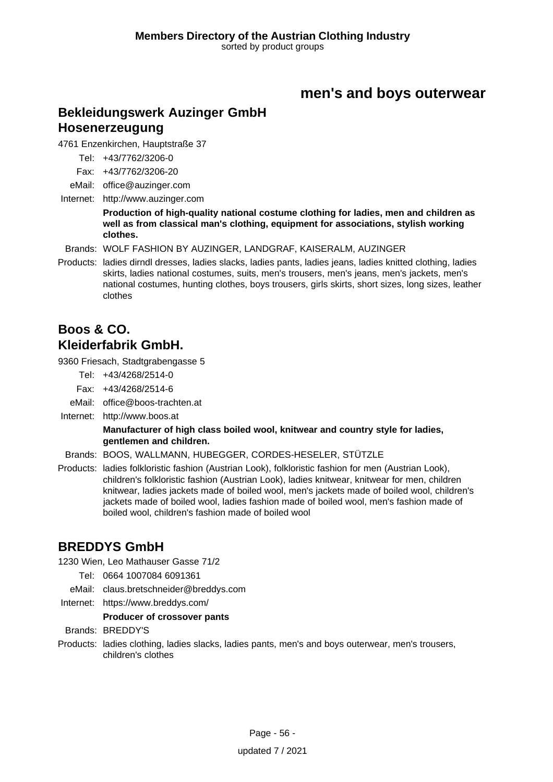### **Bekleidungswerk Auzinger GmbH Hosenerzeugung**

4761 Enzenkirchen, Hauptstraße 37

Tel: +43/7762/3206-0

Fax: +43/7762/3206-20

eMail: office@auzinger.com

Internet: <http://www.auzinger.com>

**Production of high-quality national costume clothing for ladies, men and children as well as from classical man's clothing, equipment for associations, stylish working clothes.**

Brands: WOLF FASHION BY AUZINGER, LANDGRAF, KAISERALM, AUZINGER

Products: ladies dirndl dresses, ladies slacks, ladies pants, ladies jeans, ladies knitted clothing, ladies skirts, ladies national costumes, suits, men's trousers, men's jeans, men's jackets, men's national costumes, hunting clothes, boys trousers, girls skirts, short sizes, long sizes, leather clothes

## **Boos & CO. Kleiderfabrik GmbH.**

9360 Friesach, Stadtgrabengasse 5

- Tel: +43/4268/2514-0
- Fax: +43/4268/2514-6
- eMail: office@boos-trachten.at
- Internet: <http://www.boos.at>

### **Manufacturer of high class boiled wool, knitwear and country style for ladies, gentlemen and children.**

- Brands: BOOS, WALLMANN, HUBEGGER, CORDES-HESELER, STÜTZLE
- Products: ladies folkloristic fashion (Austrian Look), folkloristic fashion for men (Austrian Look), children's folkloristic fashion (Austrian Look), ladies knitwear, knitwear for men, children knitwear, ladies jackets made of boiled wool, men's jackets made of boiled wool, children's jackets made of boiled wool, ladies fashion made of boiled wool, men's fashion made of boiled wool, children's fashion made of boiled wool

## **BREDDYS GmbH**

1230 Wien, Leo Mathauser Gasse 71/2

- Tel: 0664 1007084 6091361
- eMail: claus.bretschneider@breddys.com
- Internet: https://www.breddys.com/

**Producer of crossover pants**

Brands: BREDDY'S

Products: ladies clothing, ladies slacks, ladies pants, men's and boys outerwear, men's trousers, children's clothes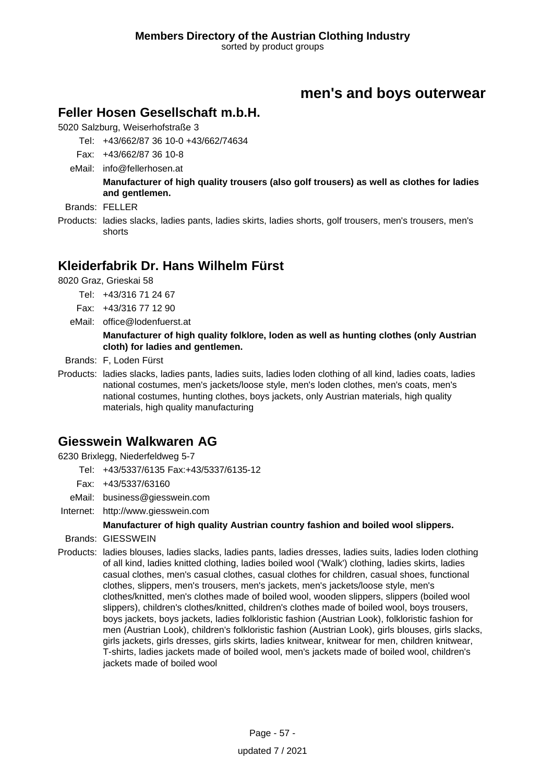### **Feller Hosen Gesellschaft m.b.H.**

5020 Salzburg, Weiserhofstraße 3

- Tel: +43/662/87 36 10-0 +43/662/74634
- Fax: +43/662/87 36 10-8
- eMail: info@fellerhosen.at

**Manufacturer of high quality trousers (also golf trousers) as well as clothes for ladies and gentlemen.**

- Brands: FELLER
- Products: ladies slacks, ladies pants, ladies skirts, ladies shorts, golf trousers, men's trousers, men's shorts

## **Kleiderfabrik Dr. Hans Wilhelm Fürst**

8020 Graz, Grieskai 58

- Tel: +43/316 71 24 67
- Fax: +43/316 77 12 90
- eMail: office@lodenfuerst.at

#### **Manufacturer of high quality folklore, loden as well as hunting clothes (only Austrian cloth) for ladies and gentlemen.**

Brands: F, Loden Fürst

Products: ladies slacks, ladies pants, ladies suits, ladies loden clothing of all kind, ladies coats, ladies national costumes, men's jackets/loose style, men's loden clothes, men's coats, men's national costumes, hunting clothes, boys jackets, only Austrian materials, high quality materials, high quality manufacturing

## **Giesswein Walkwaren AG**

6230 Brixlegg, Niederfeldweg 5-7

- Tel: +43/5337/6135 Fax:+43/5337/6135-12
- Fax: +43/5337/63160
- eMail: business@giesswein.com
- Internet: <http://www.giesswein.com>

### **Manufacturer of high quality Austrian country fashion and boiled wool slippers.**

- Brands: GIESSWEIN
- Products: ladies blouses, ladies slacks, ladies pants, ladies dresses, ladies suits, ladies loden clothing of all kind, ladies knitted clothing, ladies boiled wool ('Walk') clothing, ladies skirts, ladies casual clothes, men's casual clothes, casual clothes for children, casual shoes, functional clothes, slippers, men's trousers, men's jackets, men's jackets/loose style, men's clothes/knitted, men's clothes made of boiled wool, wooden slippers, slippers (boiled wool slippers), children's clothes/knitted, children's clothes made of boiled wool, boys trousers, boys jackets, boys jackets, ladies folkloristic fashion (Austrian Look), folkloristic fashion for men (Austrian Look), children's folkloristic fashion (Austrian Look), girls blouses, girls slacks, girls jackets, girls dresses, girls skirts, ladies knitwear, knitwear for men, children knitwear, T-shirts, ladies jackets made of boiled wool, men's jackets made of boiled wool, children's jackets made of boiled wool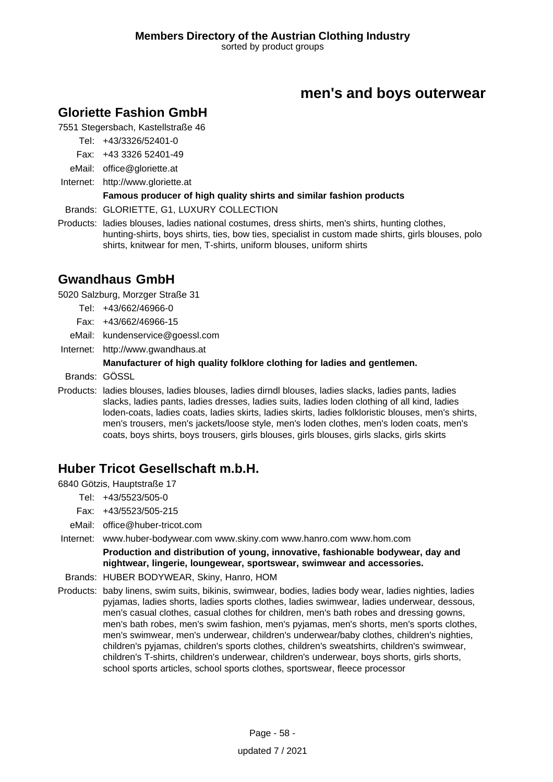## **Gloriette Fashion GmbH**

7551 Stegersbach, Kastellstraße 46

Tel: +43/3326/52401-0

Fax: +43 3326 52401-49

- eMail: office@gloriette.at
- Internet: <http://www.gloriette.at>

### **Famous producer of high quality shirts and similar fashion products**

Brands: GLORIETTE, G1, LUXURY COLLECTION

Products: ladies blouses, ladies national costumes, dress shirts, men's shirts, hunting clothes, hunting-shirts, boys shirts, ties, bow ties, specialist in custom made shirts, girls blouses, polo shirts, knitwear for men, T-shirts, uniform blouses, uniform shirts

### **Gwandhaus GmbH**

5020 Salzburg, Morzger Straße 31

- Tel: +43/662/46966-0
- Fax: +43/662/46966-15
- eMail: kundenservice@goessl.com
- Internet: <http://www.gwandhaus.at>

### **Manufacturer of high quality folklore clothing for ladies and gentlemen.**

Brands: GÖSSL

Products: ladies blouses, ladies blouses, ladies dirndl blouses, ladies slacks, ladies pants, ladies slacks, ladies pants, ladies dresses, ladies suits, ladies loden clothing of all kind, ladies loden-coats, ladies coats, ladies skirts, ladies skirts, ladies folkloristic blouses, men's shirts, men's trousers, men's jackets/loose style, men's loden clothes, men's loden coats, men's coats, boys shirts, boys trousers, girls blouses, girls blouses, girls slacks, girls skirts

## **Huber Tricot Gesellschaft m.b.H.**

6840 Götzis, Hauptstraße 17

- Tel: +43/5523/505-0
- Fax: +43/5523/505-215
- eMail: office@huber-tricot.com

Internet: www.huber-bodywear.com www.skiny.com www.hanro.com www.hom.com

**Production and distribution of young, innovative, fashionable bodywear, day and nightwear, lingerie, loungewear, sportswear, swimwear and accessories.**

- Brands: HUBER BODYWEAR, Skiny, Hanro, HOM
- Products: baby linens, swim suits, bikinis, swimwear, bodies, ladies body wear, ladies nighties, ladies pyjamas, ladies shorts, ladies sports clothes, ladies swimwear, ladies underwear, dessous, men's casual clothes, casual clothes for children, men's bath robes and dressing gowns, men's bath robes, men's swim fashion, men's pyjamas, men's shorts, men's sports clothes, men's swimwear, men's underwear, children's underwear/baby clothes, children's nighties, children's pyjamas, children's sports clothes, children's sweatshirts, children's swimwear, children's T-shirts, children's underwear, children's underwear, boys shorts, girls shorts, school sports articles, school sports clothes, sportswear, fleece processor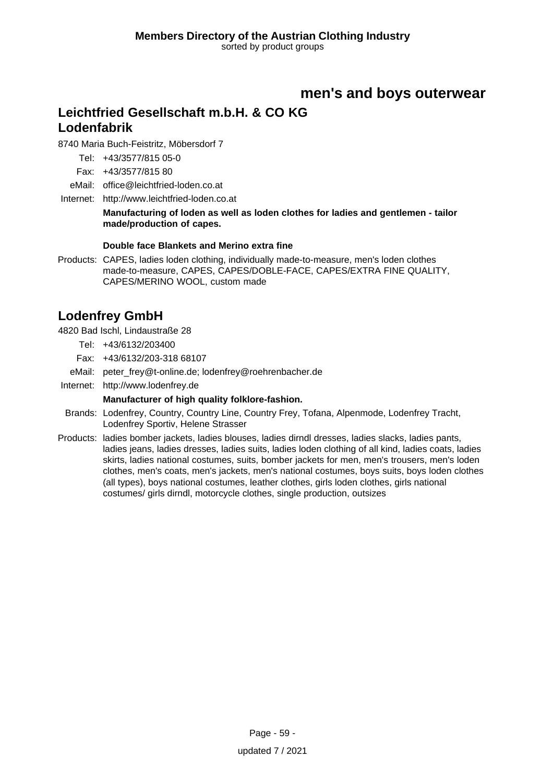## **Leichtfried Gesellschaft m.b.H. & CO KG Lodenfabrik**

8740 Maria Buch-Feistritz, Möbersdorf 7

Tel: +43/3577/815 05-0

Fax: +43/3577/815 80

eMail: office@leichtfried-loden.co.at

Internet: <http://www.leichtfried-loden.co.at>

**Manufacturing of loden as well as loden clothes for ladies and gentlemen - tailor made/production of capes.**

### **Double face Blankets and Merino extra fine**

Products: CAPES, ladies loden clothing, individually made-to-measure, men's loden clothes made-to-measure, CAPES, CAPES/DOBLE-FACE, CAPES/EXTRA FINE QUALITY, CAPES/MERINO WOOL, custom made

## **Lodenfrey GmbH**

4820 Bad Ischl, Lindaustraße 28

Tel: +43/6132/203400

Fax: +43/6132/203-318 68107

eMail: peter\_frey@t-online.de; lodenfrey@roehrenbacher.de

Internet: <http://www.lodenfrey.de>

### **Manufacturer of high quality folklore-fashion.**

- Brands: Lodenfrey, Country, Country Line, Country Frey, Tofana, Alpenmode, Lodenfrey Tracht, Lodenfrey Sportiv, Helene Strasser
- Products: ladies bomber jackets, ladies blouses, ladies dirndl dresses, ladies slacks, ladies pants, ladies jeans, ladies dresses, ladies suits, ladies loden clothing of all kind, ladies coats, ladies skirts, ladies national costumes, suits, bomber jackets for men, men's trousers, men's loden clothes, men's coats, men's jackets, men's national costumes, boys suits, boys loden clothes (all types), boys national costumes, leather clothes, girls loden clothes, girls national costumes/ girls dirndl, motorcycle clothes, single production, outsizes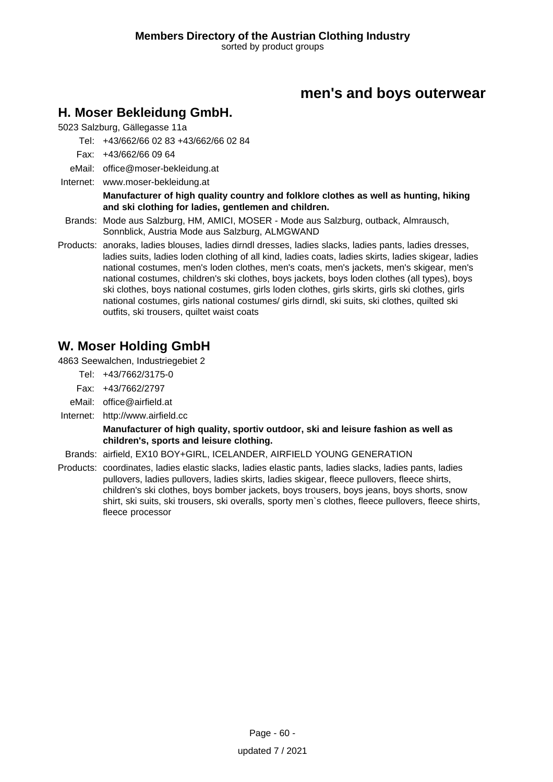## **H. Moser Bekleidung GmbH.**

5023 Salzburg, Gällegasse 11a

Tel: +43/662/66 02 83 +43/662/66 02 84

- Fax: +43/662/66 09 64
- eMail: office@moser-bekleidung.at
- Internet: www.moser-bekleidung.at

#### **Manufacturer of high quality country and folklore clothes as well as hunting, hiking and ski clothing for ladies, gentlemen and children.**

- Brands: Mode aus Salzburg, HM, AMICI, MOSER Mode aus Salzburg, outback, Almrausch, Sonnblick, Austria Mode aus Salzburg, ALMGWAND
- Products: anoraks, ladies blouses, ladies dirndl dresses, ladies slacks, ladies pants, ladies dresses, ladies suits, ladies loden clothing of all kind, ladies coats, ladies skirts, ladies skigear, ladies national costumes, men's loden clothes, men's coats, men's jackets, men's skigear, men's national costumes, children's ski clothes, boys jackets, boys loden clothes (all types), boys ski clothes, boys national costumes, girls loden clothes, girls skirts, girls ski clothes, girls national costumes, girls national costumes/ girls dirndl, ski suits, ski clothes, quilted ski outfits, ski trousers, quiltet waist coats

## **W. Moser Holding GmbH**

4863 Seewalchen, Industriegebiet 2

- Tel: +43/7662/3175-0
- Fax: +43/7662/2797
- eMail: office@airfield.at
- Internet: <http://www.airfield.cc>

**Manufacturer of high quality, sportiv outdoor, ski and leisure fashion as well as children's, sports and leisure clothing.**

Brands: airfield, EX10 BOY+GIRL, ICELANDER, AIRFIELD YOUNG GENERATION

Products: coordinates, ladies elastic slacks, ladies elastic pants, ladies slacks, ladies pants, ladies pullovers, ladies pullovers, ladies skirts, ladies skigear, fleece pullovers, fleece shirts, children's ski clothes, boys bomber jackets, boys trousers, boys jeans, boys shorts, snow shirt, ski suits, ski trousers, ski overalls, sporty men`s clothes, fleece pullovers, fleece shirts, fleece processor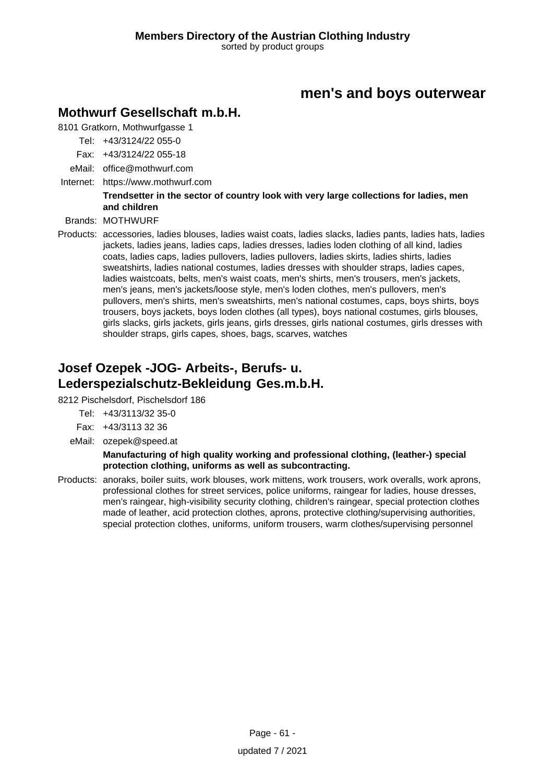## **Mothwurf Gesellschaft m.b.H.**

8101 Gratkorn, Mothwurfgasse 1

- Tel: +43/3124/22 055-0
- Fax: +43/3124/22 055-18
- eMail: office@mothwurf.com
- Internet: https://www.mothwurf.com

### **Trendsetter in the sector of country look with very large collections for ladies, men and children**

Brands: MOTHWURF

Products: accessories, ladies blouses, ladies waist coats, ladies slacks, ladies pants, ladies hats, ladies jackets, ladies jeans, ladies caps, ladies dresses, ladies loden clothing of all kind, ladies coats, ladies caps, ladies pullovers, ladies pullovers, ladies skirts, ladies shirts, ladies sweatshirts, ladies national costumes, ladies dresses with shoulder straps, ladies capes, ladies waistcoats, belts, men's waist coats, men's shirts, men's trousers, men's jackets, men's jeans, men's jackets/loose style, men's loden clothes, men's pullovers, men's pullovers, men's shirts, men's sweatshirts, men's national costumes, caps, boys shirts, boys trousers, boys jackets, boys loden clothes (all types), boys national costumes, girls blouses, girls slacks, girls jackets, girls jeans, girls dresses, girls national costumes, girls dresses with shoulder straps, girls capes, shoes, bags, scarves, watches

## **Josef Ozepek -JOG- Arbeits-, Berufs- u. Lederspezialschutz-Bekleidung Ges.m.b.H.**

8212 Pischelsdorf, Pischelsdorf 186

- Tel: +43/3113/32 35-0
- Fax: +43/3113 32 36
- eMail: ozepek@speed.at

**Manufacturing of high quality working and professional clothing, (leather-) special protection clothing, uniforms as well as subcontracting.**

Products: anoraks, boiler suits, work blouses, work mittens, work trousers, work overalls, work aprons, professional clothes for street services, police uniforms, raingear for ladies, house dresses, men's raingear, high-visibility security clothing, children's raingear, special protection clothes made of leather, acid protection clothes, aprons, protective clothing/supervising authorities, special protection clothes, uniforms, uniform trousers, warm clothes/supervising personnel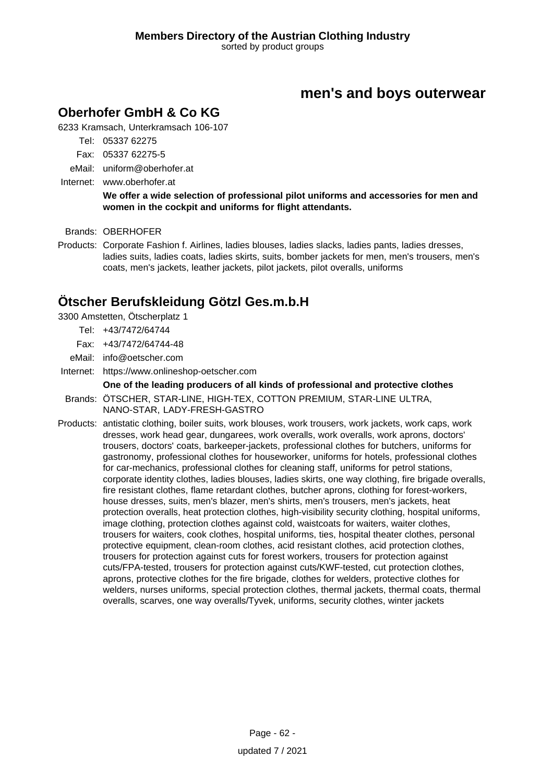## **Oberhofer GmbH & Co KG**

6233 Kramsach, Unterkramsach 106-107

- Tel: 05337 62275
- Fax: 05337 62275-5
- eMail: uniform@oberhofer.at

Internet: www.oberhofer.at

**We offer a wide selection of professional pilot uniforms and accessories for men and women in the cockpit and uniforms for flight attendants.**

Brands: OBERHOFER

Products: Corporate Fashion f. Airlines, ladies blouses, ladies slacks, ladies pants, ladies dresses, ladies suits, ladies coats, ladies skirts, suits, bomber jackets for men, men's trousers, men's coats, men's jackets, leather jackets, pilot jackets, pilot overalls, uniforms

### **Ötscher Berufskleidung Götzl Ges.m.b.H**

3300 Amstetten, Ötscherplatz 1

- Tel: +43/7472/64744
- Fax: +43/7472/64744-48
- eMail: info@oetscher.com

Internet: https://www.onlineshop-oetscher.com

#### **One of the leading producers of all kinds of professional and protective clothes** Brands: ÖTSCHER, STAR-LINE, HIGH-TEX, COTTON PREMIUM, STAR-LINE ULTRA, NANO-STAR, LADY-FRESH-GASTRO

Products: antistatic clothing, boiler suits, work blouses, work trousers, work jackets, work caps, work dresses, work head gear, dungarees, work overalls, work overalls, work aprons, doctors' trousers, doctors' coats, barkeeper-jackets, professional clothes for butchers, uniforms for gastronomy, professional clothes for houseworker, uniforms for hotels, professional clothes for car-mechanics, professional clothes for cleaning staff, uniforms for petrol stations, corporate identity clothes, ladies blouses, ladies skirts, one way clothing, fire brigade overalls, fire resistant clothes, flame retardant clothes, butcher aprons, clothing for forest-workers, house dresses, suits, men's blazer, men's shirts, men's trousers, men's jackets, heat protection overalls, heat protection clothes, high-visibility security clothing, hospital uniforms, image clothing, protection clothes against cold, waistcoats for waiters, waiter clothes, trousers for waiters, cook clothes, hospital uniforms, ties, hospital theater clothes, personal protective equipment, clean-room clothes, acid resistant clothes, acid protection clothes, trousers for protection against cuts for forest workers, trousers for protection against cuts/FPA-tested, trousers for protection against cuts/KWF-tested, cut protection clothes, aprons, protective clothes for the fire brigade, clothes for welders, protective clothes for welders, nurses uniforms, special protection clothes, thermal jackets, thermal coats, thermal overalls, scarves, one way overalls/Tyvek, uniforms, security clothes, winter jackets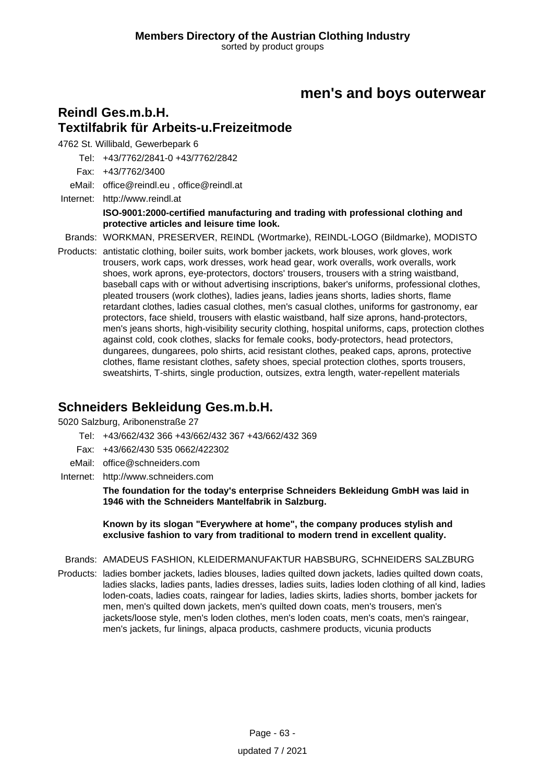### **Reindl Ges.m.b.H. Textilfabrik für Arbeits-u.Freizeitmode**

4762 St. Willibald, Gewerbepark 6

Tel: +43/7762/2841-0 +43/7762/2842

Fax: +43/7762/3400

eMail: office@reindl.eu , office@reindl.at

Internet: <http://www.reindl.at> **ISO-9001:2000-certified manufacturing and trading with professional clothing and protective articles and leisure time look.**

Brands: WORKMAN, PRESERVER, REINDL (Wortmarke), REINDL-LOGO (Bildmarke), MODISTO

Products: antistatic clothing, boiler suits, work bomber jackets, work blouses, work gloves, work trousers, work caps, work dresses, work head gear, work overalls, work overalls, work shoes, work aprons, eye-protectors, doctors' trousers, trousers with a string waistband, baseball caps with or without advertising inscriptions, baker's uniforms, professional clothes, pleated trousers (work clothes), ladies jeans, ladies jeans shorts, ladies shorts, flame retardant clothes, ladies casual clothes, men's casual clothes, uniforms for gastronomy, ear protectors, face shield, trousers with elastic waistband, half size aprons, hand-protectors, men's jeans shorts, high-visibility security clothing, hospital uniforms, caps, protection clothes against cold, cook clothes, slacks for female cooks, body-protectors, head protectors, dungarees, dungarees, polo shirts, acid resistant clothes, peaked caps, aprons, protective clothes, flame resistant clothes, safety shoes, special protection clothes, sports trousers, sweatshirts, T-shirts, single production, outsizes, extra length, water-repellent materials

### **Schneiders Bekleidung Ges.m.b.H.**

5020 Salzburg, Aribonenstraße 27

Tel: +43/662/432 366 +43/662/432 367 +43/662/432 369

- Fax: +43/662/430 535 0662/422302
- eMail: office@schneiders.com
- Internet: <http://www.schneiders.com>

**The foundation for the today's enterprise Schneiders Bekleidung GmbH was laid in 1946 with the Schneiders Mantelfabrik in Salzburg.**

**Known by its slogan "Everywhere at home", the company produces stylish and exclusive fashion to vary from traditional to modern trend in excellent quality.**

Brands: AMADEUS FASHION, KLEIDERMANUFAKTUR HABSBURG, SCHNEIDERS SALZBURG

Products: ladies bomber jackets, ladies blouses, ladies quilted down jackets, ladies quilted down coats, ladies slacks, ladies pants, ladies dresses, ladies suits, ladies loden clothing of all kind, ladies loden-coats, ladies coats, raingear for ladies, ladies skirts, ladies shorts, bomber jackets for men, men's quilted down jackets, men's quilted down coats, men's trousers, men's jackets/loose style, men's loden clothes, men's loden coats, men's coats, men's raingear, men's jackets, fur linings, alpaca products, cashmere products, vicunia products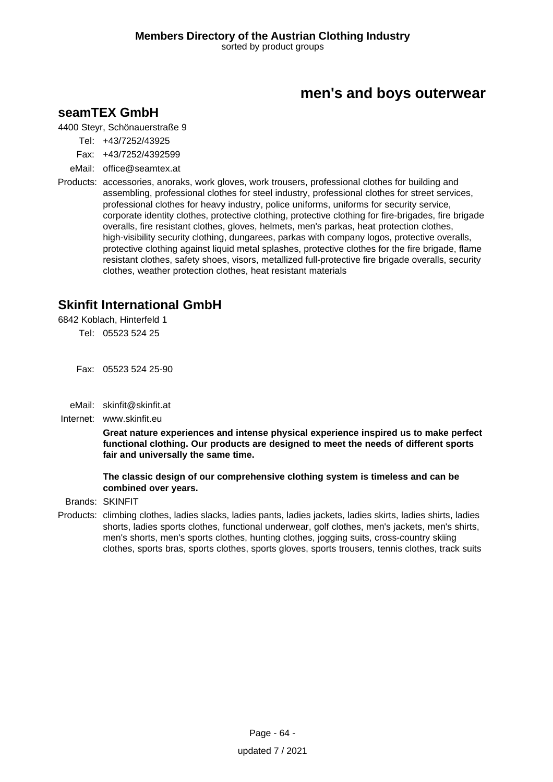### **seamTEX GmbH**

4400 Steyr, Schönauerstraße 9

- Tel: +43/7252/43925
- Fax: +43/7252/4392599
- eMail: office@seamtex.at
- Products: accessories, anoraks, work gloves, work trousers, professional clothes for building and assembling, professional clothes for steel industry, professional clothes for street services, professional clothes for heavy industry, police uniforms, uniforms for security service, corporate identity clothes, protective clothing, protective clothing for fire-brigades, fire brigade overalls, fire resistant clothes, gloves, helmets, men's parkas, heat protection clothes, high-visibility security clothing, dungarees, parkas with company logos, protective overalls, protective clothing against liquid metal splashes, protective clothes for the fire brigade, flame resistant clothes, safety shoes, visors, metallized full-protective fire brigade overalls, security clothes, weather protection clothes, heat resistant materials

## **Skinfit International GmbH**

6842 Koblach, Hinterfeld 1

Tel: 05523 524 25

Fax: 05523 524 25-90

eMail: skinfit@skinfit.at

Internet: www.skinfit.eu

**Great nature experiences and intense physical experience inspired us to make perfect functional clothing. Our products are designed to meet the needs of different sports fair and universally the same time.**

**The classic design of our comprehensive clothing system is timeless and can be combined over years.**

Brands: SKINFIT

Products: climbing clothes, ladies slacks, ladies pants, ladies jackets, ladies skirts, ladies shirts, ladies shorts, ladies sports clothes, functional underwear, golf clothes, men's jackets, men's shirts, men's shorts, men's sports clothes, hunting clothes, jogging suits, cross-country skiing clothes, sports bras, sports clothes, sports gloves, sports trousers, tennis clothes, track suits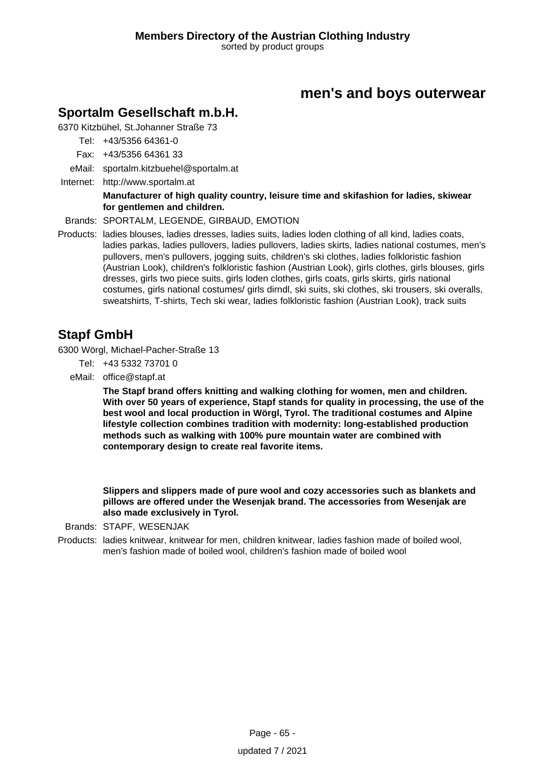## **Sportalm Gesellschaft m.b.H.**

6370 Kitzbühel, St.Johanner Straße 73

Tel: +43/5356 64361-0

Fax: +43/5356 64361 33

eMail: sportalm.kitzbuehel@sportalm.at

Internet: <http://www.sportalm.at>

#### **Manufacturer of high quality country, leisure time and skifashion for ladies, skiwear for gentlemen and children.**

Brands: SPORTALM, LEGENDE, GIRBAUD, EMOTION

Products: ladies blouses, ladies dresses, ladies suits, ladies loden clothing of all kind, ladies coats, ladies parkas, ladies pullovers, ladies pullovers, ladies skirts, ladies national costumes, men's pullovers, men's pullovers, jogging suits, children's ski clothes, ladies folkloristic fashion (Austrian Look), children's folkloristic fashion (Austrian Look), girls clothes, girls blouses, girls dresses, girls two piece suits, girls loden clothes, girls coats, girls skirts, girls national costumes, girls national costumes/ girls dirndl, ski suits, ski clothes, ski trousers, ski overalls, sweatshirts, T-shirts, Tech ski wear, ladies folkloristic fashion (Austrian Look), track suits

## **Stapf GmbH**

6300 Wörgl, Michael-Pacher-Straße 13

- Tel: +43 5332 73701 0
- eMail: office@stapf.at

**The Stapf brand offers knitting and walking clothing for women, men and children. With over 50 years of experience, Stapf stands for quality in processing, the use of the best wool and local production in Wörgl, Tyrol. The traditional costumes and Alpine lifestyle collection combines tradition with modernity: long-established production methods such as walking with 100% pure mountain water are combined with contemporary design to create real favorite items.**

**Slippers and slippers made of pure wool and cozy accessories such as blankets and pillows are offered under the Wesenjak brand. The accessories from Wesenjak are also made exclusively in Tyrol.**

Brands: STAPF, WESENJAK

Products: ladies knitwear, knitwear for men, children knitwear, ladies fashion made of boiled wool, men's fashion made of boiled wool, children's fashion made of boiled wool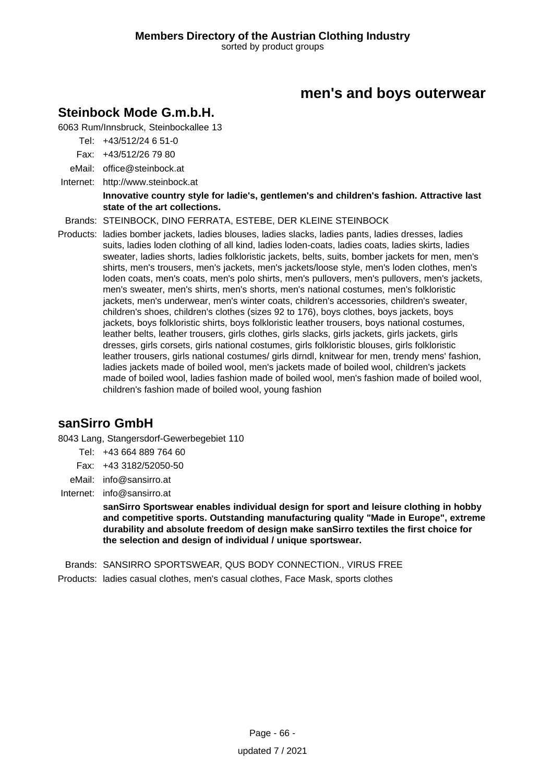## **Steinbock Mode G.m.b.H.**

6063 Rum/Innsbruck, Steinbockallee 13

Tel: +43/512/24 6 51-0

Fax: +43/512/26 79 80

eMail: office@steinbock.at

Internet: <http://www.steinbock.at>

#### **Innovative country style for ladie's, gentlemen's and children's fashion. Attractive last state of the art collections.**

Brands: STEINBOCK, DINO FERRATA, ESTEBE, DER KLEINE STEINBOCK

Products: ladies bomber jackets, ladies blouses, ladies slacks, ladies pants, ladies dresses, ladies suits, ladies loden clothing of all kind, ladies loden-coats, ladies coats, ladies skirts, ladies sweater, ladies shorts, ladies folkloristic jackets, belts, suits, bomber jackets for men, men's shirts, men's trousers, men's jackets, men's jackets/loose style, men's loden clothes, men's loden coats, men's coats, men's polo shirts, men's pullovers, men's pullovers, men's jackets, men's sweater, men's shirts, men's shorts, men's national costumes, men's folkloristic jackets, men's underwear, men's winter coats, children's accessories, children's sweater, children's shoes, children's clothes (sizes 92 to 176), boys clothes, boys jackets, boys jackets, boys folkloristic shirts, boys folkloristic leather trousers, boys national costumes, leather belts, leather trousers, girls clothes, girls slacks, girls jackets, girls jackets, girls dresses, girls corsets, girls national costumes, girls folkloristic blouses, girls folkloristic leather trousers, girls national costumes/ girls dirndl, knitwear for men, trendy mens' fashion, ladies jackets made of boiled wool, men's jackets made of boiled wool, children's jackets made of boiled wool, ladies fashion made of boiled wool, men's fashion made of boiled wool, children's fashion made of boiled wool, young fashion

### **sanSirro GmbH**

8043 Lang, Stangersdorf-Gewerbegebiet 110

- Tel: +43 664 889 764 60
- Fax: +43 3182/52050-50
- eMail: info@sansirro.at
- Internet: info@sansirro.at

**sanSirro Sportswear enables individual design for sport and leisure clothing in hobby and competitive sports. Outstanding manufacturing quality "Made in Europe", extreme durability and absolute freedom of design make sanSirro textiles the first choice for the selection and design of individual / unique sportswear.**

Brands: SANSIRRO SPORTSWEAR, QUS BODY CONNECTION., VIRUS FREE

Products: ladies casual clothes, men's casual clothes, Face Mask, sports clothes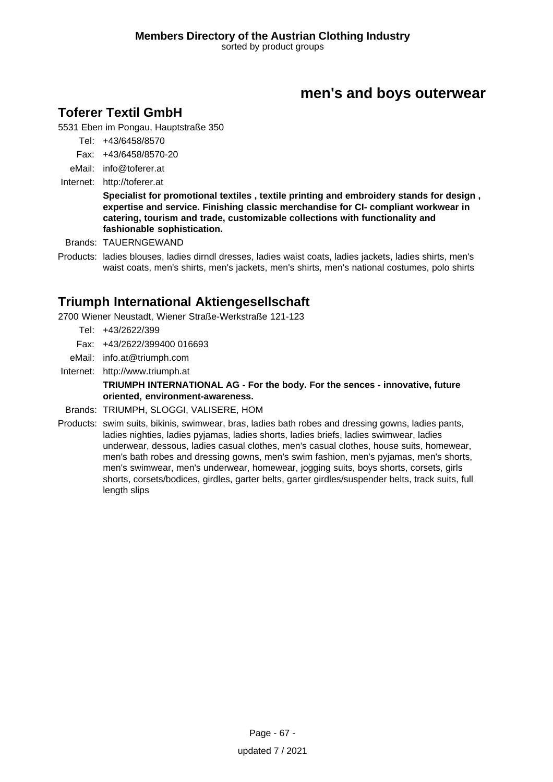## **Toferer Textil GmbH**

5531 Eben im Pongau, Hauptstraße 350

- Tel: +43/6458/8570
- Fax: +43/6458/8570-20
- eMail: info@toferer.at
- Internet: <http://toferer.at>

**Specialist for promotional textiles , textile printing and embroidery stands for design , expertise and service. Finishing classic merchandise for CI- compliant workwear in catering, tourism and trade, customizable collections with functionality and fashionable sophistication.**

Brands: TAUERNGEWAND

Products: ladies blouses, ladies dirndl dresses, ladies waist coats, ladies jackets, ladies shirts, men's waist coats, men's shirts, men's jackets, men's shirts, men's national costumes, polo shirts

## **Triumph International Aktiengesellschaft**

2700 Wiener Neustadt, Wiener Straße-Werkstraße 121-123

- Tel: +43/2622/399
- Fax: +43/2622/399400 016693
- eMail: info.at@triumph.com
- Internet: <http://www.triumph.at>

### **TRIUMPH INTERNATIONAL AG - For the body. For the sences - innovative, future oriented, environment-awareness.**

- Brands: TRIUMPH, SLOGGI, VALISERE, HOM
- Products: swim suits, bikinis, swimwear, bras, ladies bath robes and dressing gowns, ladies pants, ladies nighties, ladies pyjamas, ladies shorts, ladies briefs, ladies swimwear, ladies underwear, dessous, ladies casual clothes, men's casual clothes, house suits, homewear, men's bath robes and dressing gowns, men's swim fashion, men's pyjamas, men's shorts, men's swimwear, men's underwear, homewear, jogging suits, boys shorts, corsets, girls shorts, corsets/bodices, girdles, garter belts, garter girdles/suspender belts, track suits, full length slips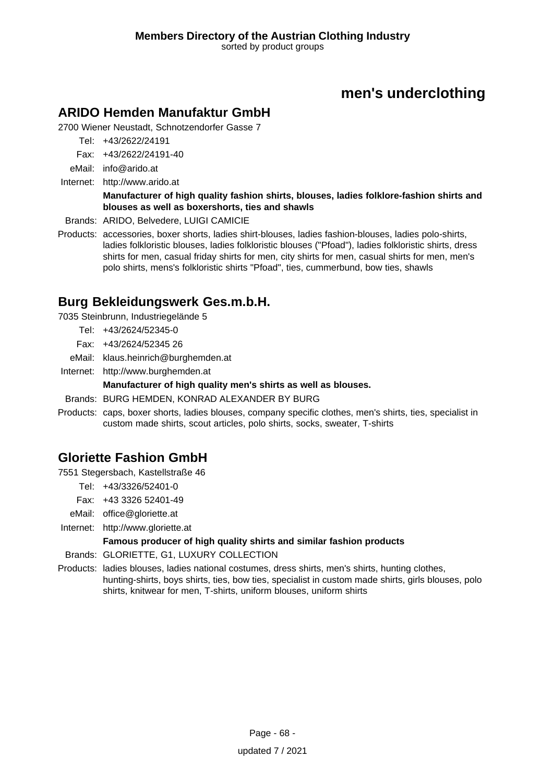# **men's underclothing**

## **ARIDO Hemden Manufaktur GmbH**

2700 Wiener Neustadt, Schnotzendorfer Gasse 7

Tel: +43/2622/24191

Fax: +43/2622/24191-40

eMail: info@arido.at

Internet: <http://www.arido.at>

#### **Manufacturer of high quality fashion shirts, blouses, ladies folklore-fashion shirts and blouses as well as boxershorts, ties and shawls**

Brands: ARIDO, Belvedere, LUIGI CAMICIE

Products: accessories, boxer shorts, ladies shirt-blouses, ladies fashion-blouses, ladies polo-shirts, ladies folkloristic blouses, ladies folkloristic blouses ("Pfoad"), ladies folkloristic shirts, dress shirts for men, casual friday shirts for men, city shirts for men, casual shirts for men, men's polo shirts, mens's folkloristic shirts "Pfoad", ties, cummerbund, bow ties, shawls

## **Burg Bekleidungswerk Ges.m.b.H.**

7035 Steinbrunn, Industriegelände 5

- Tel: +43/2624/52345-0
- Fax: +43/2624/52345 26
- eMail: klaus.heinrich@burghemden.at
- Internet: <http://www.burghemden.at>

### **Manufacturer of high quality men's shirts as well as blouses.**

- Brands: BURG HEMDEN, KONRAD ALEXANDER BY BURG
- Products: caps, boxer shorts, ladies blouses, company specific clothes, men's shirts, ties, specialist in custom made shirts, scout articles, polo shirts, socks, sweater, T-shirts

### **Gloriette Fashion GmbH**

7551 Stegersbach, Kastellstraße 46

- Tel: +43/3326/52401-0
- Fax: +43 3326 52401-49
- eMail: office@gloriette.at
- Internet: <http://www.gloriette.at>

### **Famous producer of high quality shirts and similar fashion products**

- Brands: GLORIETTE, G1, LUXURY COLLECTION
- Products: ladies blouses, ladies national costumes, dress shirts, men's shirts, hunting clothes, hunting-shirts, boys shirts, ties, bow ties, specialist in custom made shirts, girls blouses, polo shirts, knitwear for men, T-shirts, uniform blouses, uniform shirts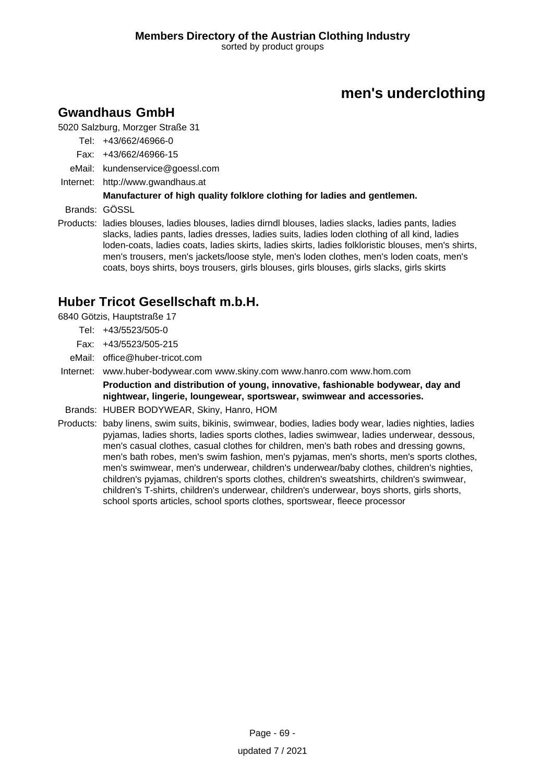# **men's underclothing**

## **Gwandhaus GmbH**

5020 Salzburg, Morzger Straße 31

- Tel: +43/662/46966-0
- Fax: +43/662/46966-15
- eMail: kundenservice@goessl.com
- Internet: <http://www.gwandhaus.at>

### **Manufacturer of high quality folklore clothing for ladies and gentlemen.**

Brands: GÖSSL

Products: ladies blouses, ladies blouses, ladies dirndl blouses, ladies slacks, ladies pants, ladies slacks, ladies pants, ladies dresses, ladies suits, ladies loden clothing of all kind, ladies loden-coats, ladies coats, ladies skirts, ladies skirts, ladies folkloristic blouses, men's shirts, men's trousers, men's jackets/loose style, men's loden clothes, men's loden coats, men's coats, boys shirts, boys trousers, girls blouses, girls blouses, girls slacks, girls skirts

## **Huber Tricot Gesellschaft m.b.H.**

6840 Götzis, Hauptstraße 17

- Tel: +43/5523/505-0
- Fax: +43/5523/505-215
- eMail: office@huber-tricot.com
- Internet: www.huber-bodywear.com www.skiny.com www.hanro.com www.hom.com

**Production and distribution of young, innovative, fashionable bodywear, day and nightwear, lingerie, loungewear, sportswear, swimwear and accessories.**

- Brands: HUBER BODYWEAR, Skiny, Hanro, HOM
- Products: baby linens, swim suits, bikinis, swimwear, bodies, ladies body wear, ladies nighties, ladies pyjamas, ladies shorts, ladies sports clothes, ladies swimwear, ladies underwear, dessous, men's casual clothes, casual clothes for children, men's bath robes and dressing gowns, men's bath robes, men's swim fashion, men's pyjamas, men's shorts, men's sports clothes, men's swimwear, men's underwear, children's underwear/baby clothes, children's nighties, children's pyjamas, children's sports clothes, children's sweatshirts, children's swimwear, children's T-shirts, children's underwear, children's underwear, boys shorts, girls shorts, school sports articles, school sports clothes, sportswear, fleece processor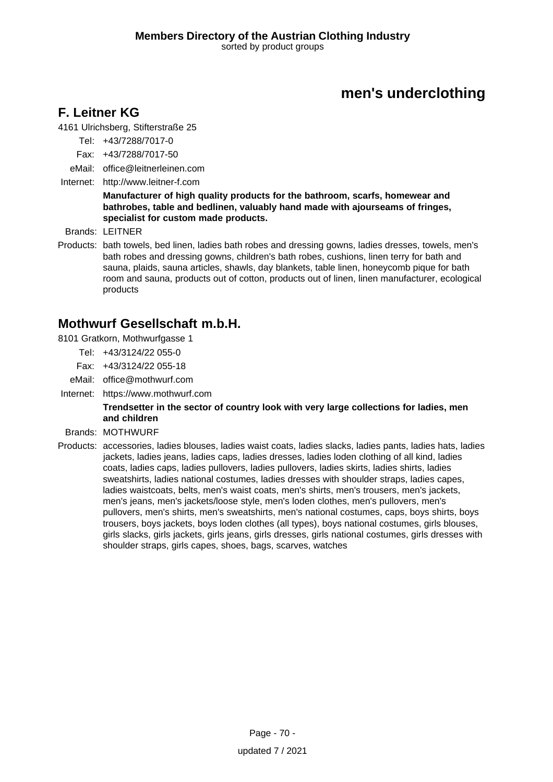# **men's underclothing**

## **F. Leitner KG**

4161 Ulrichsberg, Stifterstraße 25

- Tel: +43/7288/7017-0
- Fax: +43/7288/7017-50
- eMail: office@leitnerleinen.com
- Internet: <http://www.leitner-f.com>

#### **Manufacturer of high quality products for the bathroom, scarfs, homewear and bathrobes, table and bedlinen, valuably hand made with ajourseams of fringes, specialist for custom made products.**

Brands: LEITNER

Products: bath towels, bed linen, ladies bath robes and dressing gowns, ladies dresses, towels, men's bath robes and dressing gowns, children's bath robes, cushions, linen terry for bath and sauna, plaids, sauna articles, shawls, day blankets, table linen, honeycomb pique for bath room and sauna, products out of cotton, products out of linen, linen manufacturer, ecological products

### **Mothwurf Gesellschaft m.b.H.**

- 8101 Gratkorn, Mothwurfgasse 1
	- Tel: +43/3124/22 055-0
	- Fax: +43/3124/22 055-18
	- eMail: office@mothwurf.com
- Internet: https://www.mothwurf.com

#### **Trendsetter in the sector of country look with very large collections for ladies, men and children**

- Brands: MOTHWURF
- Products: accessories, ladies blouses, ladies waist coats, ladies slacks, ladies pants, ladies hats, ladies jackets, ladies jeans, ladies caps, ladies dresses, ladies loden clothing of all kind, ladies coats, ladies caps, ladies pullovers, ladies pullovers, ladies skirts, ladies shirts, ladies sweatshirts, ladies national costumes, ladies dresses with shoulder straps, ladies capes, ladies waistcoats, belts, men's waist coats, men's shirts, men's trousers, men's jackets, men's jeans, men's jackets/loose style, men's loden clothes, men's pullovers, men's pullovers, men's shirts, men's sweatshirts, men's national costumes, caps, boys shirts, boys trousers, boys jackets, boys loden clothes (all types), boys national costumes, girls blouses, girls slacks, girls jackets, girls jeans, girls dresses, girls national costumes, girls dresses with shoulder straps, girls capes, shoes, bags, scarves, watches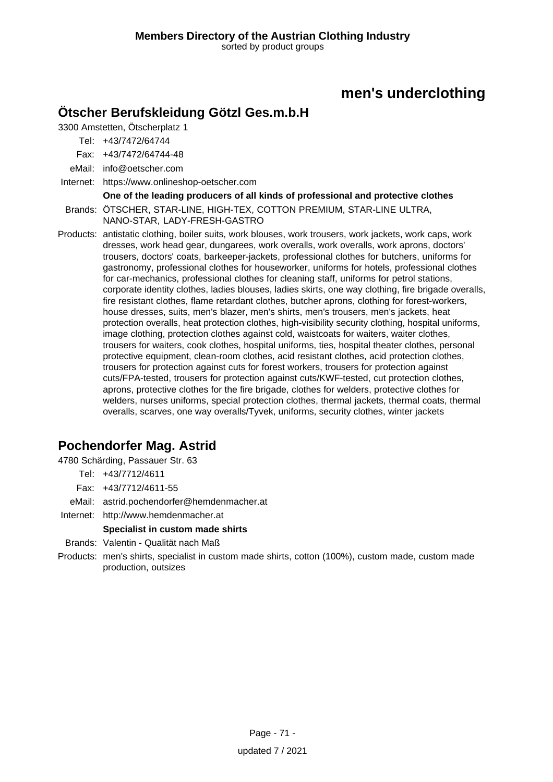# **men's underclothing**

### **Ötscher Berufskleidung Götzl Ges.m.b.H**

3300 Amstetten, Ötscherplatz 1

Tel: +43/7472/64744

Fax: +43/7472/64744-48

eMail: info@oetscher.com

Internet: https://www.onlineshop-oetscher.com

**One of the leading producers of all kinds of professional and protective clothes**

Brands: ÖTSCHER, STAR-LINE, HIGH-TEX, COTTON PREMIUM, STAR-LINE ULTRA, NANO-STAR, LADY-FRESH-GASTRO

Products: antistatic clothing, boiler suits, work blouses, work trousers, work jackets, work caps, work dresses, work head gear, dungarees, work overalls, work overalls, work aprons, doctors' trousers, doctors' coats, barkeeper-jackets, professional clothes for butchers, uniforms for gastronomy, professional clothes for houseworker, uniforms for hotels, professional clothes for car-mechanics, professional clothes for cleaning staff, uniforms for petrol stations, corporate identity clothes, ladies blouses, ladies skirts, one way clothing, fire brigade overalls, fire resistant clothes, flame retardant clothes, butcher aprons, clothing for forest-workers, house dresses, suits, men's blazer, men's shirts, men's trousers, men's jackets, heat protection overalls, heat protection clothes, high-visibility security clothing, hospital uniforms, image clothing, protection clothes against cold, waistcoats for waiters, waiter clothes, trousers for waiters, cook clothes, hospital uniforms, ties, hospital theater clothes, personal protective equipment, clean-room clothes, acid resistant clothes, acid protection clothes, trousers for protection against cuts for forest workers, trousers for protection against cuts/FPA-tested, trousers for protection against cuts/KWF-tested, cut protection clothes, aprons, protective clothes for the fire brigade, clothes for welders, protective clothes for welders, nurses uniforms, special protection clothes, thermal jackets, thermal coats, thermal overalls, scarves, one way overalls/Tyvek, uniforms, security clothes, winter jackets

# **Pochendorfer Mag. Astrid**

4780 Schärding, Passauer Str. 63

- Tel: +43/7712/4611
- Fax: +43/7712/4611-55
- eMail: astrid.pochendorfer@hemdenmacher.at
- Internet: <http://www.hemdenmacher.at>

#### **Specialist in custom made shirts**

- Brands: Valentin Qualität nach Maß
- Products: men's shirts, specialist in custom made shirts, cotton (100%), custom made, custom made production, outsizes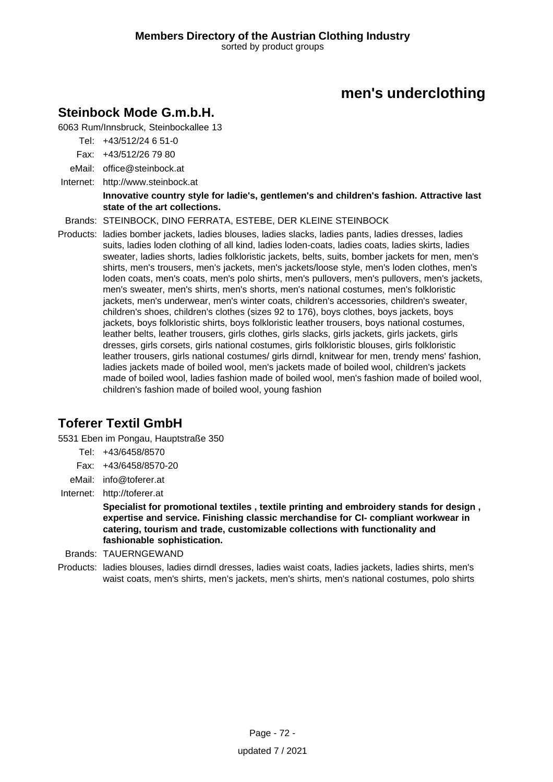# **men's underclothing**

# **Steinbock Mode G.m.b.H.**

6063 Rum/Innsbruck, Steinbockallee 13

- Tel: +43/512/24 6 51-0
- Fax: +43/512/26 79 80
- eMail: office@steinbock.at
- Internet: <http://www.steinbock.at>

#### **Innovative country style for ladie's, gentlemen's and children's fashion. Attractive last state of the art collections.**

### Brands: STEINBOCK, DINO FERRATA, ESTEBE, DER KLEINE STEINBOCK

Products: ladies bomber jackets, ladies blouses, ladies slacks, ladies pants, ladies dresses, ladies suits, ladies loden clothing of all kind, ladies loden-coats, ladies coats, ladies skirts, ladies sweater, ladies shorts, ladies folkloristic jackets, belts, suits, bomber jackets for men, men's shirts, men's trousers, men's jackets, men's jackets/loose style, men's loden clothes, men's loden coats, men's coats, men's polo shirts, men's pullovers, men's pullovers, men's jackets, men's sweater, men's shirts, men's shorts, men's national costumes, men's folkloristic jackets, men's underwear, men's winter coats, children's accessories, children's sweater, children's shoes, children's clothes (sizes 92 to 176), boys clothes, boys jackets, boys jackets, boys folkloristic shirts, boys folkloristic leather trousers, boys national costumes, leather belts, leather trousers, girls clothes, girls slacks, girls jackets, girls jackets, girls dresses, girls corsets, girls national costumes, girls folkloristic blouses, girls folkloristic leather trousers, girls national costumes/ girls dirndl, knitwear for men, trendy mens' fashion, ladies jackets made of boiled wool, men's jackets made of boiled wool, children's jackets made of boiled wool, ladies fashion made of boiled wool, men's fashion made of boiled wool, children's fashion made of boiled wool, young fashion

# **Toferer Textil GmbH**

5531 Eben im Pongau, Hauptstraße 350

- Tel: +43/6458/8570
- Fax: +43/6458/8570-20
- eMail: info@toferer.at
- Internet: <http://toferer.at>

**Specialist for promotional textiles , textile printing and embroidery stands for design , expertise and service. Finishing classic merchandise for CI- compliant workwear in catering, tourism and trade, customizable collections with functionality and fashionable sophistication.**

- Brands: TAUERNGEWAND
- Products: ladies blouses, ladies dirndl dresses, ladies waist coats, ladies jackets, ladies shirts, men's waist coats, men's shirts, men's jackets, men's shirts, men's national costumes, polo shirts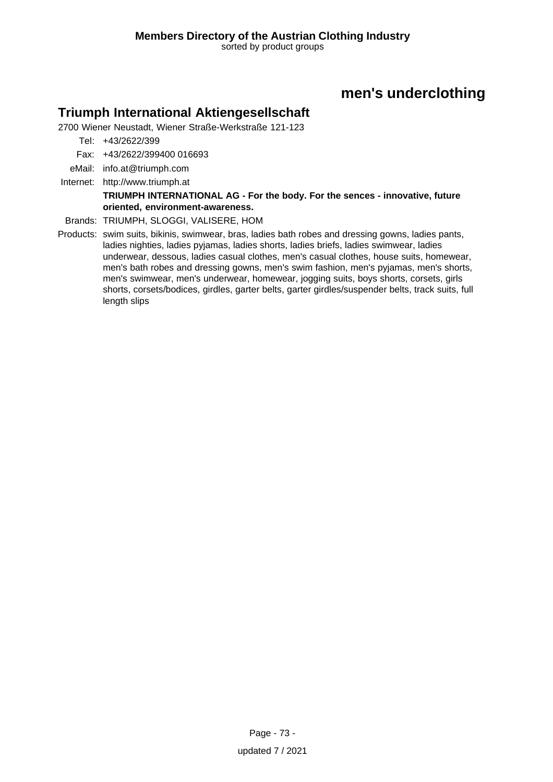# **men's underclothing**

### **Triumph International Aktiengesellschaft**

2700 Wiener Neustadt, Wiener Straße-Werkstraße 121-123

- Tel: +43/2622/399
- Fax: +43/2622/399400 016693
- eMail: info.at@triumph.com
- Internet: <http://www.triumph.at>

#### **TRIUMPH INTERNATIONAL AG - For the body. For the sences - innovative, future oriented, environment-awareness.**

- Brands: TRIUMPH, SLOGGI, VALISERE, HOM
- Products: swim suits, bikinis, swimwear, bras, ladies bath robes and dressing gowns, ladies pants, ladies nighties, ladies pyjamas, ladies shorts, ladies briefs, ladies swimwear, ladies underwear, dessous, ladies casual clothes, men's casual clothes, house suits, homewear, men's bath robes and dressing gowns, men's swim fashion, men's pyjamas, men's shorts, men's swimwear, men's underwear, homewear, jogging suits, boys shorts, corsets, girls shorts, corsets/bodices, girdles, garter belts, garter girdles/suspender belts, track suits, full length slips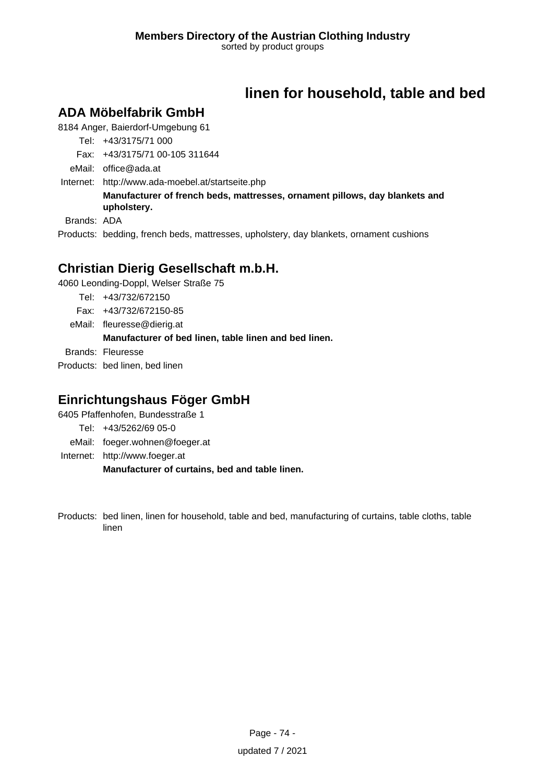# **linen for household, table and bed**

# **ADA Möbelfabrik GmbH**

8184 Anger, Baierdorf-Umgebung 61

Tel: +43/3175/71 000

Fax: +43/3175/71 00-105 311644

eMail: office@ada.at

Internet: <http://www.ada-moebel.at/startseite.php>

**Manufacturer of french beds, mattresses, ornament pillows, day blankets and upholstery.**

Brands: ADA

Products: bedding, french beds, mattresses, upholstery, day blankets, ornament cushions

# **Christian Dierig Gesellschaft m.b.H.**

4060 Leonding-Doppl, Welser Straße 75

Tel: +43/732/672150

Fax: +43/732/672150-85

eMail: fleuresse@dierig.at **Manufacturer of bed linen, table linen and bed linen.** Brands: Fleuresse Products: bed linen, bed linen

# **Einrichtungshaus Föger GmbH**

6405 Pfaffenhofen, Bundesstraße 1

Tel: +43/5262/69 05-0

eMail: foeger.wohnen@foeger.at

Internet: <http://www.foeger.at>

**Manufacturer of curtains, bed and table linen.**

Products: bed linen, linen for household, table and bed, manufacturing of curtains, table cloths, table linen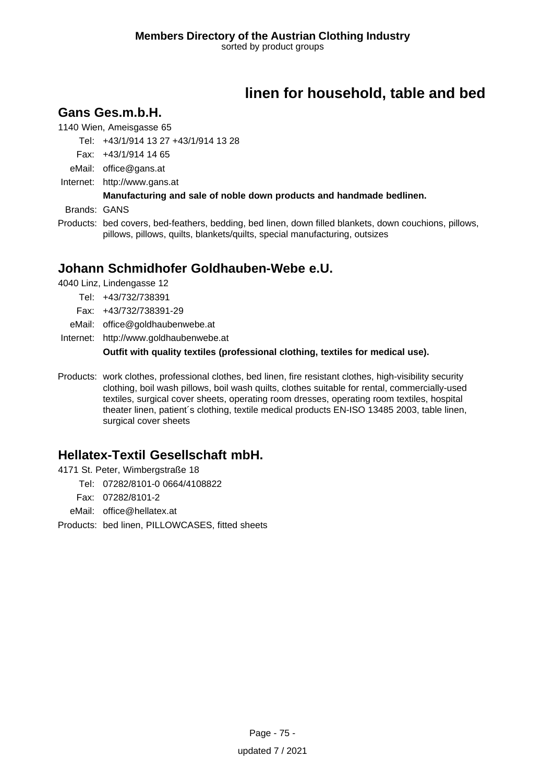# **linen for household, table and bed**

### **Gans Ges.m.b.H.**

1140 Wien, Ameisgasse 65

Tel: +43/1/914 13 27 +43/1/914 13 28

Fax: +43/1/914 14 65

eMail: office@gans.at

Internet: <http://www.gans.at>

### **Manufacturing and sale of noble down products and handmade bedlinen.**

Brands: GANS

Products: bed covers, bed-feathers, bedding, bed linen, down filled blankets, down couchions, pillows, pillows, pillows, quilts, blankets/quilts, special manufacturing, outsizes

# **Johann Schmidhofer Goldhauben-Webe e.U.**

4040 Linz, Lindengasse 12

Tel: +43/732/738391

Fax: +43/732/738391-29

eMail: office@goldhaubenwebe.at

Internet: <http://www.goldhaubenwebe.at>

**Outfit with quality textiles (professional clothing, textiles for medical use).**

Products: work clothes, professional clothes, bed linen, fire resistant clothes, high-visibility security clothing, boil wash pillows, boil wash quilts, clothes suitable for rental, commercially-used textiles, surgical cover sheets, operating room dresses, operating room textiles, hospital theater linen, patient´s clothing, textile medical products EN-ISO 13485 2003, table linen, surgical cover sheets

# **Hellatex-Textil Gesellschaft mbH.**

4171 St. Peter, Wimbergstraße 18

Tel: 07282/8101-0 0664/4108822

Fax: 07282/8101-2

eMail: office@hellatex.at

Products: bed linen, PILLOWCASES, fitted sheets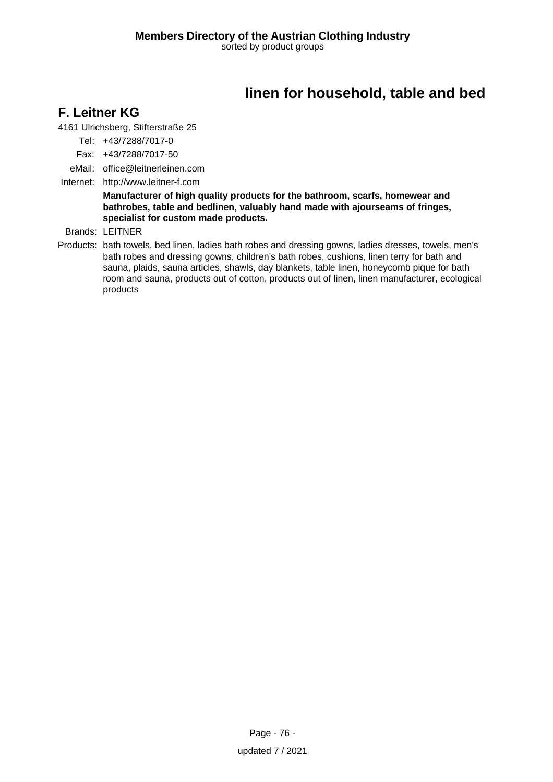# **linen for household, table and bed**

## **F. Leitner KG**

4161 Ulrichsberg, Stifterstraße 25

Tel: +43/7288/7017-0

Fax: +43/7288/7017-50

eMail: office@leitnerleinen.com

Internet: <http://www.leitner-f.com>

**Manufacturer of high quality products for the bathroom, scarfs, homewear and bathrobes, table and bedlinen, valuably hand made with ajourseams of fringes, specialist for custom made products.**

Brands: LEITNER

Products: bath towels, bed linen, ladies bath robes and dressing gowns, ladies dresses, towels, men's bath robes and dressing gowns, children's bath robes, cushions, linen terry for bath and sauna, plaids, sauna articles, shawls, day blankets, table linen, honeycomb pique for bath room and sauna, products out of cotton, products out of linen, linen manufacturer, ecological products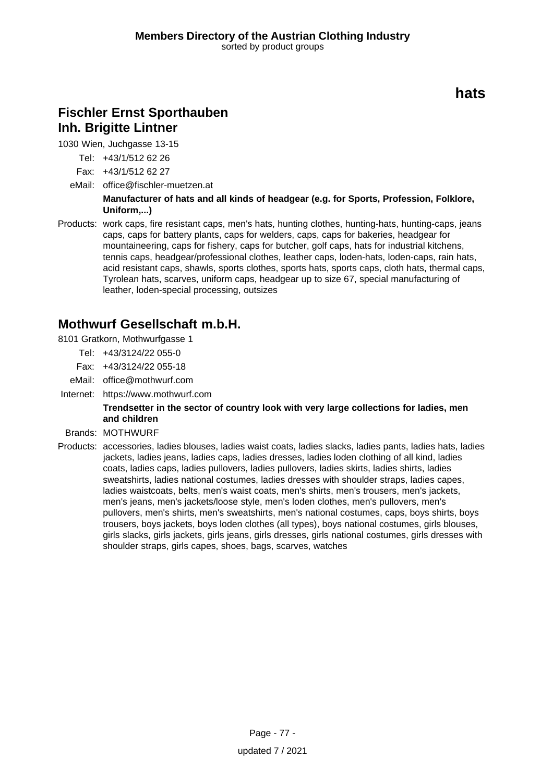# **hats**

# **Fischler Ernst Sporthauben Inh. Brigitte Lintner**

1030 Wien, Juchgasse 13-15

Tel: +43/1/512 62 26

- Fax: +43/1/512 62 27
- eMail: office@fischler-muetzen.at

**Manufacturer of hats and all kinds of headgear (e.g. for Sports, Profession, Folklore, Uniform,...)**

Products: work caps, fire resistant caps, men's hats, hunting clothes, hunting-hats, hunting-caps, jeans caps, caps for battery plants, caps for welders, caps, caps for bakeries, headgear for mountaineering, caps for fishery, caps for butcher, golf caps, hats for industrial kitchens, tennis caps, headgear/professional clothes, leather caps, loden-hats, loden-caps, rain hats, acid resistant caps, shawls, sports clothes, sports hats, sports caps, cloth hats, thermal caps, Tyrolean hats, scarves, uniform caps, headgear up to size 67, special manufacturing of leather, loden-special processing, outsizes

# **Mothwurf Gesellschaft m.b.H.**

- 8101 Gratkorn, Mothwurfgasse 1
	- Tel: +43/3124/22 055-0
		- Fax: +43/3124/22 055-18
	- eMail: office@mothwurf.com
- Internet: https://www.mothwurf.com

#### **Trendsetter in the sector of country look with very large collections for ladies, men and children**

- Brands: MOTHWURF
- Products: accessories, ladies blouses, ladies waist coats, ladies slacks, ladies pants, ladies hats, ladies jackets, ladies jeans, ladies caps, ladies dresses, ladies loden clothing of all kind, ladies coats, ladies caps, ladies pullovers, ladies pullovers, ladies skirts, ladies shirts, ladies sweatshirts, ladies national costumes, ladies dresses with shoulder straps, ladies capes, ladies waistcoats, belts, men's waist coats, men's shirts, men's trousers, men's jackets, men's jeans, men's jackets/loose style, men's loden clothes, men's pullovers, men's pullovers, men's shirts, men's sweatshirts, men's national costumes, caps, boys shirts, boys trousers, boys jackets, boys loden clothes (all types), boys national costumes, girls blouses, girls slacks, girls jackets, girls jeans, girls dresses, girls national costumes, girls dresses with shoulder straps, girls capes, shoes, bags, scarves, watches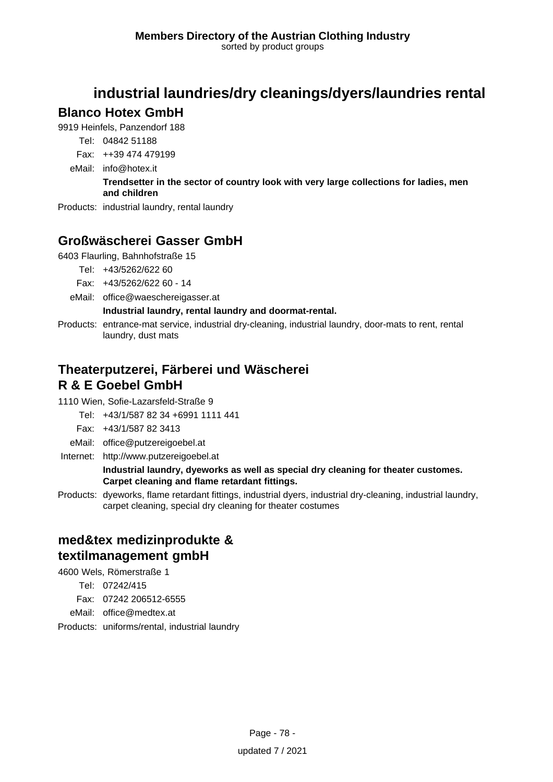# **industrial laundries/dry cleanings/dyers/laundries rental**

### **Blanco Hotex GmbH**

9919 Heinfels, Panzendorf 188

- Tel: 04842 51188
- Fax: ++39 474 479199
- eMail: info@hotex.it

### **Trendsetter in the sector of country look with very large collections for ladies, men and children**

Products: industrial laundry, rental laundry

# **Großwäscherei Gasser GmbH**

6403 Flaurling, Bahnhofstraße 15

- Tel: +43/5262/622 60
- Fax: +43/5262/622 60 14
- eMail: office@waeschereigasser.at

### **Industrial laundry, rental laundry and doormat-rental.**

Products: entrance-mat service, industrial dry-cleaning, industrial laundry, door-mats to rent, rental laundry, dust mats

## **Theaterputzerei, Färberei und Wäscherei R & E Goebel GmbH**

1110 Wien, Sofie-Lazarsfeld-Straße 9

- Tel: +43/1/587 82 34 +6991 1111 441
- Fax: +43/1/587 82 3413
- eMail: office@putzereigoebel.at
- Internet: <http://www.putzereigoebel.at>

#### **Industrial laundry, dyeworks as well as special dry cleaning for theater customes. Carpet cleaning and flame retardant fittings.**

Products: dyeworks, flame retardant fittings, industrial dyers, industrial dry-cleaning, industrial laundry, carpet cleaning, special dry cleaning for theater costumes

# **med&tex medizinprodukte & textilmanagement gmbH**

4600 Wels, Römerstraße 1

- Tel: 07242/415
- Fax: 07242 206512-6555
- eMail: office@medtex.at
- Products: uniforms/rental, industrial laundry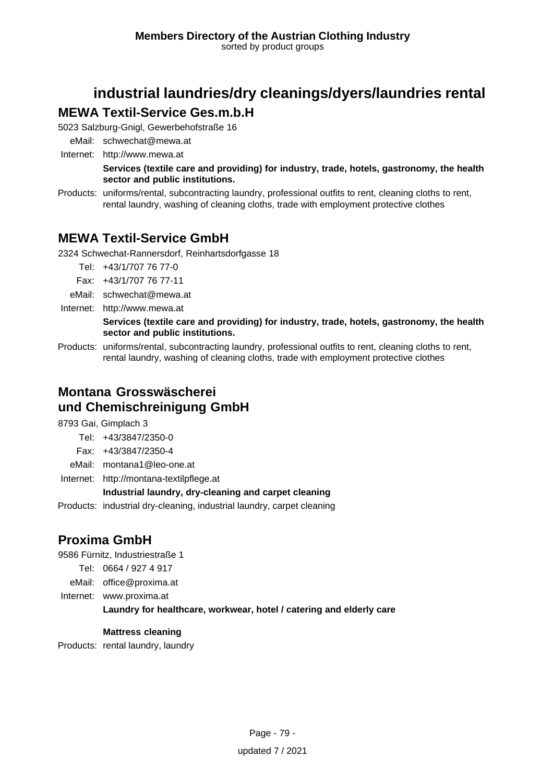# **industrial laundries/dry cleanings/dyers/laundries rental**

# **MEWA Textil-Service Ges.m.b.H**

5023 Salzburg-Gnigl, Gewerbehofstraße 16

eMail: schwechat@mewa.at Internet: <http://www.mewa.at>

**Services (textile care and providing) for industry, trade, hotels, gastronomy, the health sector and public institutions.**

Products: uniforms/rental, subcontracting laundry, professional outfits to rent, cleaning cloths to rent, rental laundry, washing of cleaning cloths, trade with employment protective clothes

# **MEWA Textil-Service GmbH**

2324 Schwechat-Rannersdorf, Reinhartsdorfgasse 18

Tel: +43/1/707 76 77-0

Fax: +43/1/707 76 77-11

- eMail: schwechat@mewa.at
- Internet: <http://www.mewa.at>

#### **Services (textile care and providing) for industry, trade, hotels, gastronomy, the health sector and public institutions.**

Products: uniforms/rental, subcontracting laundry, professional outfits to rent, cleaning cloths to rent, rental laundry, washing of cleaning cloths, trade with employment protective clothes

# **Montana Grosswäscherei und Chemischreinigung GmbH**

8793 Gai, Gimplach 3

Tel: +43/3847/2350-0

- Fax: +43/3847/2350-4
- eMail: montana1@leo-one.at
- Internet: <http://montana-textilpflege.at>

### **Industrial laundry, dry-cleaning and carpet cleaning**

Products: industrial dry-cleaning, industrial laundry, carpet cleaning

# **Proxima GmbH**

9586 Fürnitz, Industriestraße 1

- Tel: 0664 / 927 4 917
- eMail: office@proxima.at
- Internet: www.proxima.at

### **Laundry for healthcare, workwear, hotel / catering and elderly care**

### **Mattress cleaning**

Products: rental laundry, laundry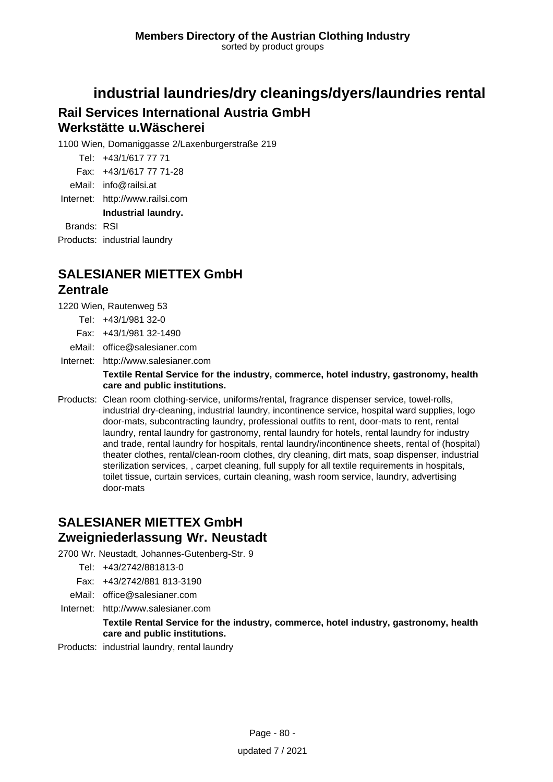# **industrial laundries/dry cleanings/dyers/laundries rental Rail Services International Austria GmbH Werkstätte u.Wäscherei**

1100 Wien, Domaniggasse 2/Laxenburgerstraße 219

Tel: +43/1/617 77 71

Fax: +43/1/617 77 71-28

eMail: info@railsi.at

Internet: <http://www.railsi.com>

**Industrial laundry.**

Brands: RSI

Products: industrial laundry

# **SALESIANER MIETTEX GmbH Zentrale**

1220 Wien, Rautenweg 53

- Tel: +43/1/981 32-0
- Fax: +43/1/981 32-1490

eMail: office@salesianer.com

Internet: <http://www.salesianer.com>

#### **Textile Rental Service for the industry, commerce, hotel industry, gastronomy, health care and public institutions.**

Products: Clean room clothing-service, uniforms/rental, fragrance dispenser service, towel-rolls, industrial dry-cleaning, industrial laundry, incontinence service, hospital ward supplies, logo door-mats, subcontracting laundry, professional outfits to rent, door-mats to rent, rental laundry, rental laundry for gastronomy, rental laundry for hotels, rental laundry for industry and trade, rental laundry for hospitals, rental laundry/incontinence sheets, rental of (hospital) theater clothes, rental/clean-room clothes, dry cleaning, dirt mats, soap dispenser, industrial sterilization services, , carpet cleaning, full supply for all textile requirements in hospitals, toilet tissue, curtain services, curtain cleaning, wash room service, laundry, advertising door-mats

# **SALESIANER MIETTEX GmbH Zweigniederlassung Wr. Neustadt**

2700 Wr. Neustadt, Johannes-Gutenberg-Str. 9

- Tel: +43/2742/881813-0
- Fax: +43/2742/881 813-3190
- eMail: office@salesianer.com
- Internet: <http://www.salesianer.com>

#### **Textile Rental Service for the industry, commerce, hotel industry, gastronomy, health care and public institutions.**

Products: industrial laundry, rental laundry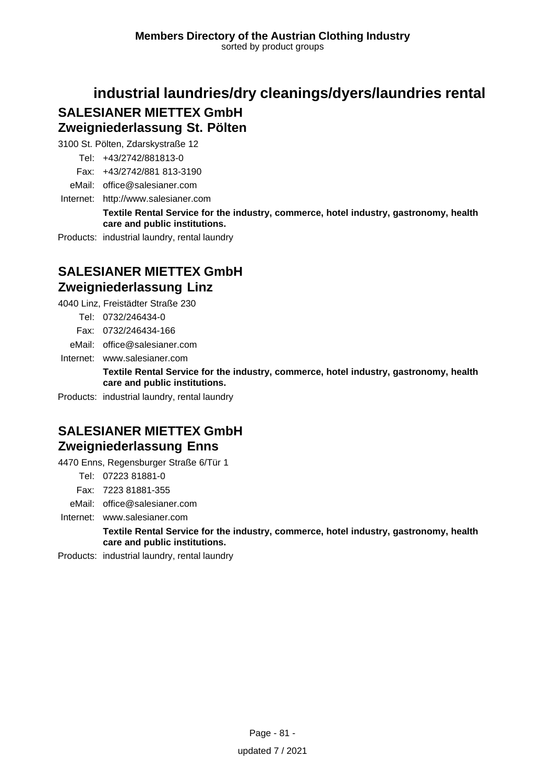# **industrial laundries/dry cleanings/dyers/laundries rental SALESIANER MIETTEX GmbH Zweigniederlassung St. Pölten**

3100 St. Pölten, Zdarskystraße 12

Tel: +43/2742/881813-0

Fax: +43/2742/881 813-3190

eMail: office@salesianer.com

Internet: <http://www.salesianer.com>

**Textile Rental Service for the industry, commerce, hotel industry, gastronomy, health care and public institutions.**

Products: industrial laundry, rental laundry

# **SALESIANER MIETTEX GmbH Zweigniederlassung Linz**

4040 Linz, Freistädter Straße 230

- Tel: 0732/246434-0
- Fax: 0732/246434-166

eMail: office@salesianer.com

Internet: www.salesianer.com

**Textile Rental Service for the industry, commerce, hotel industry, gastronomy, health care and public institutions.**

Products: industrial laundry, rental laundry

# **SALESIANER MIETTEX GmbH Zweigniederlassung Enns**

4470 Enns, Regensburger Straße 6/Tür 1

Tel: 07223 81881-0

Fax: 7223 81881-355

eMail: office@salesianer.com

Internet: www.salesianer.com

**Textile Rental Service for the industry, commerce, hotel industry, gastronomy, health care and public institutions.**

Products: industrial laundry, rental laundry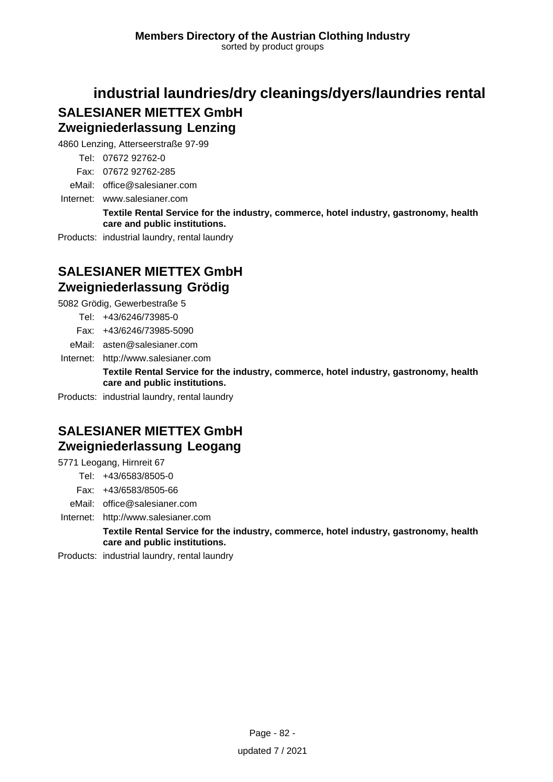# **industrial laundries/dry cleanings/dyers/laundries rental SALESIANER MIETTEX GmbH Zweigniederlassung Lenzing**

4860 Lenzing, Atterseerstraße 97-99

Tel: 07672 92762-0

Fax: 07672 92762-285

eMail: office@salesianer.com

Internet: www.salesianer.com

**Textile Rental Service for the industry, commerce, hotel industry, gastronomy, health care and public institutions.**

Products: industrial laundry, rental laundry

# **SALESIANER MIETTEX GmbH Zweigniederlassung Grödig**

5082 Grödig, Gewerbestraße 5

Tel: +43/6246/73985-0

Fax: +43/6246/73985-5090

eMail: asten@salesianer.com

Internet: <http://www.salesianer.com>

**Textile Rental Service for the industry, commerce, hotel industry, gastronomy, health care and public institutions.**

Products: industrial laundry, rental laundry

# **SALESIANER MIETTEX GmbH Zweigniederlassung Leogang**

5771 Leogang, Hirnreit 67

Tel: +43/6583/8505-0

Fax: +43/6583/8505-66

eMail: office@salesianer.com

Internet: <http://www.salesianer.com>

**Textile Rental Service for the industry, commerce, hotel industry, gastronomy, health care and public institutions.**

Products: industrial laundry, rental laundry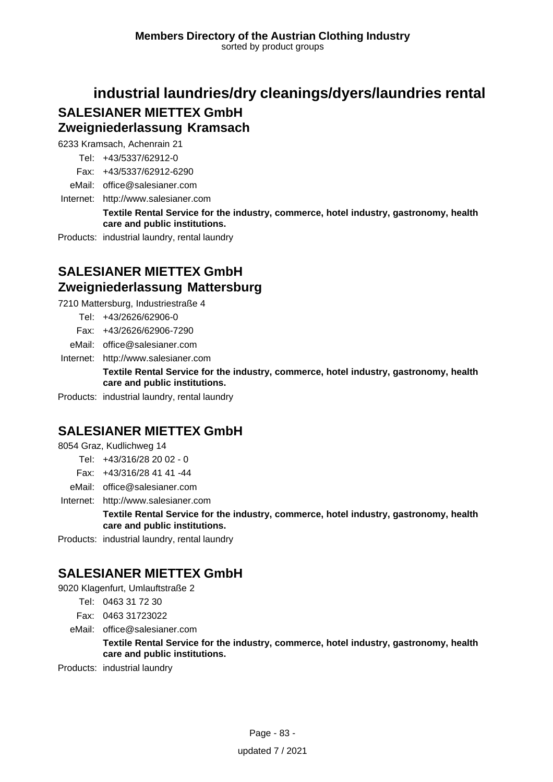# **industrial laundries/dry cleanings/dyers/laundries rental SALESIANER MIETTEX GmbH Zweigniederlassung Kramsach**

6233 Kramsach, Achenrain 21

- Tel: +43/5337/62912-0
- Fax: +43/5337/62912-6290

eMail: office@salesianer.com

Internet: <http://www.salesianer.com>

**Textile Rental Service for the industry, commerce, hotel industry, gastronomy, health care and public institutions.**

Products: industrial laundry, rental laundry

# **SALESIANER MIETTEX GmbH Zweigniederlassung Mattersburg**

7210 Mattersburg, Industriestraße 4

- Tel: +43/2626/62906-0
- Fax: +43/2626/62906-7290
- eMail: office@salesianer.com

Internet: <http://www.salesianer.com>

**Textile Rental Service for the industry, commerce, hotel industry, gastronomy, health care and public institutions.**

Products: industrial laundry, rental laundry

# **SALESIANER MIETTEX GmbH**

8054 Graz, Kudlichweg 14

- Tel: +43/316/28 20 02 0
- Fax: +43/316/28 41 41 -44
- eMail: office@salesianer.com

Internet: <http://www.salesianer.com>

**Textile Rental Service for the industry, commerce, hotel industry, gastronomy, health care and public institutions.**

Products: industrial laundry, rental laundry

# **SALESIANER MIETTEX GmbH**

9020 Klagenfurt, Umlauftstraße 2

- Tel: 0463 31 72 30
- Fax: 0463 31723022
- eMail: office@salesianer.com

**Textile Rental Service for the industry, commerce, hotel industry, gastronomy, health care and public institutions.**

Products: industrial laundry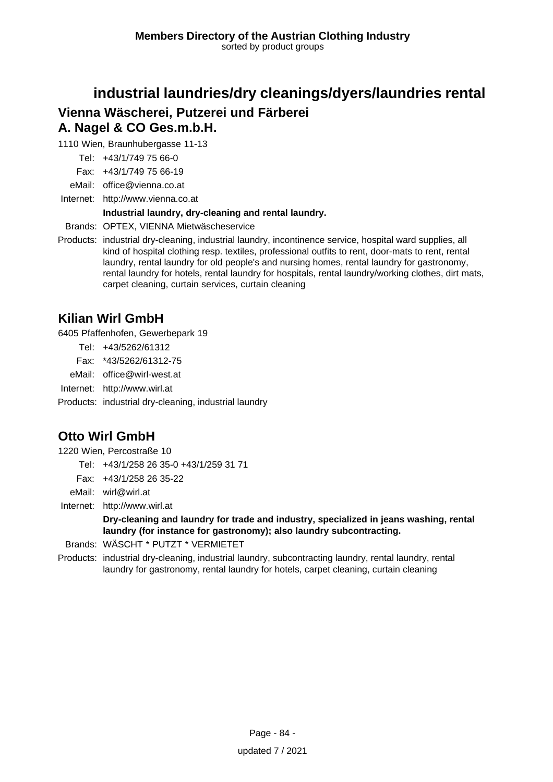# **industrial laundries/dry cleanings/dyers/laundries rental Vienna Wäscherei, Putzerei und Färberei A. Nagel & CO Ges.m.b.H.**

1110 Wien, Braunhubergasse 11-13

Tel: +43/1/749 75 66-0

Fax: +43/1/749 75 66-19

eMail: office@vienna.co.at

Internet: <http://www.vienna.co.at>

#### **Industrial laundry, dry-cleaning and rental laundry.**

Brands: OPTEX, VIENNA Mietwäscheservice

Products: industrial dry-cleaning, industrial laundry, incontinence service, hospital ward supplies, all kind of hospital clothing resp. textiles, professional outfits to rent, door-mats to rent, rental laundry, rental laundry for old people's and nursing homes, rental laundry for gastronomy, rental laundry for hotels, rental laundry for hospitals, rental laundry/working clothes, dirt mats, carpet cleaning, curtain services, curtain cleaning

### **Kilian Wirl GmbH**

6405 Pfaffenhofen, Gewerbepark 19

Tel: +43/5262/61312

Fax: \*43/5262/61312-75

eMail: office@wirl-west.at

Internet: <http://www.wirl.at>

Products: industrial dry-cleaning, industrial laundry

# **Otto Wirl GmbH**

1220 Wien, Percostraße 10

Tel: +43/1/258 26 35-0 +43/1/259 31 71

Fax: +43/1/258 26 35-22

eMail: wirl@wirl.at

Internet: <http://www.wirl.at>

**Dry-cleaning and laundry for trade and industry, specialized in jeans washing, rental laundry (for instance for gastronomy); also laundry subcontracting.**

Brands: WÄSCHT \* PUTZT \* VERMIETET

Products: industrial dry-cleaning, industrial laundry, subcontracting laundry, rental laundry, rental laundry for gastronomy, rental laundry for hotels, carpet cleaning, curtain cleaning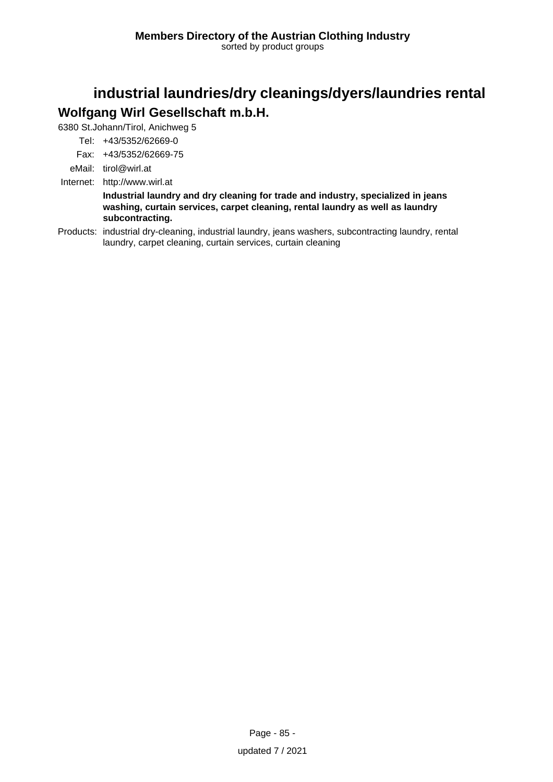# **industrial laundries/dry cleanings/dyers/laundries rental Wolfgang Wirl Gesellschaft m.b.H.**

6380 St.Johann/Tirol, Anichweg 5

Tel: +43/5352/62669-0

Fax: +43/5352/62669-75

eMail: tirol@wirl.at

Internet: <http://www.wirl.at>

**Industrial laundry and dry cleaning for trade and industry, specialized in jeans washing, curtain services, carpet cleaning, rental laundry as well as laundry subcontracting.**

Products: industrial dry-cleaning, industrial laundry, jeans washers, subcontracting laundry, rental laundry, carpet cleaning, curtain services, curtain cleaning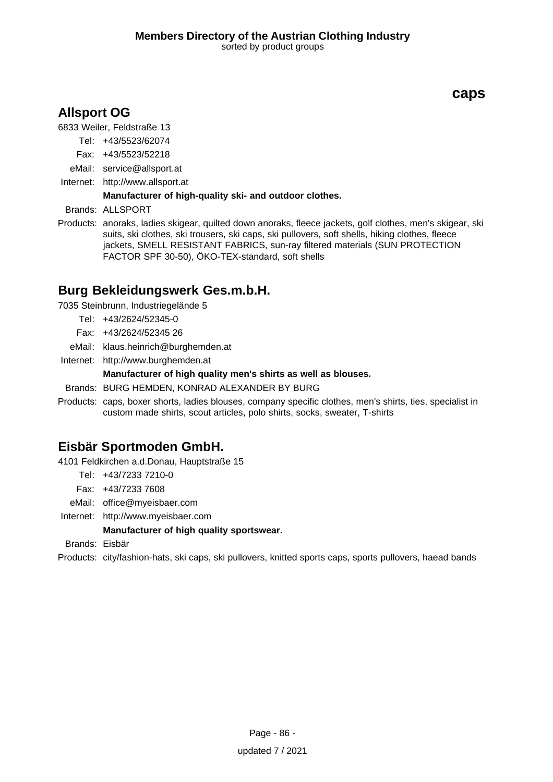# **Allsport OG**

6833 Weiler, Feldstraße 13

Tel: +43/5523/62074

- Fax: +43/5523/52218
- eMail: service@allsport.at
- Internet: <http://www.allsport.at>

### **Manufacturer of high-quality ski- and outdoor clothes.**

Brands: ALLSPORT

Products: anoraks, ladies skigear, quilted down anoraks, fleece jackets, golf clothes, men's skigear, ski suits, ski clothes, ski trousers, ski caps, ski pullovers, soft shells, hiking clothes, fleece jackets, SMELL RESISTANT FABRICS, sun-ray filtered materials (SUN PROTECTION FACTOR SPF 30-50), ÖKO-TEX-standard, soft shells

### **Burg Bekleidungswerk Ges.m.b.H.**

7035 Steinbrunn, Industriegelände 5

- Tel: +43/2624/52345-0
- Fax: +43/2624/52345 26
- eMail: klaus.heinrich@burghemden.at
- Internet: <http://www.burghemden.at>

#### **Manufacturer of high quality men's shirts as well as blouses.**

Brands: BURG HEMDEN, KONRAD ALEXANDER BY BURG

Products: caps, boxer shorts, ladies blouses, company specific clothes, men's shirts, ties, specialist in custom made shirts, scout articles, polo shirts, socks, sweater, T-shirts

### **Eisbär Sportmoden GmbH.**

4101 Feldkirchen a.d.Donau, Hauptstraße 15

Tel: +43/7233 7210-0

Fax: +43/7233 7608

eMail: office@myeisbaer.com

Internet: <http://www.myeisbaer.com>

#### **Manufacturer of high quality sportswear.**

Brands: Eisbär

Products: city/fashion-hats, ski caps, ski pullovers, knitted sports caps, sports pullovers, haead bands

### **caps**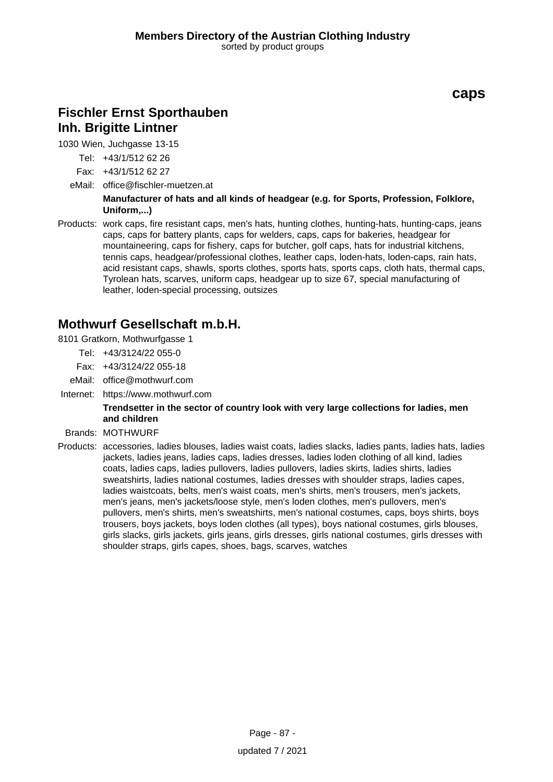# **Fischler Ernst Sporthauben Inh. Brigitte Lintner**

1030 Wien, Juchgasse 13-15

Tel: +43/1/512 62 26

Fax: +43/1/512 62 27

eMail: office@fischler-muetzen.at

**Manufacturer of hats and all kinds of headgear (e.g. for Sports, Profession, Folklore, Uniform,...)**

Products: work caps, fire resistant caps, men's hats, hunting clothes, hunting-hats, hunting-caps, jeans caps, caps for battery plants, caps for welders, caps, caps for bakeries, headgear for mountaineering, caps for fishery, caps for butcher, golf caps, hats for industrial kitchens, tennis caps, headgear/professional clothes, leather caps, loden-hats, loden-caps, rain hats, acid resistant caps, shawls, sports clothes, sports hats, sports caps, cloth hats, thermal caps, Tyrolean hats, scarves, uniform caps, headgear up to size 67, special manufacturing of leather, loden-special processing, outsizes

### **Mothwurf Gesellschaft m.b.H.**

8101 Gratkorn, Mothwurfgasse 1

- Tel: +43/3124/22 055-0
- Fax: +43/3124/22 055-18
- eMail: office@mothwurf.com
- Internet: https://www.mothwurf.com

#### **Trendsetter in the sector of country look with very large collections for ladies, men and children**

- Brands: MOTHWURF
- Products: accessories, ladies blouses, ladies waist coats, ladies slacks, ladies pants, ladies hats, ladies jackets, ladies jeans, ladies caps, ladies dresses, ladies loden clothing of all kind, ladies coats, ladies caps, ladies pullovers, ladies pullovers, ladies skirts, ladies shirts, ladies sweatshirts, ladies national costumes, ladies dresses with shoulder straps, ladies capes, ladies waistcoats, belts, men's waist coats, men's shirts, men's trousers, men's jackets, men's jeans, men's jackets/loose style, men's loden clothes, men's pullovers, men's pullovers, men's shirts, men's sweatshirts, men's national costumes, caps, boys shirts, boys trousers, boys jackets, boys loden clothes (all types), boys national costumes, girls blouses, girls slacks, girls jackets, girls jeans, girls dresses, girls national costumes, girls dresses with shoulder straps, girls capes, shoes, bags, scarves, watches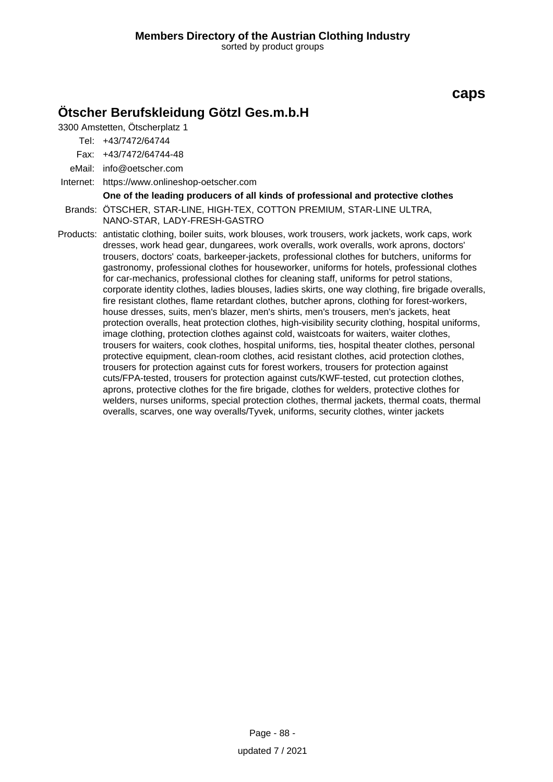## **Ötscher Berufskleidung Götzl Ges.m.b.H**

3300 Amstetten, Ötscherplatz 1

Tel: +43/7472/64744

Fax: +43/7472/64744-48

eMail: info@oetscher.com

Internet: https://www.onlineshop-oetscher.com

#### **One of the leading producers of all kinds of professional and protective clothes**

Brands: ÖTSCHER, STAR-LINE, HIGH-TEX, COTTON PREMIUM, STAR-LINE ULTRA, NANO-STAR, LADY-FRESH-GASTRO

Products: antistatic clothing, boiler suits, work blouses, work trousers, work jackets, work caps, work dresses, work head gear, dungarees, work overalls, work overalls, work aprons, doctors' trousers, doctors' coats, barkeeper-jackets, professional clothes for butchers, uniforms for gastronomy, professional clothes for houseworker, uniforms for hotels, professional clothes for car-mechanics, professional clothes for cleaning staff, uniforms for petrol stations, corporate identity clothes, ladies blouses, ladies skirts, one way clothing, fire brigade overalls, fire resistant clothes, flame retardant clothes, butcher aprons, clothing for forest-workers, house dresses, suits, men's blazer, men's shirts, men's trousers, men's jackets, heat protection overalls, heat protection clothes, high-visibility security clothing, hospital uniforms, image clothing, protection clothes against cold, waistcoats for waiters, waiter clothes, trousers for waiters, cook clothes, hospital uniforms, ties, hospital theater clothes, personal protective equipment, clean-room clothes, acid resistant clothes, acid protection clothes, trousers for protection against cuts for forest workers, trousers for protection against cuts/FPA-tested, trousers for protection against cuts/KWF-tested, cut protection clothes, aprons, protective clothes for the fire brigade, clothes for welders, protective clothes for welders, nurses uniforms, special protection clothes, thermal jackets, thermal coats, thermal overalls, scarves, one way overalls/Tyvek, uniforms, security clothes, winter jackets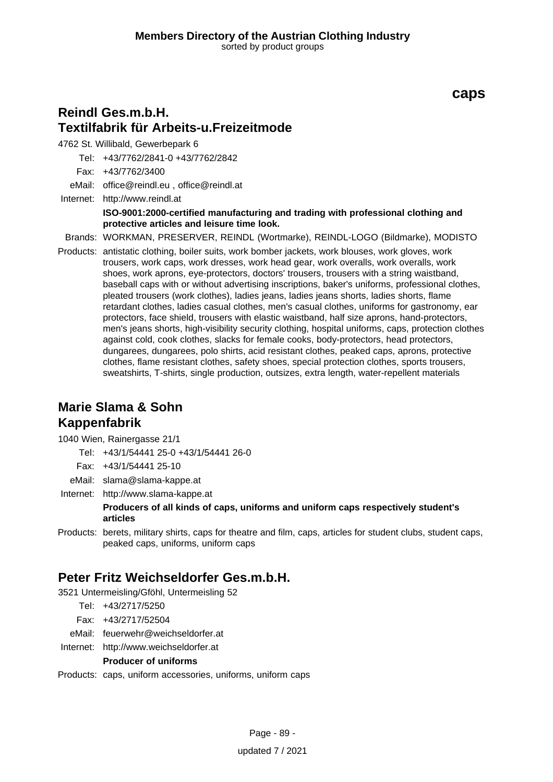### **Reindl Ges.m.b.H. Textilfabrik für Arbeits-u.Freizeitmode**

4762 St. Willibald, Gewerbepark 6

Tel: +43/7762/2841-0 +43/7762/2842

Fax: +43/7762/3400

eMail: office@reindl.eu , office@reindl.at

Internet: <http://www.reindl.at> **ISO-9001:2000-certified manufacturing and trading with professional clothing and protective articles and leisure time look.**

Brands: WORKMAN, PRESERVER, REINDL (Wortmarke), REINDL-LOGO (Bildmarke), MODISTO

Products: antistatic clothing, boiler suits, work bomber jackets, work blouses, work gloves, work trousers, work caps, work dresses, work head gear, work overalls, work overalls, work shoes, work aprons, eye-protectors, doctors' trousers, trousers with a string waistband, baseball caps with or without advertising inscriptions, baker's uniforms, professional clothes, pleated trousers (work clothes), ladies jeans, ladies jeans shorts, ladies shorts, flame retardant clothes, ladies casual clothes, men's casual clothes, uniforms for gastronomy, ear protectors, face shield, trousers with elastic waistband, half size aprons, hand-protectors, men's jeans shorts, high-visibility security clothing, hospital uniforms, caps, protection clothes against cold, cook clothes, slacks for female cooks, body-protectors, head protectors, dungarees, dungarees, polo shirts, acid resistant clothes, peaked caps, aprons, protective clothes, flame resistant clothes, safety shoes, special protection clothes, sports trousers, sweatshirts, T-shirts, single production, outsizes, extra length, water-repellent materials

# **Marie Slama & Sohn Kappenfabrik**

1040 Wien, Rainergasse 21/1

Tel: +43/1/54441 25-0 +43/1/54441 26-0

Fax: +43/1/54441 25-10

eMail: slama@slama-kappe.at

Internet: <http://www.slama-kappe.at>

**Producers of all kinds of caps, uniforms and uniform caps respectively student's articles**

Products: berets, military shirts, caps for theatre and film, caps, articles for student clubs, student caps, peaked caps, uniforms, uniform caps

# **Peter Fritz Weichseldorfer Ges.m.b.H.**

3521 Untermeisling/Gföhl, Untermeisling 52

Tel: +43/2717/5250

Fax: +43/2717/52504

eMail: feuerwehr@weichseldorfer.at

Internet: <http://www.weichseldorfer.at>

#### **Producer of uniforms**

Products: caps, uniform accessories, uniforms, uniform caps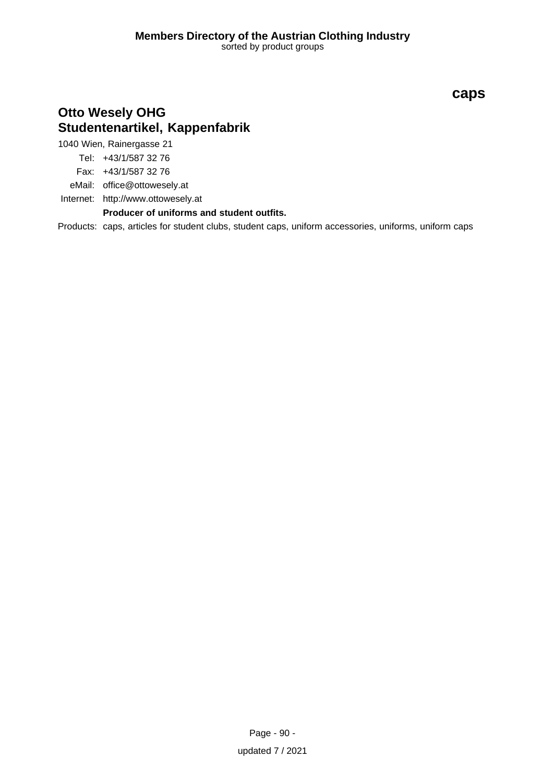# **Otto Wesely OHG Studentenartikel, Kappenfabrik**

1040 Wien, Rainergasse 21

Tel: +43/1/587 32 76

Fax: +43/1/587 32 76

eMail: office@ottowesely.at

Internet: <http://www.ottowesely.at>

**Producer of uniforms and student outfits.**

Products: caps, articles for student clubs, student caps, uniform accessories, uniforms, uniform caps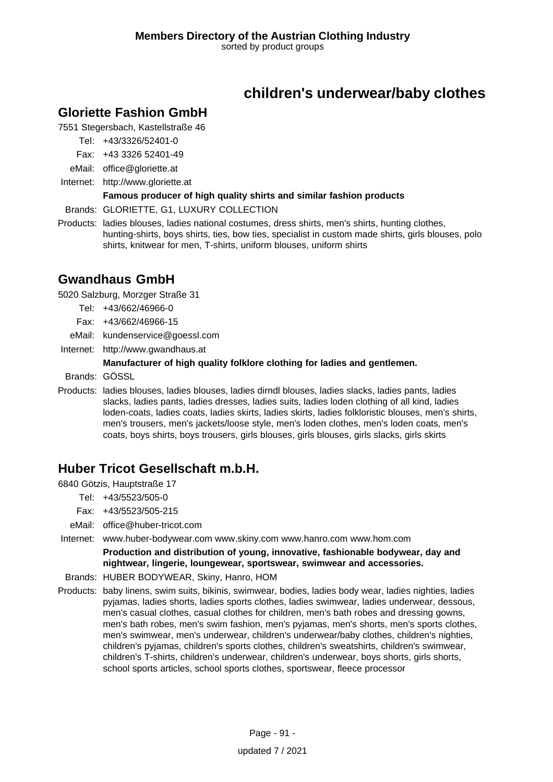# **children's underwear/baby clothes**

### **Gloriette Fashion GmbH**

7551 Stegersbach, Kastellstraße 46

Tel: +43/3326/52401-0

- Fax: +43 3326 52401-49
- eMail: office@gloriette.at
- Internet: <http://www.gloriette.at>

### **Famous producer of high quality shirts and similar fashion products**

Brands: GLORIETTE, G1, LUXURY COLLECTION

Products: ladies blouses, ladies national costumes, dress shirts, men's shirts, hunting clothes, hunting-shirts, boys shirts, ties, bow ties, specialist in custom made shirts, girls blouses, polo shirts, knitwear for men, T-shirts, uniform blouses, uniform shirts

### **Gwandhaus GmbH**

5020 Salzburg, Morzger Straße 31

- Tel: +43/662/46966-0
- Fax: +43/662/46966-15
- eMail: kundenservice@goessl.com
- Internet: <http://www.gwandhaus.at>

### **Manufacturer of high quality folklore clothing for ladies and gentlemen.**

Brands: GÖSSL

Products: ladies blouses, ladies blouses, ladies dirndl blouses, ladies slacks, ladies pants, ladies slacks, ladies pants, ladies dresses, ladies suits, ladies loden clothing of all kind, ladies loden-coats, ladies coats, ladies skirts, ladies skirts, ladies folkloristic blouses, men's shirts, men's trousers, men's jackets/loose style, men's loden clothes, men's loden coats, men's coats, boys shirts, boys trousers, girls blouses, girls blouses, girls slacks, girls skirts

# **Huber Tricot Gesellschaft m.b.H.**

6840 Götzis, Hauptstraße 17

- Tel: +43/5523/505-0
- Fax: +43/5523/505-215
- eMail: office@huber-tricot.com

Internet: www.huber-bodywear.com www.skiny.com www.hanro.com www.hom.com

**Production and distribution of young, innovative, fashionable bodywear, day and nightwear, lingerie, loungewear, sportswear, swimwear and accessories.**

- Brands: HUBER BODYWEAR, Skiny, Hanro, HOM
- Products: baby linens, swim suits, bikinis, swimwear, bodies, ladies body wear, ladies nighties, ladies pyjamas, ladies shorts, ladies sports clothes, ladies swimwear, ladies underwear, dessous, men's casual clothes, casual clothes for children, men's bath robes and dressing gowns, men's bath robes, men's swim fashion, men's pyjamas, men's shorts, men's sports clothes, men's swimwear, men's underwear, children's underwear/baby clothes, children's nighties, children's pyjamas, children's sports clothes, children's sweatshirts, children's swimwear, children's T-shirts, children's underwear, children's underwear, boys shorts, girls shorts, school sports articles, school sports clothes, sportswear, fleece processor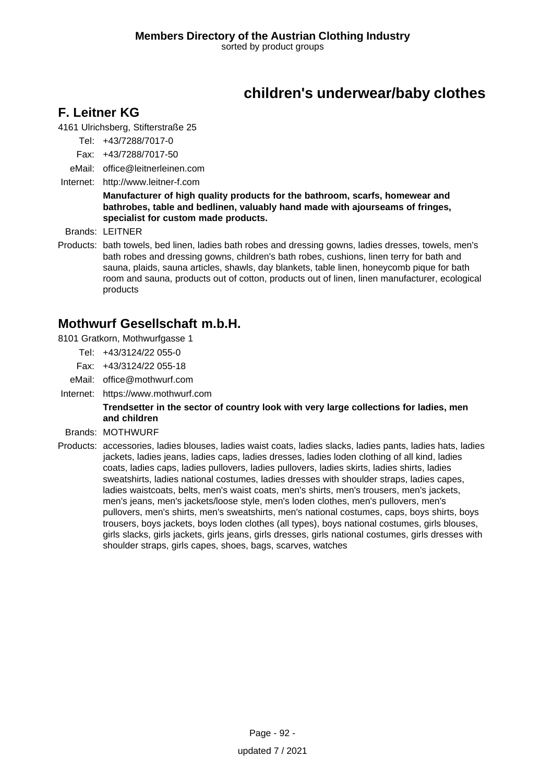# **children's underwear/baby clothes**

### **F. Leitner KG**

4161 Ulrichsberg, Stifterstraße 25

Tel: +43/7288/7017-0

- Fax: +43/7288/7017-50
- eMail: office@leitnerleinen.com
- Internet: <http://www.leitner-f.com>

**Manufacturer of high quality products for the bathroom, scarfs, homewear and bathrobes, table and bedlinen, valuably hand made with ajourseams of fringes, specialist for custom made products.**

Brands: LEITNER

Products: bath towels, bed linen, ladies bath robes and dressing gowns, ladies dresses, towels, men's bath robes and dressing gowns, children's bath robes, cushions, linen terry for bath and sauna, plaids, sauna articles, shawls, day blankets, table linen, honeycomb pique for bath room and sauna, products out of cotton, products out of linen, linen manufacturer, ecological products

### **Mothwurf Gesellschaft m.b.H.**

- 8101 Gratkorn, Mothwurfgasse 1
	- Tel: +43/3124/22 055-0
	- Fax: +43/3124/22 055-18
	- eMail: office@mothwurf.com
- Internet: https://www.mothwurf.com

#### **Trendsetter in the sector of country look with very large collections for ladies, men and children**

- Brands: MOTHWURF
- Products: accessories, ladies blouses, ladies waist coats, ladies slacks, ladies pants, ladies hats, ladies jackets, ladies jeans, ladies caps, ladies dresses, ladies loden clothing of all kind, ladies coats, ladies caps, ladies pullovers, ladies pullovers, ladies skirts, ladies shirts, ladies sweatshirts, ladies national costumes, ladies dresses with shoulder straps, ladies capes, ladies waistcoats, belts, men's waist coats, men's shirts, men's trousers, men's jackets, men's jeans, men's jackets/loose style, men's loden clothes, men's pullovers, men's pullovers, men's shirts, men's sweatshirts, men's national costumes, caps, boys shirts, boys trousers, boys jackets, boys loden clothes (all types), boys national costumes, girls blouses, girls slacks, girls jackets, girls jeans, girls dresses, girls national costumes, girls dresses with shoulder straps, girls capes, shoes, bags, scarves, watches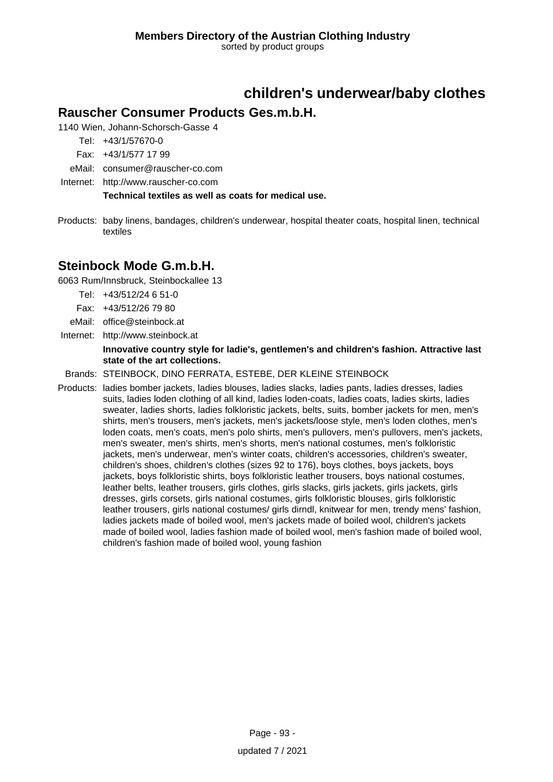# **children's underwear/baby clothes**

### **Rauscher Consumer Products Ges.m.b.H.**

1140 Wien, Johann-Schorsch-Gasse 4

Tel: +43/1/57670-0

- Fax: +43/1/577 17 99
- eMail: consumer@rauscher-co.com
- Internet: <http://www.rauscher-co.com>

**Technical textiles as well as coats for medical use.**

Products: baby linens, bandages, children's underwear, hospital theater coats, hospital linen, technical textiles

### **Steinbock Mode G.m.b.H.**

6063 Rum/Innsbruck, Steinbockallee 13

- Tel: +43/512/24 6 51-0
- Fax: +43/512/26 79 80
- eMail: office@steinbock.at
- Internet: <http://www.steinbock.at>

### **Innovative country style for ladie's, gentlemen's and children's fashion. Attractive last state of the art collections.**

Brands: STEINBOCK, DINO FERRATA, ESTEBE, DER KLEINE STEINBOCK

Products: ladies bomber jackets, ladies blouses, ladies slacks, ladies pants, ladies dresses, ladies suits, ladies loden clothing of all kind, ladies loden-coats, ladies coats, ladies skirts, ladies sweater, ladies shorts, ladies folkloristic jackets, belts, suits, bomber jackets for men, men's shirts, men's trousers, men's jackets, men's jackets/loose style, men's loden clothes, men's loden coats, men's coats, men's polo shirts, men's pullovers, men's pullovers, men's jackets, men's sweater, men's shirts, men's shorts, men's national costumes, men's folkloristic jackets, men's underwear, men's winter coats, children's accessories, children's sweater, children's shoes, children's clothes (sizes 92 to 176), boys clothes, boys jackets, boys jackets, boys folkloristic shirts, boys folkloristic leather trousers, boys national costumes, leather belts, leather trousers, girls clothes, girls slacks, girls jackets, girls jackets, girls dresses, girls corsets, girls national costumes, girls folkloristic blouses, girls folkloristic leather trousers, girls national costumes/ girls dirndl, knitwear for men, trendy mens' fashion, ladies jackets made of boiled wool, men's jackets made of boiled wool, children's jackets made of boiled wool, ladies fashion made of boiled wool, men's fashion made of boiled wool, children's fashion made of boiled wool, young fashion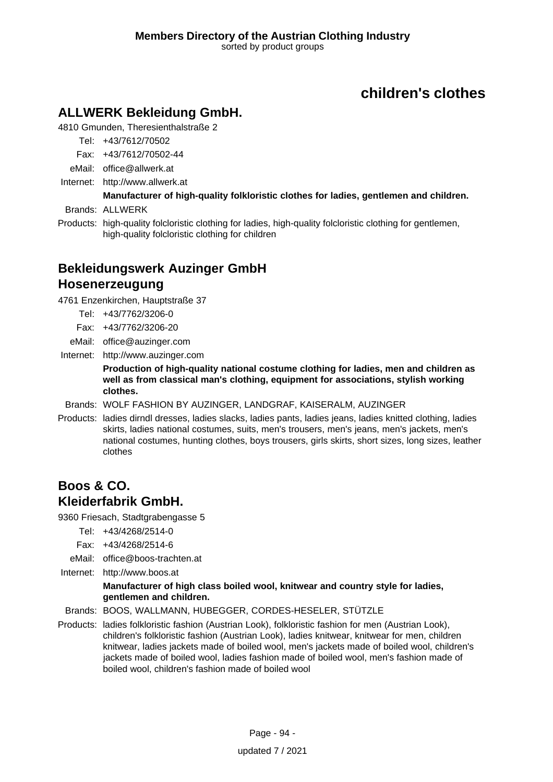# **ALLWERK Bekleidung GmbH.**

4810 Gmunden, Theresienthalstraße 2

Tel: +43/7612/70502

- Fax: +43/7612/70502-44
- eMail: office@allwerk.at
- Internet: <http://www.allwerk.at>

# **Manufacturer of high-quality folkloristic clothes for ladies, gentlemen and children.**

Brands: ALLWERK

Products: high-quality folcloristic clothing for ladies, high-quality folcloristic clothing for gentlemen, high-quality folcloristic clothing for children

# **Bekleidungswerk Auzinger GmbH Hosenerzeugung**

4761 Enzenkirchen, Hauptstraße 37

- Tel: +43/7762/3206-0
- Fax: +43/7762/3206-20
- eMail: office@auzinger.com

Internet: <http://www.auzinger.com>

**Production of high-quality national costume clothing for ladies, men and children as well as from classical man's clothing, equipment for associations, stylish working clothes.**

- Brands: WOLF FASHION BY AUZINGER, LANDGRAF, KAISERALM, AUZINGER
- Products: ladies dirndl dresses, ladies slacks, ladies pants, ladies jeans, ladies knitted clothing, ladies skirts, ladies national costumes, suits, men's trousers, men's jeans, men's jackets, men's national costumes, hunting clothes, boys trousers, girls skirts, short sizes, long sizes, leather clothes

### **Boos & CO. Kleiderfabrik GmbH.**

9360 Friesach, Stadtgrabengasse 5

- Tel: +43/4268/2514-0
- Fax: +43/4268/2514-6
- eMail: office@boos-trachten.at
- Internet: <http://www.boos.at>

#### **Manufacturer of high class boiled wool, knitwear and country style for ladies, gentlemen and children.**

Brands: BOOS, WALLMANN, HUBEGGER, CORDES-HESELER, STÜTZLE

Products: ladies folkloristic fashion (Austrian Look), folkloristic fashion for men (Austrian Look), children's folkloristic fashion (Austrian Look), ladies knitwear, knitwear for men, children knitwear, ladies jackets made of boiled wool, men's jackets made of boiled wool, children's jackets made of boiled wool, ladies fashion made of boiled wool, men's fashion made of boiled wool, children's fashion made of boiled wool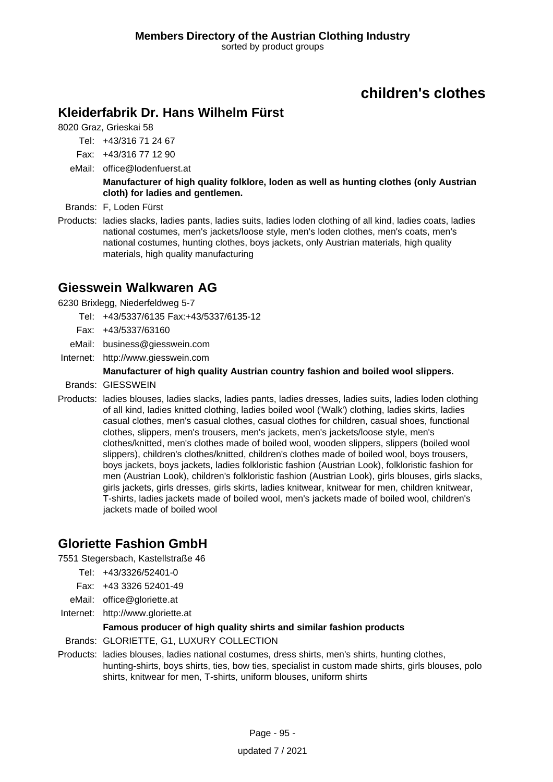## **Kleiderfabrik Dr. Hans Wilhelm Fürst**

8020 Graz, Grieskai 58

Tel: +43/316 71 24 67

Fax: +43/316 77 12 90

eMail: office@lodenfuerst.at

**Manufacturer of high quality folklore, loden as well as hunting clothes (only Austrian cloth) for ladies and gentlemen.**

- Brands: F, Loden Fürst
- Products: ladies slacks, ladies pants, ladies suits, ladies loden clothing of all kind, ladies coats, ladies national costumes, men's jackets/loose style, men's loden clothes, men's coats, men's national costumes, hunting clothes, boys jackets, only Austrian materials, high quality materials, high quality manufacturing

### **Giesswein Walkwaren AG**

6230 Brixlegg, Niederfeldweg 5-7

- Tel: +43/5337/6135 Fax:+43/5337/6135-12
- Fax: +43/5337/63160
- eMail: business@giesswein.com
- Internet: <http://www.giesswein.com>

#### **Manufacturer of high quality Austrian country fashion and boiled wool slippers.**

- Brands: GIESSWEIN
- Products: ladies blouses, ladies slacks, ladies pants, ladies dresses, ladies suits, ladies loden clothing of all kind, ladies knitted clothing, ladies boiled wool ('Walk') clothing, ladies skirts, ladies casual clothes, men's casual clothes, casual clothes for children, casual shoes, functional clothes, slippers, men's trousers, men's jackets, men's jackets/loose style, men's clothes/knitted, men's clothes made of boiled wool, wooden slippers, slippers (boiled wool slippers), children's clothes/knitted, children's clothes made of boiled wool, boys trousers, boys jackets, boys jackets, ladies folkloristic fashion (Austrian Look), folkloristic fashion for men (Austrian Look), children's folkloristic fashion (Austrian Look), girls blouses, girls slacks, girls jackets, girls dresses, girls skirts, ladies knitwear, knitwear for men, children knitwear, T-shirts, ladies jackets made of boiled wool, men's jackets made of boiled wool, children's jackets made of boiled wool

### **Gloriette Fashion GmbH**

7551 Stegersbach, Kastellstraße 46

- Tel: +43/3326/52401-0
- Fax: +43 3326 52401-49
- eMail: office@gloriette.at
- Internet: <http://www.gloriette.at>

#### **Famous producer of high quality shirts and similar fashion products**

Brands: GLORIETTE, G1, LUXURY COLLECTION

Products: ladies blouses, ladies national costumes, dress shirts, men's shirts, hunting clothes, hunting-shirts, boys shirts, ties, bow ties, specialist in custom made shirts, girls blouses, polo shirts, knitwear for men, T-shirts, uniform blouses, uniform shirts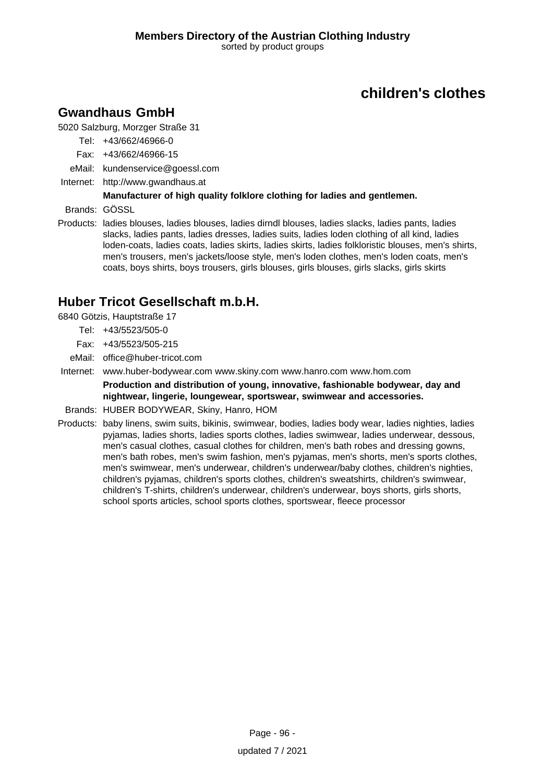# **Gwandhaus GmbH**

5020 Salzburg, Morzger Straße 31

- Tel: +43/662/46966-0
- Fax: +43/662/46966-15
- eMail: kundenservice@goessl.com
- Internet: <http://www.gwandhaus.at>

### **Manufacturer of high quality folklore clothing for ladies and gentlemen.**

Brands: GÖSSL

Products: ladies blouses, ladies blouses, ladies dirndl blouses, ladies slacks, ladies pants, ladies slacks, ladies pants, ladies dresses, ladies suits, ladies loden clothing of all kind, ladies loden-coats, ladies coats, ladies skirts, ladies skirts, ladies folkloristic blouses, men's shirts, men's trousers, men's jackets/loose style, men's loden clothes, men's loden coats, men's coats, boys shirts, boys trousers, girls blouses, girls blouses, girls slacks, girls skirts

# **Huber Tricot Gesellschaft m.b.H.**

6840 Götzis, Hauptstraße 17

- Tel: +43/5523/505-0
- Fax: +43/5523/505-215
- eMail: office@huber-tricot.com
- Internet: www.huber-bodywear.com www.skiny.com www.hanro.com www.hom.com

**Production and distribution of young, innovative, fashionable bodywear, day and nightwear, lingerie, loungewear, sportswear, swimwear and accessories.**

- Brands: HUBER BODYWEAR, Skiny, Hanro, HOM
- Products: baby linens, swim suits, bikinis, swimwear, bodies, ladies body wear, ladies nighties, ladies pyjamas, ladies shorts, ladies sports clothes, ladies swimwear, ladies underwear, dessous, men's casual clothes, casual clothes for children, men's bath robes and dressing gowns, men's bath robes, men's swim fashion, men's pyjamas, men's shorts, men's sports clothes, men's swimwear, men's underwear, children's underwear/baby clothes, children's nighties, children's pyjamas, children's sports clothes, children's sweatshirts, children's swimwear, children's T-shirts, children's underwear, children's underwear, boys shorts, girls shorts, school sports articles, school sports clothes, sportswear, fleece processor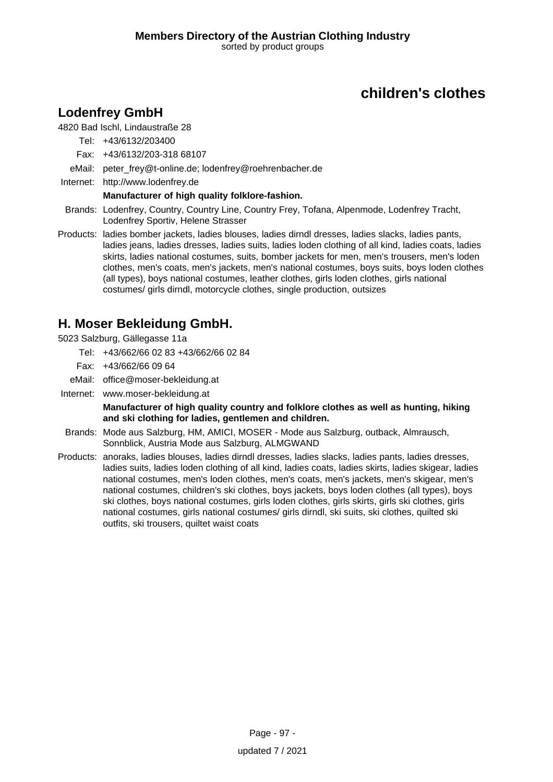# **Lodenfrey GmbH**

### 4820 Bad Ischl, Lindaustraße 28

Tel: +43/6132/203400

- Fax: +43/6132/203-318 68107
- eMail: peter\_frey@t-online.de; lodenfrey@roehrenbacher.de
- Internet: <http://www.lodenfrey.de>

### **Manufacturer of high quality folklore-fashion.**

- Brands: Lodenfrey, Country, Country Line, Country Frey, Tofana, Alpenmode, Lodenfrey Tracht, Lodenfrey Sportiv, Helene Strasser
- Products: ladies bomber jackets, ladies blouses, ladies dirndl dresses, ladies slacks, ladies pants, ladies jeans, ladies dresses, ladies suits, ladies loden clothing of all kind, ladies coats, ladies skirts, ladies national costumes, suits, bomber jackets for men, men's trousers, men's loden clothes, men's coats, men's jackets, men's national costumes, boys suits, boys loden clothes (all types), boys national costumes, leather clothes, girls loden clothes, girls national costumes/ girls dirndl, motorcycle clothes, single production, outsizes

### **H. Moser Bekleidung GmbH.**

5023 Salzburg, Gällegasse 11a

- Tel: +43/662/66 02 83 +43/662/66 02 84
- Fax: +43/662/66 09 64
- eMail: office@moser-bekleidung.at
- Internet: www.moser-bekleidung.at

**Manufacturer of high quality country and folklore clothes as well as hunting, hiking and ski clothing for ladies, gentlemen and children.**

- Brands: Mode aus Salzburg, HM, AMICI, MOSER Mode aus Salzburg, outback, Almrausch, Sonnblick, Austria Mode aus Salzburg, ALMGWAND
- Products: anoraks, ladies blouses, ladies dirndl dresses, ladies slacks, ladies pants, ladies dresses, ladies suits, ladies loden clothing of all kind, ladies coats, ladies skirts, ladies skigear, ladies national costumes, men's loden clothes, men's coats, men's jackets, men's skigear, men's national costumes, children's ski clothes, boys jackets, boys loden clothes (all types), boys ski clothes, boys national costumes, girls loden clothes, girls skirts, girls ski clothes, girls national costumes, girls national costumes/ girls dirndl, ski suits, ski clothes, quilted ski outfits, ski trousers, quiltet waist coats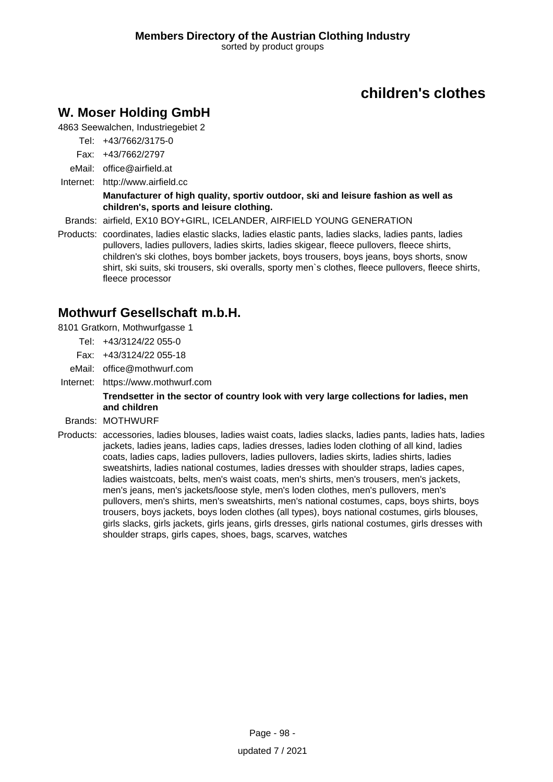# **W. Moser Holding GmbH**

4863 Seewalchen, Industriegebiet 2

- Tel: +43/7662/3175-0
- Fax: +43/7662/2797
- eMail: office@airfield.at
- Internet: <http://www.airfield.cc>

#### **Manufacturer of high quality, sportiv outdoor, ski and leisure fashion as well as children's, sports and leisure clothing.**

Brands: airfield, EX10 BOY+GIRL, ICELANDER, AIRFIELD YOUNG GENERATION

Products: coordinates, ladies elastic slacks, ladies elastic pants, ladies slacks, ladies pants, ladies pullovers, ladies pullovers, ladies skirts, ladies skigear, fleece pullovers, fleece shirts, children's ski clothes, boys bomber jackets, boys trousers, boys jeans, boys shorts, snow shirt, ski suits, ski trousers, ski overalls, sporty men`s clothes, fleece pullovers, fleece shirts, fleece processor

# **Mothwurf Gesellschaft m.b.H.**

8101 Gratkorn, Mothwurfgasse 1

- Tel: +43/3124/22 055-0
- Fax: +43/3124/22 055-18
- eMail: office@mothwurf.com
- Internet: https://www.mothwurf.com

### **Trendsetter in the sector of country look with very large collections for ladies, men and children**

#### Brands: MOTHWURF

Products: accessories, ladies blouses, ladies waist coats, ladies slacks, ladies pants, ladies hats, ladies jackets, ladies jeans, ladies caps, ladies dresses, ladies loden clothing of all kind, ladies coats, ladies caps, ladies pullovers, ladies pullovers, ladies skirts, ladies shirts, ladies sweatshirts, ladies national costumes, ladies dresses with shoulder straps, ladies capes, ladies waistcoats, belts, men's waist coats, men's shirts, men's trousers, men's jackets, men's jeans, men's jackets/loose style, men's loden clothes, men's pullovers, men's pullovers, men's shirts, men's sweatshirts, men's national costumes, caps, boys shirts, boys trousers, boys jackets, boys loden clothes (all types), boys national costumes, girls blouses, girls slacks, girls jackets, girls jeans, girls dresses, girls national costumes, girls dresses with shoulder straps, girls capes, shoes, bags, scarves, watches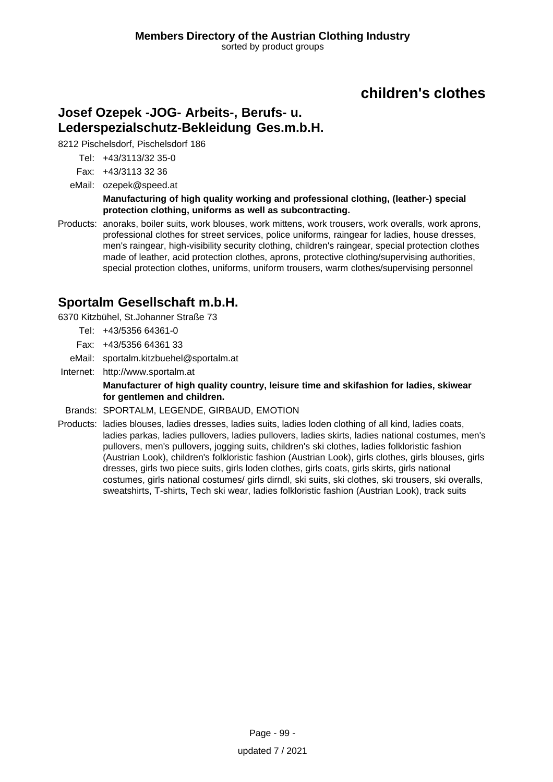# **Josef Ozepek -JOG- Arbeits-, Berufs- u. Lederspezialschutz-Bekleidung Ges.m.b.H.**

8212 Pischelsdorf, Pischelsdorf 186

Tel: +43/3113/32 35-0

Fax: +43/3113 32 36

eMail: ozepek@speed.at

**Manufacturing of high quality working and professional clothing, (leather-) special protection clothing, uniforms as well as subcontracting.**

Products: anoraks, boiler suits, work blouses, work mittens, work trousers, work overalls, work aprons, professional clothes for street services, police uniforms, raingear for ladies, house dresses, men's raingear, high-visibility security clothing, children's raingear, special protection clothes made of leather, acid protection clothes, aprons, protective clothing/supervising authorities, special protection clothes, uniforms, uniform trousers, warm clothes/supervising personnel

### **Sportalm Gesellschaft m.b.H.**

6370 Kitzbühel, St.Johanner Straße 73

- Tel: +43/5356 64361-0
- Fax: +43/5356 64361 33
- eMail: sportalm.kitzbuehel@sportalm.at
- Internet: <http://www.sportalm.at>

**Manufacturer of high quality country, leisure time and skifashion for ladies, skiwear for gentlemen and children.**

Brands: SPORTALM, LEGENDE, GIRBAUD, EMOTION

Products: ladies blouses, ladies dresses, ladies suits, ladies loden clothing of all kind, ladies coats, ladies parkas, ladies pullovers, ladies pullovers, ladies skirts, ladies national costumes, men's pullovers, men's pullovers, jogging suits, children's ski clothes, ladies folkloristic fashion (Austrian Look), children's folkloristic fashion (Austrian Look), girls clothes, girls blouses, girls dresses, girls two piece suits, girls loden clothes, girls coats, girls skirts, girls national costumes, girls national costumes/ girls dirndl, ski suits, ski clothes, ski trousers, ski overalls, sweatshirts, T-shirts, Tech ski wear, ladies folkloristic fashion (Austrian Look), track suits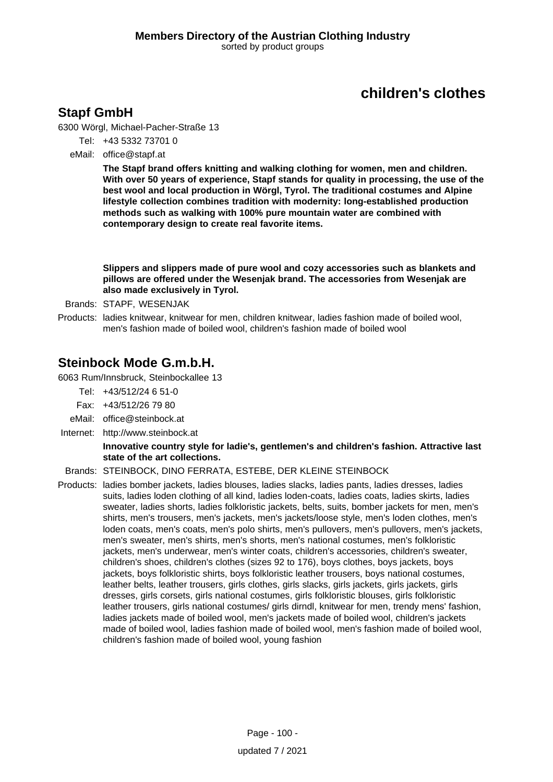### **Stapf GmbH**

6300 Wörgl, Michael-Pacher-Straße 13

- Tel: +43 5332 73701 0
- eMail: office@stapf.at

**The Stapf brand offers knitting and walking clothing for women, men and children. With over 50 years of experience, Stapf stands for quality in processing, the use of the best wool and local production in Wörgl, Tyrol. The traditional costumes and Alpine lifestyle collection combines tradition with modernity: long-established production methods such as walking with 100% pure mountain water are combined with contemporary design to create real favorite items.**

**Slippers and slippers made of pure wool and cozy accessories such as blankets and pillows are offered under the Wesenjak brand. The accessories from Wesenjak are also made exclusively in Tyrol.**

- Brands: STAPF, WESENJAK
- Products: ladies knitwear, knitwear for men, children knitwear, ladies fashion made of boiled wool, men's fashion made of boiled wool, children's fashion made of boiled wool

### **Steinbock Mode G.m.b.H.**

6063 Rum/Innsbruck, Steinbockallee 13

- Tel: +43/512/24 6 51-0
- Fax: +43/512/26 79 80
- eMail: office@steinbock.at
- Internet: <http://www.steinbock.at>

#### **Innovative country style for ladie's, gentlemen's and children's fashion. Attractive last state of the art collections.**

#### Brands: STEINBOCK, DINO FERRATA, ESTEBE, DER KLEINE STEINBOCK

Products: ladies bomber jackets, ladies blouses, ladies slacks, ladies pants, ladies dresses, ladies suits, ladies loden clothing of all kind, ladies loden-coats, ladies coats, ladies skirts, ladies sweater, ladies shorts, ladies folkloristic jackets, belts, suits, bomber jackets for men, men's shirts, men's trousers, men's jackets, men's jackets/loose style, men's loden clothes, men's loden coats, men's coats, men's polo shirts, men's pullovers, men's pullovers, men's jackets, men's sweater, men's shirts, men's shorts, men's national costumes, men's folkloristic jackets, men's underwear, men's winter coats, children's accessories, children's sweater, children's shoes, children's clothes (sizes 92 to 176), boys clothes, boys jackets, boys jackets, boys folkloristic shirts, boys folkloristic leather trousers, boys national costumes, leather belts, leather trousers, girls clothes, girls slacks, girls jackets, girls jackets, girls dresses, girls corsets, girls national costumes, girls folkloristic blouses, girls folkloristic leather trousers, girls national costumes/ girls dirndl, knitwear for men, trendy mens' fashion, ladies jackets made of boiled wool, men's jackets made of boiled wool, children's jackets made of boiled wool, ladies fashion made of boiled wool, men's fashion made of boiled wool, children's fashion made of boiled wool, young fashion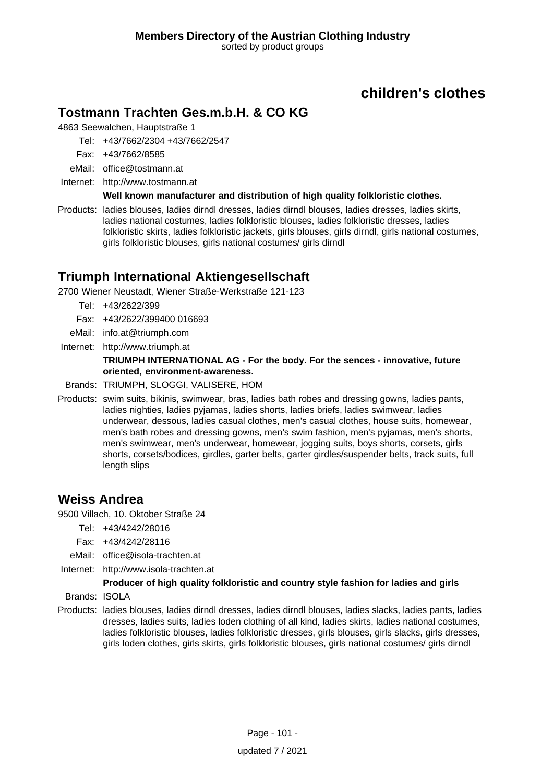# **Tostmann Trachten Ges.m.b.H. & CO KG**

4863 Seewalchen, Hauptstraße 1

Tel: +43/7662/2304 +43/7662/2547

Fax: +43/7662/8585

eMail: office@tostmann.at

Internet: <http://www.tostmann.at>

**Well known manufacturer and distribution of high quality folkloristic clothes.**

Products: ladies blouses, ladies dirndl dresses, ladies dirndl blouses, ladies dresses, ladies skirts, ladies national costumes, ladies folkloristic blouses, ladies folkloristic dresses, ladies folkloristic skirts, ladies folkloristic jackets, girls blouses, girls dirndl, girls national costumes, girls folkloristic blouses, girls national costumes/ girls dirndl

### **Triumph International Aktiengesellschaft**

2700 Wiener Neustadt, Wiener Straße-Werkstraße 121-123

- Tel: +43/2622/399
- Fax: +43/2622/399400 016693
- eMail: info.at@triumph.com
- Internet: <http://www.triumph.at>

#### **TRIUMPH INTERNATIONAL AG - For the body. For the sences - innovative, future oriented, environment-awareness.**

- Brands: TRIUMPH, SLOGGI, VALISERE, HOM
- Products: swim suits, bikinis, swimwear, bras, ladies bath robes and dressing gowns, ladies pants, ladies nighties, ladies pyjamas, ladies shorts, ladies briefs, ladies swimwear, ladies underwear, dessous, ladies casual clothes, men's casual clothes, house suits, homewear, men's bath robes and dressing gowns, men's swim fashion, men's pyjamas, men's shorts, men's swimwear, men's underwear, homewear, jogging suits, boys shorts, corsets, girls shorts, corsets/bodices, girdles, garter belts, garter girdles/suspender belts, track suits, full length slips

### **Weiss Andrea**

9500 Villach, 10. Oktober Straße 24

- Tel: +43/4242/28016
- Fax: +43/4242/28116
- eMail: office@isola-trachten.at
- Internet: <http://www.isola-trachten.at>

#### **Producer of high quality folkloristic and country style fashion for ladies and girls**

Brands: ISOLA

Products: ladies blouses, ladies dirndl dresses, ladies dirndl blouses, ladies slacks, ladies pants, ladies dresses, ladies suits, ladies loden clothing of all kind, ladies skirts, ladies national costumes, ladies folkloristic blouses, ladies folkloristic dresses, girls blouses, girls slacks, girls dresses, girls loden clothes, girls skirts, girls folkloristic blouses, girls national costumes/ girls dirndl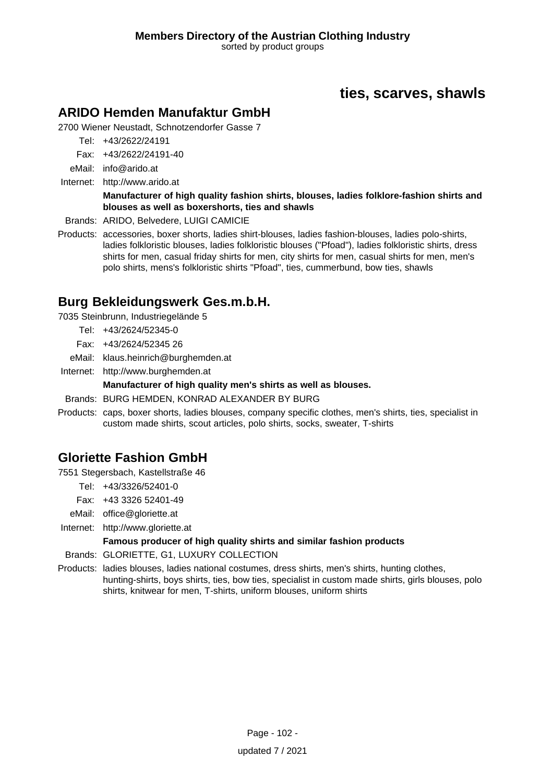# **ties, scarves, shawls**

### **ARIDO Hemden Manufaktur GmbH**

2700 Wiener Neustadt, Schnotzendorfer Gasse 7

Tel: +43/2622/24191

Fax: +43/2622/24191-40

eMail: info@arido.at

Internet: <http://www.arido.at>

#### **Manufacturer of high quality fashion shirts, blouses, ladies folklore-fashion shirts and blouses as well as boxershorts, ties and shawls**

Brands: ARIDO, Belvedere, LUIGI CAMICIE

Products: accessories, boxer shorts, ladies shirt-blouses, ladies fashion-blouses, ladies polo-shirts, ladies folkloristic blouses, ladies folkloristic blouses ("Pfoad"), ladies folkloristic shirts, dress shirts for men, casual friday shirts for men, city shirts for men, casual shirts for men, men's polo shirts, mens's folkloristic shirts "Pfoad", ties, cummerbund, bow ties, shawls

### **Burg Bekleidungswerk Ges.m.b.H.**

7035 Steinbrunn, Industriegelände 5

- Tel: +43/2624/52345-0
- Fax: +43/2624/52345 26
- eMail: klaus.heinrich@burghemden.at
- Internet: <http://www.burghemden.at>

### **Manufacturer of high quality men's shirts as well as blouses.**

- Brands: BURG HEMDEN, KONRAD ALEXANDER BY BURG
- Products: caps, boxer shorts, ladies blouses, company specific clothes, men's shirts, ties, specialist in custom made shirts, scout articles, polo shirts, socks, sweater, T-shirts

### **Gloriette Fashion GmbH**

7551 Stegersbach, Kastellstraße 46

- Tel: +43/3326/52401-0
- Fax: +43 3326 52401-49
- eMail: office@gloriette.at
- Internet: <http://www.gloriette.at>

### **Famous producer of high quality shirts and similar fashion products**

- Brands: GLORIETTE, G1, LUXURY COLLECTION
- Products: ladies blouses, ladies national costumes, dress shirts, men's shirts, hunting clothes, hunting-shirts, boys shirts, ties, bow ties, specialist in custom made shirts, girls blouses, polo shirts, knitwear for men, T-shirts, uniform blouses, uniform shirts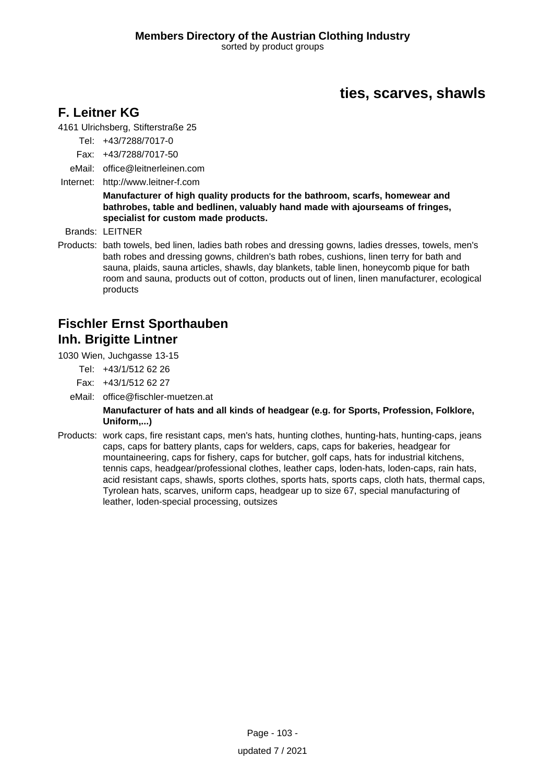# **ties, scarves, shawls**

## **F. Leitner KG**

4161 Ulrichsberg, Stifterstraße 25

- Tel: +43/7288/7017-0
- Fax: +43/7288/7017-50
- eMail: office@leitnerleinen.com
- Internet: <http://www.leitner-f.com>

#### **Manufacturer of high quality products for the bathroom, scarfs, homewear and bathrobes, table and bedlinen, valuably hand made with ajourseams of fringes, specialist for custom made products.**

Brands: LEITNER

Products: bath towels, bed linen, ladies bath robes and dressing gowns, ladies dresses, towels, men's bath robes and dressing gowns, children's bath robes, cushions, linen terry for bath and sauna, plaids, sauna articles, shawls, day blankets, table linen, honeycomb pique for bath room and sauna, products out of cotton, products out of linen, linen manufacturer, ecological products

# **Fischler Ernst Sporthauben Inh. Brigitte Lintner**

1030 Wien, Juchgasse 13-15

- Tel: +43/1/512 62 26
- Fax: +43/1/512 62 27
- eMail: office@fischler-muetzen.at

#### **Manufacturer of hats and all kinds of headgear (e.g. for Sports, Profession, Folklore, Uniform,...)**

Products: work caps, fire resistant caps, men's hats, hunting clothes, hunting-hats, hunting-caps, jeans caps, caps for battery plants, caps for welders, caps, caps for bakeries, headgear for mountaineering, caps for fishery, caps for butcher, golf caps, hats for industrial kitchens, tennis caps, headgear/professional clothes, leather caps, loden-hats, loden-caps, rain hats, acid resistant caps, shawls, sports clothes, sports hats, sports caps, cloth hats, thermal caps, Tyrolean hats, scarves, uniform caps, headgear up to size 67, special manufacturing of leather, loden-special processing, outsizes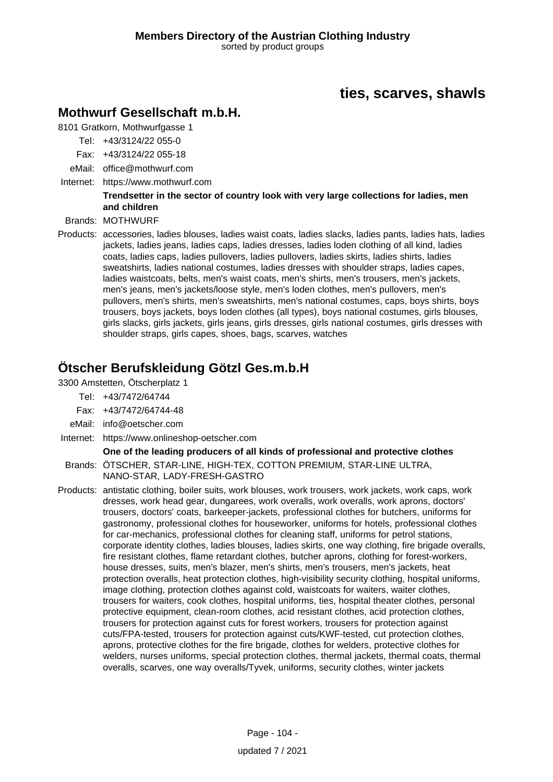# **ties, scarves, shawls**

### **Mothwurf Gesellschaft m.b.H.**

8101 Gratkorn, Mothwurfgasse 1

- Tel: +43/3124/22 055-0
- Fax: +43/3124/22 055-18
- eMail: office@mothwurf.com
- Internet: https://www.mothwurf.com

#### **Trendsetter in the sector of country look with very large collections for ladies, men and children**

Brands: MOTHWURF

Products: accessories, ladies blouses, ladies waist coats, ladies slacks, ladies pants, ladies hats, ladies jackets, ladies jeans, ladies caps, ladies dresses, ladies loden clothing of all kind, ladies coats, ladies caps, ladies pullovers, ladies pullovers, ladies skirts, ladies shirts, ladies sweatshirts, ladies national costumes, ladies dresses with shoulder straps, ladies capes, ladies waistcoats, belts, men's waist coats, men's shirts, men's trousers, men's jackets, men's jeans, men's jackets/loose style, men's loden clothes, men's pullovers, men's pullovers, men's shirts, men's sweatshirts, men's national costumes, caps, boys shirts, boys trousers, boys jackets, boys loden clothes (all types), boys national costumes, girls blouses, girls slacks, girls jackets, girls jeans, girls dresses, girls national costumes, girls dresses with shoulder straps, girls capes, shoes, bags, scarves, watches

# **Ötscher Berufskleidung Götzl Ges.m.b.H**

3300 Amstetten, Ötscherplatz 1

Tel: +43/7472/64744

Fax: +43/7472/64744-48

- eMail: info@oetscher.com
- Internet: https://www.onlineshop-oetscher.com

#### **One of the leading producers of all kinds of professional and protective clothes**

Brands: ÖTSCHER, STAR-LINE, HIGH-TEX, COTTON PREMIUM, STAR-LINE ULTRA, NANO-STAR, LADY-FRESH-GASTRO

Products: antistatic clothing, boiler suits, work blouses, work trousers, work jackets, work caps, work dresses, work head gear, dungarees, work overalls, work overalls, work aprons, doctors' trousers, doctors' coats, barkeeper-jackets, professional clothes for butchers, uniforms for gastronomy, professional clothes for houseworker, uniforms for hotels, professional clothes for car-mechanics, professional clothes for cleaning staff, uniforms for petrol stations, corporate identity clothes, ladies blouses, ladies skirts, one way clothing, fire brigade overalls, fire resistant clothes, flame retardant clothes, butcher aprons, clothing for forest-workers, house dresses, suits, men's blazer, men's shirts, men's trousers, men's jackets, heat protection overalls, heat protection clothes, high-visibility security clothing, hospital uniforms, image clothing, protection clothes against cold, waistcoats for waiters, waiter clothes, trousers for waiters, cook clothes, hospital uniforms, ties, hospital theater clothes, personal protective equipment, clean-room clothes, acid resistant clothes, acid protection clothes, trousers for protection against cuts for forest workers, trousers for protection against cuts/FPA-tested, trousers for protection against cuts/KWF-tested, cut protection clothes, aprons, protective clothes for the fire brigade, clothes for welders, protective clothes for welders, nurses uniforms, special protection clothes, thermal jackets, thermal coats, thermal overalls, scarves, one way overalls/Tyvek, uniforms, security clothes, winter jackets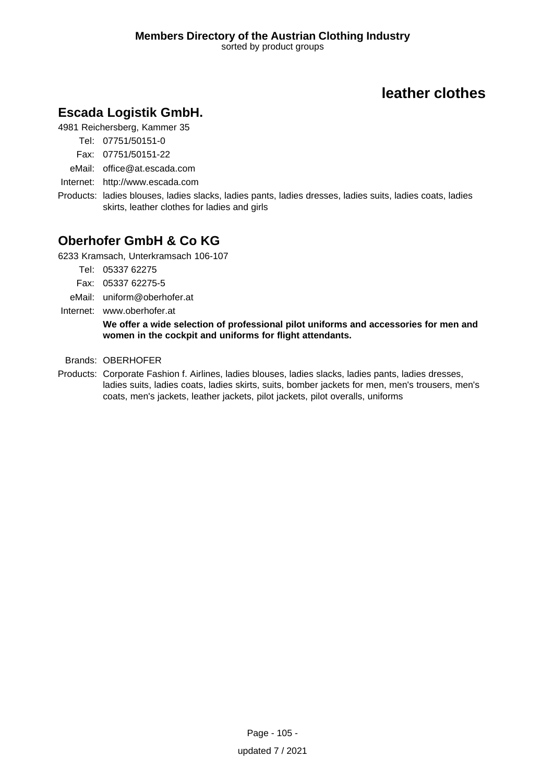# **leather clothes**

# **Escada Logistik GmbH.**

4981 Reichersberg, Kammer 35

- Tel: 07751/50151-0
- Fax: 07751/50151-22
- eMail: office@at.escada.com
- Internet: <http://www.escada.com>
- Products: ladies blouses, ladies slacks, ladies pants, ladies dresses, ladies suits, ladies coats, ladies skirts, leather clothes for ladies and girls

# **Oberhofer GmbH & Co KG**

6233 Kramsach, Unterkramsach 106-107

- Tel: 05337 62275
- Fax: 05337 62275-5
- eMail: uniform@oberhofer.at
- Internet: www.oberhofer.at

**We offer a wide selection of professional pilot uniforms and accessories for men and women in the cockpit and uniforms for flight attendants.**

#### Brands: OBERHOFER

Products: Corporate Fashion f. Airlines, ladies blouses, ladies slacks, ladies pants, ladies dresses, ladies suits, ladies coats, ladies skirts, suits, bomber jackets for men, men's trousers, men's coats, men's jackets, leather jackets, pilot jackets, pilot overalls, uniforms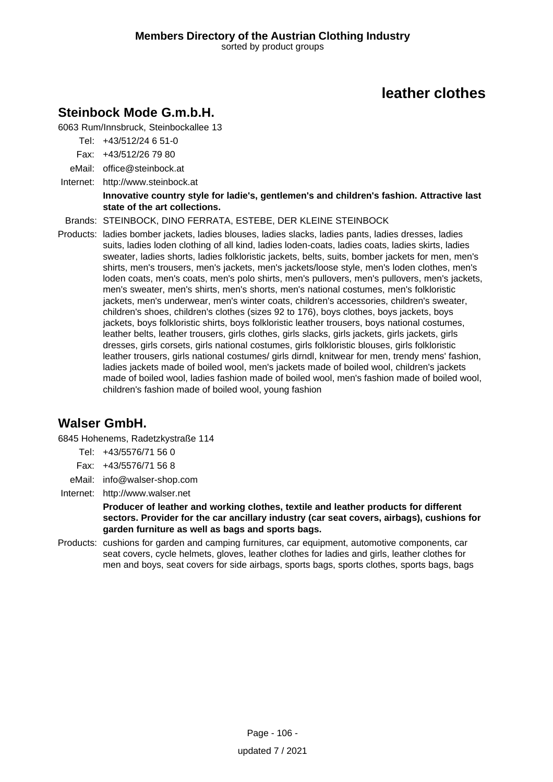# **leather clothes**

# **Steinbock Mode G.m.b.H.**

6063 Rum/Innsbruck, Steinbockallee 13

Tel: +43/512/24 6 51-0

Fax: +43/512/26 79 80

eMail: office@steinbock.at

Internet: <http://www.steinbock.at>

#### **Innovative country style for ladie's, gentlemen's and children's fashion. Attractive last state of the art collections.**

Brands: STEINBOCK, DINO FERRATA, ESTEBE, DER KLEINE STEINBOCK

Products: ladies bomber jackets, ladies blouses, ladies slacks, ladies pants, ladies dresses, ladies suits, ladies loden clothing of all kind, ladies loden-coats, ladies coats, ladies skirts, ladies sweater, ladies shorts, ladies folkloristic jackets, belts, suits, bomber jackets for men, men's shirts, men's trousers, men's jackets, men's jackets/loose style, men's loden clothes, men's loden coats, men's coats, men's polo shirts, men's pullovers, men's pullovers, men's jackets, men's sweater, men's shirts, men's shorts, men's national costumes, men's folkloristic jackets, men's underwear, men's winter coats, children's accessories, children's sweater, children's shoes, children's clothes (sizes 92 to 176), boys clothes, boys jackets, boys jackets, boys folkloristic shirts, boys folkloristic leather trousers, boys national costumes, leather belts, leather trousers, girls clothes, girls slacks, girls jackets, girls jackets, girls dresses, girls corsets, girls national costumes, girls folkloristic blouses, girls folkloristic leather trousers, girls national costumes/ girls dirndl, knitwear for men, trendy mens' fashion, ladies jackets made of boiled wool, men's jackets made of boiled wool, children's jackets made of boiled wool, ladies fashion made of boiled wool, men's fashion made of boiled wool, children's fashion made of boiled wool, young fashion

# **Walser GmbH.**

6845 Hohenems, Radetzkystraße 114

- Tel: +43/5576/71 56 0
- Fax: +43/5576/71 56 8
- eMail: info@walser-shop.com
- Internet: <http://www.walser.net>

**Producer of leather and working clothes, textile and leather products for different sectors. Provider for the car ancillary industry (car seat covers, airbags), cushions for garden furniture as well as bags and sports bags.**

Products: cushions for garden and camping furnitures, car equipment, automotive components, car seat covers, cycle helmets, gloves, leather clothes for ladies and girls, leather clothes for men and boys, seat covers for side airbags, sports bags, sports clothes, sports bags, bags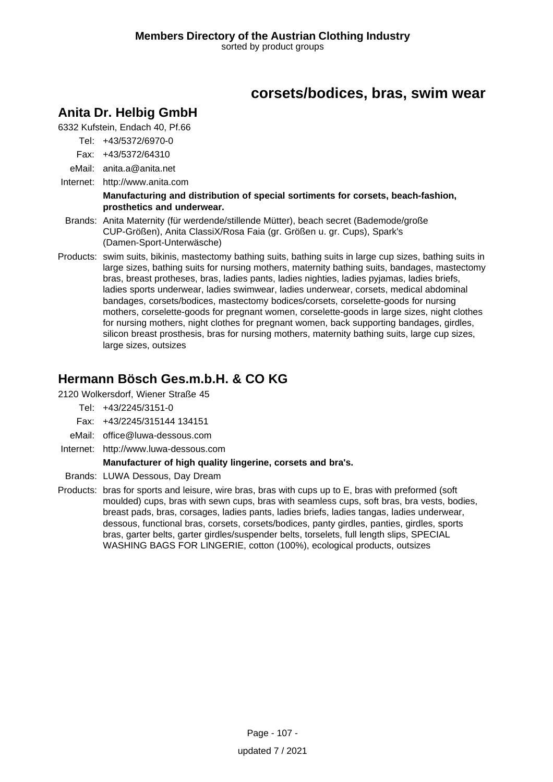# **corsets/bodices, bras, swim wear**

## **Anita Dr. Helbig GmbH**

6332 Kufstein, Endach 40, Pf.66

- Tel: +43/5372/6970-0
- Fax: +43/5372/64310
- eMail: anita.a@anita.net
- Internet: <http://www.anita.com>

#### **Manufacturing and distribution of special sortiments for corsets, beach-fashion, prosthetics and underwear.**

- Brands: Anita Maternity (für werdende/stillende Mütter), beach secret (Bademode/große CUP-Größen), Anita ClassiX/Rosa Faia (gr. Größen u. gr. Cups), Spark's (Damen-Sport-Unterwäsche)
- Products: swim suits, bikinis, mastectomy bathing suits, bathing suits in large cup sizes, bathing suits in large sizes, bathing suits for nursing mothers, maternity bathing suits, bandages, mastectomy bras, breast protheses, bras, ladies pants, ladies nighties, ladies pyjamas, ladies briefs, ladies sports underwear, ladies swimwear, ladies underwear, corsets, medical abdominal bandages, corsets/bodices, mastectomy bodices/corsets, corselette-goods for nursing mothers, corselette-goods for pregnant women, corselette-goods in large sizes, night clothes for nursing mothers, night clothes for pregnant women, back supporting bandages, girdles, silicon breast prosthesis, bras for nursing mothers, maternity bathing suits, large cup sizes, large sizes, outsizes

## **Hermann Bösch Ges.m.b.H. & CO KG**

2120 Wolkersdorf, Wiener Straße 45

- Tel: +43/2245/3151-0
- Fax: +43/2245/315144 134151
- eMail: office@luwa-dessous.com
- Internet: <http://www.luwa-dessous.com>

#### **Manufacturer of high quality lingerine, corsets and bra's.**

- Brands: LUWA Dessous, Day Dream
- Products: bras for sports and leisure, wire bras, bras with cups up to E, bras with preformed (soft moulded) cups, bras with sewn cups, bras with seamless cups, soft bras, bra vests, bodies, breast pads, bras, corsages, ladies pants, ladies briefs, ladies tangas, ladies underwear, dessous, functional bras, corsets, corsets/bodices, panty girdles, panties, girdles, sports bras, garter belts, garter girdles/suspender belts, torselets, full length slips, SPECIAL WASHING BAGS FOR LINGERIE, cotton (100%), ecological products, outsizes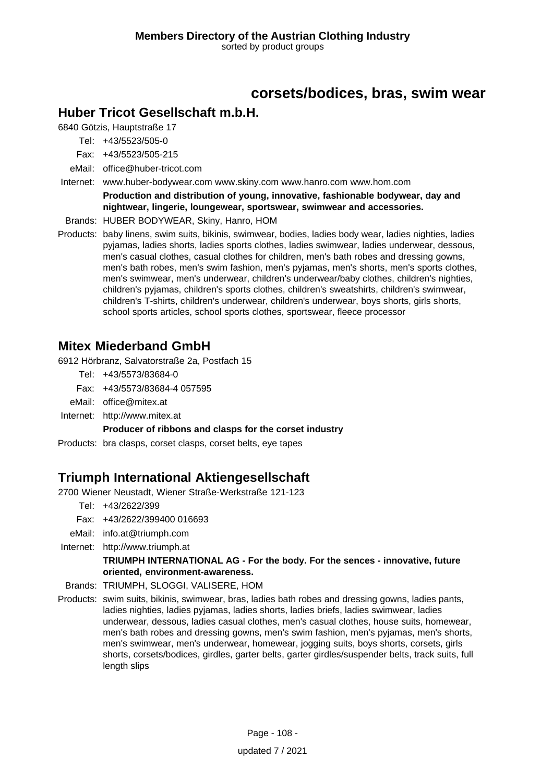## **corsets/bodices, bras, swim wear**

#### **Huber Tricot Gesellschaft m.b.H.**

6840 Götzis, Hauptstraße 17

Tel: +43/5523/505-0

Fax: +43/5523/505-215

eMail: office@huber-tricot.com

Internet: www.huber-bodywear.com www.skiny.com www.hanro.com www.hom.com

**Production and distribution of young, innovative, fashionable bodywear, day and nightwear, lingerie, loungewear, sportswear, swimwear and accessories.**

Brands: HUBER BODYWEAR, Skiny, Hanro, HOM

Products: baby linens, swim suits, bikinis, swimwear, bodies, ladies body wear, ladies nighties, ladies pyjamas, ladies shorts, ladies sports clothes, ladies swimwear, ladies underwear, dessous, men's casual clothes, casual clothes for children, men's bath robes and dressing gowns, men's bath robes, men's swim fashion, men's pyjamas, men's shorts, men's sports clothes, men's swimwear, men's underwear, children's underwear/baby clothes, children's nighties, children's pyjamas, children's sports clothes, children's sweatshirts, children's swimwear, children's T-shirts, children's underwear, children's underwear, boys shorts, girls shorts, school sports articles, school sports clothes, sportswear, fleece processor

### **Mitex Miederband GmbH**

6912 Hörbranz, Salvatorstraße 2a, Postfach 15

- Tel: +43/5573/83684-0
- Fax: +43/5573/83684-4 057595
- eMail: office@mitex.at
- Internet: <http://www.mitex.at>

**Producer of ribbons and clasps for the corset industry**

Products: bra clasps, corset clasps, corset belts, eye tapes

### **Triumph International Aktiengesellschaft**

2700 Wiener Neustadt, Wiener Straße-Werkstraße 121-123

- Tel: +43/2622/399
- Fax: +43/2622/399400 016693
- eMail: info.at@triumph.com
- Internet: <http://www.triumph.at>

#### **TRIUMPH INTERNATIONAL AG - For the body. For the sences - innovative, future oriented, environment-awareness.**

Brands: TRIUMPH, SLOGGI, VALISERE, HOM

Products: swim suits, bikinis, swimwear, bras, ladies bath robes and dressing gowns, ladies pants, ladies nighties, ladies pyjamas, ladies shorts, ladies briefs, ladies swimwear, ladies underwear, dessous, ladies casual clothes, men's casual clothes, house suits, homewear, men's bath robes and dressing gowns, men's swim fashion, men's pyjamas, men's shorts, men's swimwear, men's underwear, homewear, jogging suits, boys shorts, corsets, girls shorts, corsets/bodices, girdles, garter belts, garter girdles/suspender belts, track suits, full length slips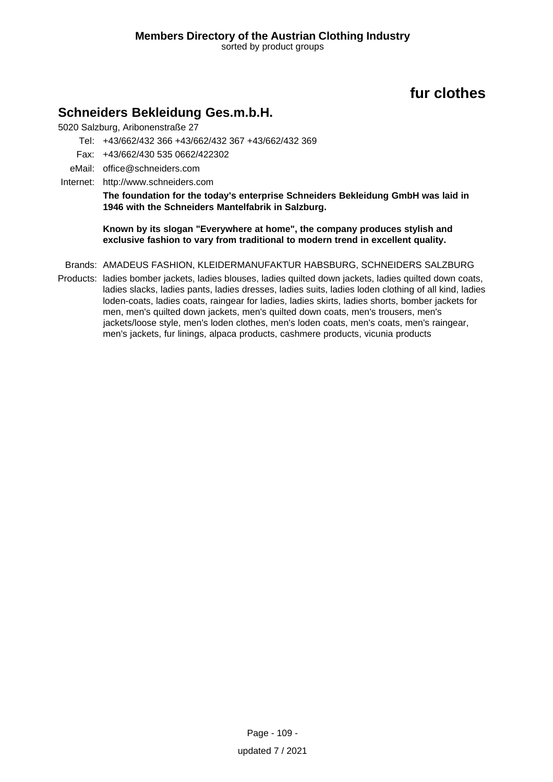# **fur clothes**

### **Schneiders Bekleidung Ges.m.b.H.**

5020 Salzburg, Aribonenstraße 27

- Tel: +43/662/432 366 +43/662/432 367 +43/662/432 369
- Fax: +43/662/430 535 0662/422302
- eMail: office@schneiders.com
- Internet: <http://www.schneiders.com>

**The foundation for the today's enterprise Schneiders Bekleidung GmbH was laid in 1946 with the Schneiders Mantelfabrik in Salzburg.**

**Known by its slogan "Everywhere at home", the company produces stylish and exclusive fashion to vary from traditional to modern trend in excellent quality.**

- Brands: AMADEUS FASHION, KLEIDERMANUFAKTUR HABSBURG, SCHNEIDERS SALZBURG
- Products: ladies bomber jackets, ladies blouses, ladies quilted down jackets, ladies quilted down coats, ladies slacks, ladies pants, ladies dresses, ladies suits, ladies loden clothing of all kind, ladies loden-coats, ladies coats, raingear for ladies, ladies skirts, ladies shorts, bomber jackets for men, men's quilted down jackets, men's quilted down coats, men's trousers, men's jackets/loose style, men's loden clothes, men's loden coats, men's coats, men's raingear, men's jackets, fur linings, alpaca products, cashmere products, vicunia products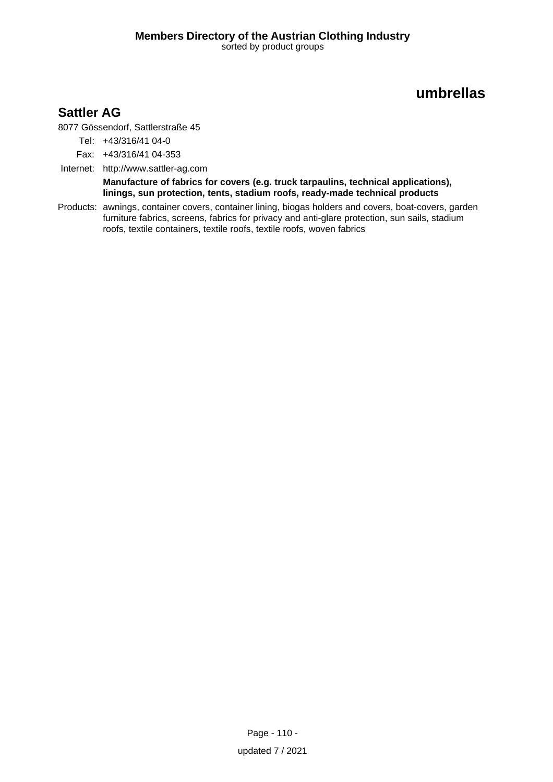# **umbrellas**

## **Sattler AG**

8077 Gössendorf, Sattlerstraße 45

Tel: +43/316/41 04-0

Fax: +43/316/41 04-353

Internet: <http://www.sattler-ag.com>

**Manufacture of fabrics for covers (e.g. truck tarpaulins, technical applications), linings, sun protection, tents, stadium roofs, ready-made technical products**

Products: awnings, container covers, container lining, biogas holders and covers, boat-covers, garden furniture fabrics, screens, fabrics for privacy and anti-glare protection, sun sails, stadium roofs, textile containers, textile roofs, textile roofs, woven fabrics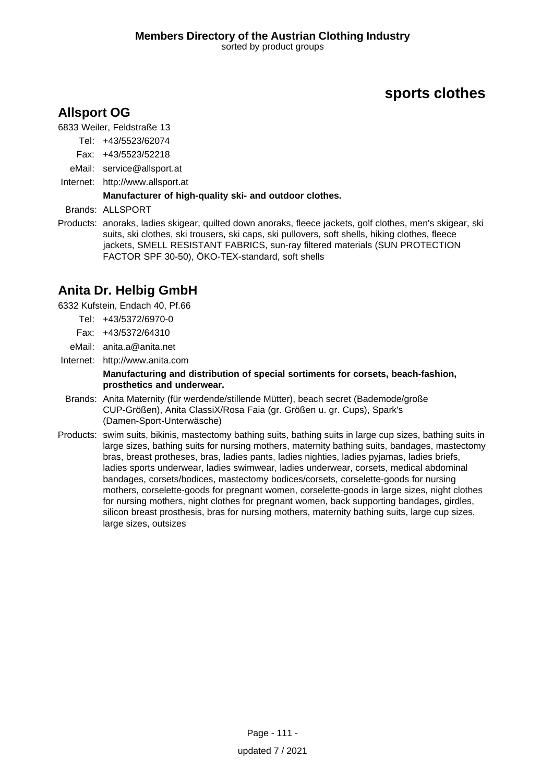## **Allsport OG**

6833 Weiler, Feldstraße 13

Tel: +43/5523/62074

- Fax: +43/5523/52218
- eMail: service@allsport.at
- Internet: <http://www.allsport.at>

#### **Manufacturer of high-quality ski- and outdoor clothes.**

Brands: ALLSPORT

Products: anoraks, ladies skigear, quilted down anoraks, fleece jackets, golf clothes, men's skigear, ski suits, ski clothes, ski trousers, ski caps, ski pullovers, soft shells, hiking clothes, fleece jackets, SMELL RESISTANT FABRICS, sun-ray filtered materials (SUN PROTECTION FACTOR SPF 30-50), ÖKO-TEX-standard, soft shells

# **Anita Dr. Helbig GmbH**

6332 Kufstein, Endach 40, Pf.66

- Tel: +43/5372/6970-0
- Fax: +43/5372/64310
- eMail: anita.a@anita.net
- Internet: <http://www.anita.com>

#### **Manufacturing and distribution of special sortiments for corsets, beach-fashion, prosthetics and underwear.**

- Brands: Anita Maternity (für werdende/stillende Mütter), beach secret (Bademode/große CUP-Größen), Anita ClassiX/Rosa Faia (gr. Größen u. gr. Cups), Spark's (Damen-Sport-Unterwäsche)
- Products: swim suits, bikinis, mastectomy bathing suits, bathing suits in large cup sizes, bathing suits in large sizes, bathing suits for nursing mothers, maternity bathing suits, bandages, mastectomy bras, breast protheses, bras, ladies pants, ladies nighties, ladies pyjamas, ladies briefs, ladies sports underwear, ladies swimwear, ladies underwear, corsets, medical abdominal bandages, corsets/bodices, mastectomy bodices/corsets, corselette-goods for nursing mothers, corselette-goods for pregnant women, corselette-goods in large sizes, night clothes for nursing mothers, night clothes for pregnant women, back supporting bandages, girdles, silicon breast prosthesis, bras for nursing mothers, maternity bathing suits, large cup sizes, large sizes, outsizes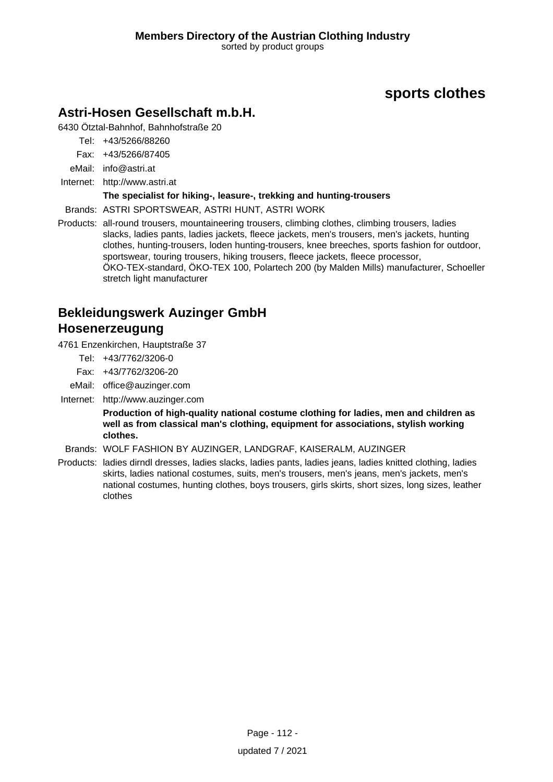### **Astri-Hosen Gesellschaft m.b.H.**

6430 Ötztal-Bahnhof, Bahnhofstraße 20

Tel: +43/5266/88260

Fax: +43/5266/87405

eMail: info@astri.at

Internet: <http://www.astri.at>

#### **The specialist for hiking-, leasure-, trekking and hunting-trousers**

Brands: ASTRI SPORTSWEAR, ASTRI HUNT, ASTRI WORK

Products: all-round trousers, mountaineering trousers, climbing clothes, climbing trousers, ladies slacks, ladies pants, ladies jackets, fleece jackets, men's trousers, men's jackets, hunting clothes, hunting-trousers, loden hunting-trousers, knee breeches, sports fashion for outdoor, sportswear, touring trousers, hiking trousers, fleece jackets, fleece processor, ÖKO-TEX-standard, ÖKO-TEX 100, Polartech 200 (by Malden Mills) manufacturer, Schoeller stretch light manufacturer

# **Bekleidungswerk Auzinger GmbH Hosenerzeugung**

4761 Enzenkirchen, Hauptstraße 37

- Tel: +43/7762/3206-0
- Fax: +43/7762/3206-20
- eMail: office@auzinger.com
- Internet: <http://www.auzinger.com>

**Production of high-quality national costume clothing for ladies, men and children as well as from classical man's clothing, equipment for associations, stylish working clothes.**

Brands: WOLF FASHION BY AUZINGER, LANDGRAF, KAISERALM, AUZINGER

Products: ladies dirndl dresses, ladies slacks, ladies pants, ladies jeans, ladies knitted clothing, ladies skirts, ladies national costumes, suits, men's trousers, men's jeans, men's jackets, men's national costumes, hunting clothes, boys trousers, girls skirts, short sizes, long sizes, leather clothes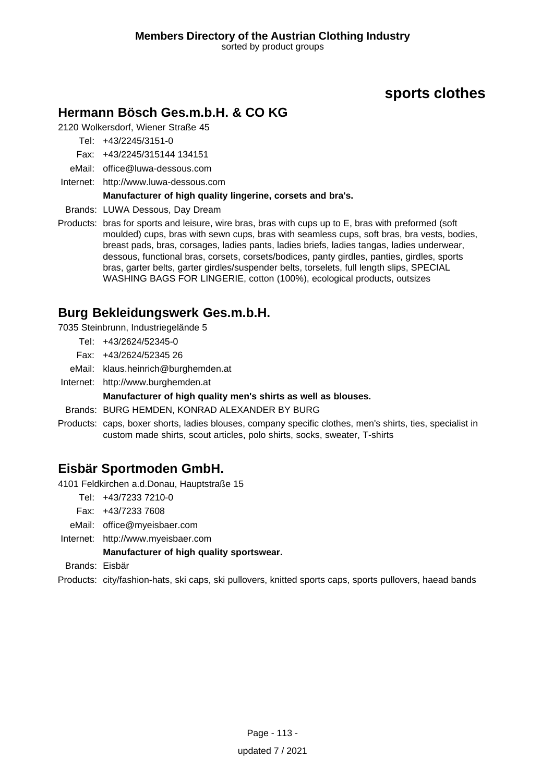## **Hermann Bösch Ges.m.b.H. & CO KG**

2120 Wolkersdorf, Wiener Straße 45

Tel: +43/2245/3151-0

Fax: +43/2245/315144 134151

- eMail: office@luwa-dessous.com
- Internet: <http://www.luwa-dessous.com>

#### **Manufacturer of high quality lingerine, corsets and bra's.**

Brands: LUWA Dessous, Day Dream

Products: bras for sports and leisure, wire bras, bras with cups up to E, bras with preformed (soft moulded) cups, bras with sewn cups, bras with seamless cups, soft bras, bra vests, bodies, breast pads, bras, corsages, ladies pants, ladies briefs, ladies tangas, ladies underwear, dessous, functional bras, corsets, corsets/bodices, panty girdles, panties, girdles, sports bras, garter belts, garter girdles/suspender belts, torselets, full length slips, SPECIAL WASHING BAGS FOR LINGERIE, cotton (100%), ecological products, outsizes

### **Burg Bekleidungswerk Ges.m.b.H.**

7035 Steinbrunn, Industriegelände 5

- Tel: +43/2624/52345-0
- Fax: +43/2624/52345 26
- eMail: klaus.heinrich@burghemden.at
- Internet: <http://www.burghemden.at>

#### **Manufacturer of high quality men's shirts as well as blouses.**

Brands: BURG HEMDEN, KONRAD ALEXANDER BY BURG

Products: caps, boxer shorts, ladies blouses, company specific clothes, men's shirts, ties, specialist in custom made shirts, scout articles, polo shirts, socks, sweater, T-shirts

### **Eisbär Sportmoden GmbH.**

4101 Feldkirchen a.d.Donau, Hauptstraße 15

- Tel: +43/7233 7210-0
- Fax: +43/7233 7608
- eMail: office@myeisbaer.com
- Internet: <http://www.myeisbaer.com>

#### **Manufacturer of high quality sportswear.**

Brands: Eisbär

Products: city/fashion-hats, ski caps, ski pullovers, knitted sports caps, sports pullovers, haead bands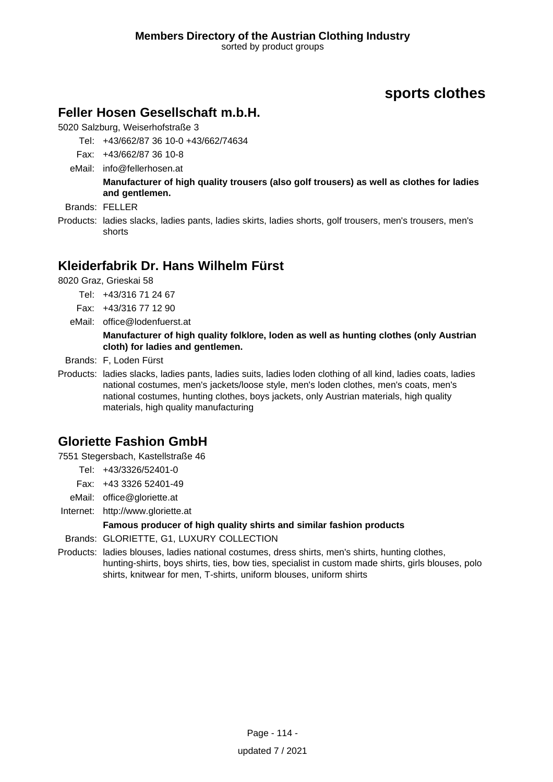### **Feller Hosen Gesellschaft m.b.H.**

5020 Salzburg, Weiserhofstraße 3

- Tel: +43/662/87 36 10-0 +43/662/74634
- Fax: +43/662/87 36 10-8
- eMail: info@fellerhosen.at

**Manufacturer of high quality trousers (also golf trousers) as well as clothes for ladies and gentlemen.**

- Brands: FELLER
- Products: ladies slacks, ladies pants, ladies skirts, ladies shorts, golf trousers, men's trousers, men's shorts

## **Kleiderfabrik Dr. Hans Wilhelm Fürst**

8020 Graz, Grieskai 58

- Tel: +43/316 71 24 67
- Fax: +43/316 77 12 90
- eMail: office@lodenfuerst.at

#### **Manufacturer of high quality folklore, loden as well as hunting clothes (only Austrian cloth) for ladies and gentlemen.**

Brands: F, Loden Fürst

Products: ladies slacks, ladies pants, ladies suits, ladies loden clothing of all kind, ladies coats, ladies national costumes, men's jackets/loose style, men's loden clothes, men's coats, men's national costumes, hunting clothes, boys jackets, only Austrian materials, high quality materials, high quality manufacturing

# **Gloriette Fashion GmbH**

7551 Stegersbach, Kastellstraße 46

- Tel: +43/3326/52401-0
- Fax: +43 3326 52401-49
- eMail: office@gloriette.at
- Internet: <http://www.gloriette.at>

#### **Famous producer of high quality shirts and similar fashion products**

- Brands: GLORIETTE, G1, LUXURY COLLECTION
- Products: ladies blouses, ladies national costumes, dress shirts, men's shirts, hunting clothes, hunting-shirts, boys shirts, ties, bow ties, specialist in custom made shirts, girls blouses, polo shirts, knitwear for men, T-shirts, uniform blouses, uniform shirts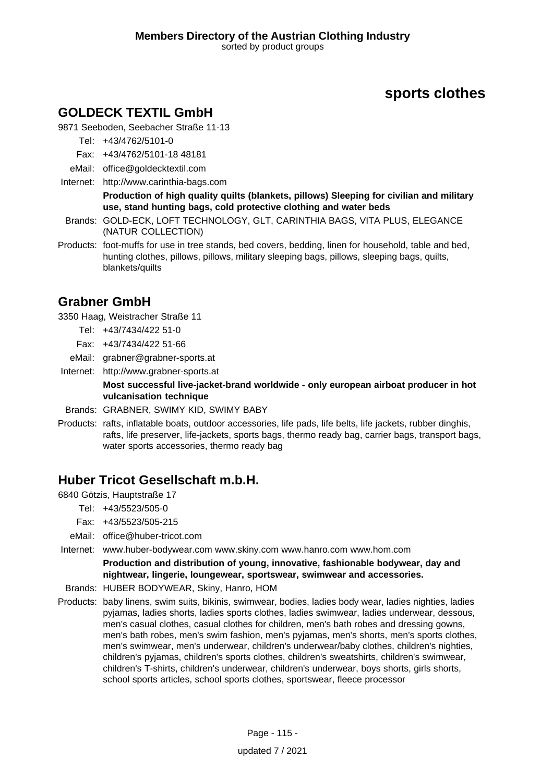### **GOLDECK TEXTIL GmbH**

9871 Seeboden, Seebacher Straße 11-13

Tel: +43/4762/5101-0

- Fax: +43/4762/5101-18 48181
- eMail: office@goldecktextil.com
- Internet: <http://www.carinthia-bags.com>

**Production of high quality quilts (blankets, pillows) Sleeping for civilian and military use, stand hunting bags, cold protective clothing and water beds**

- Brands: GOLD-ECK, LOFT TECHNOLOGY, GLT, CARINTHIA BAGS, VITA PLUS, ELEGANCE (NATUR COLLECTION)
- Products: foot-muffs for use in tree stands, bed covers, bedding, linen for household, table and bed, hunting clothes, pillows, pillows, military sleeping bags, pillows, sleeping bags, quilts, blankets/quilts

### **Grabner GmbH**

3350 Haag, Weistracher Straße 11

- Tel: +43/7434/422 51-0
- Fax: +43/7434/422 51-66
- eMail: grabner@grabner-sports.at
- Internet: <http://www.grabner-sports.at>

**Most successful live-jacket-brand worldwide - only european airboat producer in hot vulcanisation technique**

- Brands: GRABNER, SWIMY KID, SWIMY BABY
- Products: rafts, inflatable boats, outdoor accessories, life pads, life belts, life jackets, rubber dinghis, rafts, life preserver, life-jackets, sports bags, thermo ready bag, carrier bags, transport bags, water sports accessories, thermo ready bag

### **Huber Tricot Gesellschaft m.b.H.**

6840 Götzis, Hauptstraße 17

- Tel: +43/5523/505-0
- Fax: +43/5523/505-215
- eMail: office@huber-tricot.com
- Internet: www.huber-bodywear.com www.skiny.com www.hanro.com www.hom.com

**Production and distribution of young, innovative, fashionable bodywear, day and nightwear, lingerie, loungewear, sportswear, swimwear and accessories.**

- Brands: HUBER BODYWEAR, Skiny, Hanro, HOM
- Products: baby linens, swim suits, bikinis, swimwear, bodies, ladies body wear, ladies nighties, ladies pyjamas, ladies shorts, ladies sports clothes, ladies swimwear, ladies underwear, dessous, men's casual clothes, casual clothes for children, men's bath robes and dressing gowns, men's bath robes, men's swim fashion, men's pyjamas, men's shorts, men's sports clothes, men's swimwear, men's underwear, children's underwear/baby clothes, children's nighties, children's pyjamas, children's sports clothes, children's sweatshirts, children's swimwear, children's T-shirts, children's underwear, children's underwear, boys shorts, girls shorts, school sports articles, school sports clothes, sportswear, fleece processor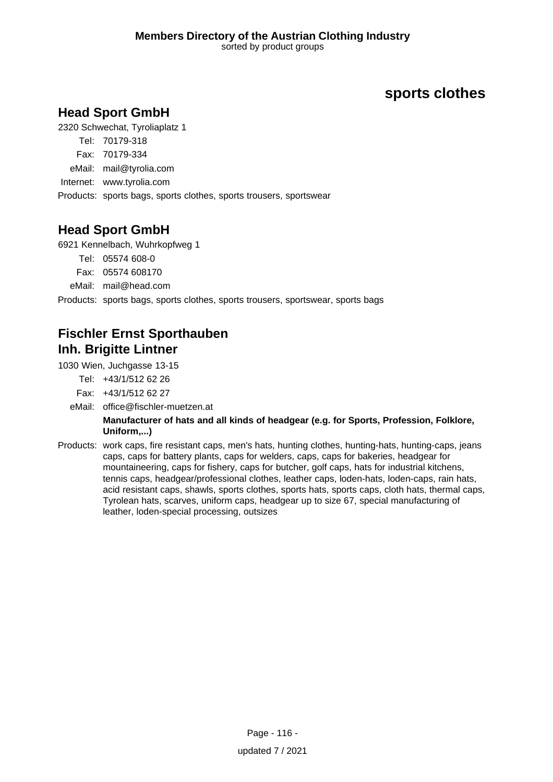# **Head Sport GmbH**

2320 Schwechat, Tyroliaplatz 1

- Tel: 70179-318
- Fax: 70179-334
- eMail: mail@tyrolia.com
- Internet: www.tyrolia.com

Products: sports bags, sports clothes, sports trousers, sportswear

# **Head Sport GmbH**

6921 Kennelbach, Wuhrkopfweg 1

Tel: 05574 608-0

Fax: 05574 608170

eMail: mail@head.com

Products: sports bags, sports clothes, sports trousers, sportswear, sports bags

# **Fischler Ernst Sporthauben Inh. Brigitte Lintner**

1030 Wien, Juchgasse 13-15

Tel: +43/1/512 62 26

Fax: +43/1/512 62 27

- eMail: office@fischler-muetzen.at **Manufacturer of hats and all kinds of headgear (e.g. for Sports, Profession, Folklore, Uniform,...)**
- Products: work caps, fire resistant caps, men's hats, hunting clothes, hunting-hats, hunting-caps, jeans caps, caps for battery plants, caps for welders, caps, caps for bakeries, headgear for mountaineering, caps for fishery, caps for butcher, golf caps, hats for industrial kitchens, tennis caps, headgear/professional clothes, leather caps, loden-hats, loden-caps, rain hats, acid resistant caps, shawls, sports clothes, sports hats, sports caps, cloth hats, thermal caps, Tyrolean hats, scarves, uniform caps, headgear up to size 67, special manufacturing of leather, loden-special processing, outsizes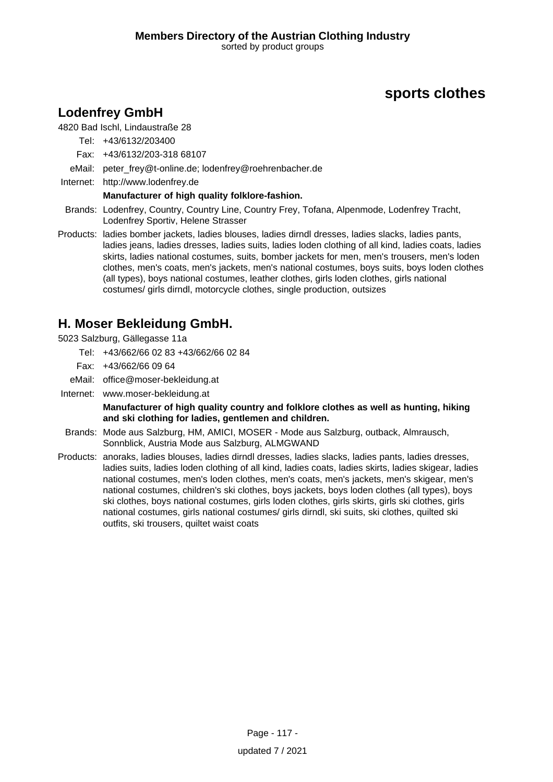## **Lodenfrey GmbH**

#### 4820 Bad Ischl, Lindaustraße 28

Tel: +43/6132/203400

- Fax: +43/6132/203-318 68107
- eMail: peter\_frey@t-online.de; lodenfrey@roehrenbacher.de
- Internet: <http://www.lodenfrey.de>

#### **Manufacturer of high quality folklore-fashion.**

- Brands: Lodenfrey, Country, Country Line, Country Frey, Tofana, Alpenmode, Lodenfrey Tracht, Lodenfrey Sportiv, Helene Strasser
- Products: ladies bomber jackets, ladies blouses, ladies dirndl dresses, ladies slacks, ladies pants, ladies jeans, ladies dresses, ladies suits, ladies loden clothing of all kind, ladies coats, ladies skirts, ladies national costumes, suits, bomber jackets for men, men's trousers, men's loden clothes, men's coats, men's jackets, men's national costumes, boys suits, boys loden clothes (all types), boys national costumes, leather clothes, girls loden clothes, girls national costumes/ girls dirndl, motorcycle clothes, single production, outsizes

### **H. Moser Bekleidung GmbH.**

5023 Salzburg, Gällegasse 11a

- Tel: +43/662/66 02 83 +43/662/66 02 84
- Fax: +43/662/66 09 64
- eMail: office@moser-bekleidung.at
- Internet: www.moser-bekleidung.at

**Manufacturer of high quality country and folklore clothes as well as hunting, hiking and ski clothing for ladies, gentlemen and children.**

- Brands: Mode aus Salzburg, HM, AMICI, MOSER Mode aus Salzburg, outback, Almrausch, Sonnblick, Austria Mode aus Salzburg, ALMGWAND
- Products: anoraks, ladies blouses, ladies dirndl dresses, ladies slacks, ladies pants, ladies dresses, ladies suits, ladies loden clothing of all kind, ladies coats, ladies skirts, ladies skigear, ladies national costumes, men's loden clothes, men's coats, men's jackets, men's skigear, men's national costumes, children's ski clothes, boys jackets, boys loden clothes (all types), boys ski clothes, boys national costumes, girls loden clothes, girls skirts, girls ski clothes, girls national costumes, girls national costumes/ girls dirndl, ski suits, ski clothes, quilted ski outfits, ski trousers, quiltet waist coats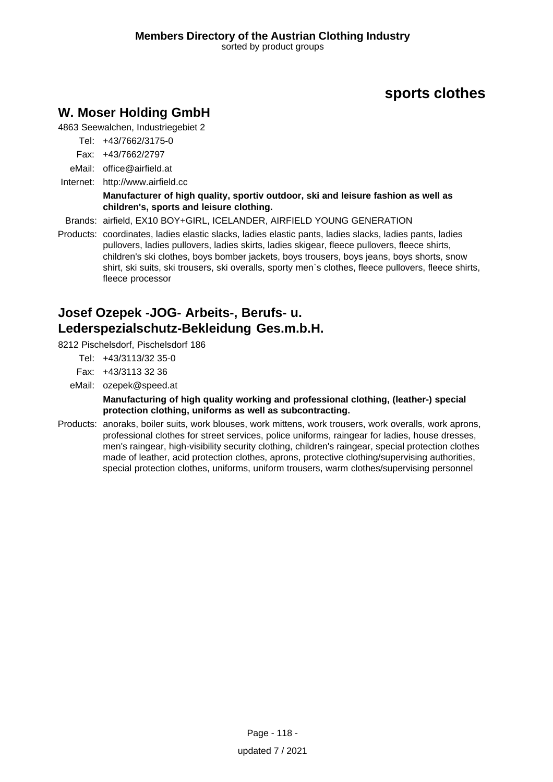## **W. Moser Holding GmbH**

4863 Seewalchen, Industriegebiet 2

- Tel: +43/7662/3175-0
- Fax: +43/7662/2797
- eMail: office@airfield.at
- Internet: <http://www.airfield.cc>

#### **Manufacturer of high quality, sportiv outdoor, ski and leisure fashion as well as children's, sports and leisure clothing.**

Brands: airfield, EX10 BOY+GIRL, ICELANDER, AIRFIELD YOUNG GENERATION

Products: coordinates, ladies elastic slacks, ladies elastic pants, ladies slacks, ladies pants, ladies pullovers, ladies pullovers, ladies skirts, ladies skigear, fleece pullovers, fleece shirts, children's ski clothes, boys bomber jackets, boys trousers, boys jeans, boys shorts, snow shirt, ski suits, ski trousers, ski overalls, sporty men`s clothes, fleece pullovers, fleece shirts, fleece processor

# **Josef Ozepek -JOG- Arbeits-, Berufs- u. Lederspezialschutz-Bekleidung Ges.m.b.H.**

8212 Pischelsdorf, Pischelsdorf 186

- Tel: +43/3113/32 35-0
- Fax: +43/3113 32 36
- eMail: ozepek@speed.at

#### **Manufacturing of high quality working and professional clothing, (leather-) special protection clothing, uniforms as well as subcontracting.**

Products: anoraks, boiler suits, work blouses, work mittens, work trousers, work overalls, work aprons, professional clothes for street services, police uniforms, raingear for ladies, house dresses, men's raingear, high-visibility security clothing, children's raingear, special protection clothes made of leather, acid protection clothes, aprons, protective clothing/supervising authorities, special protection clothes, uniforms, uniform trousers, warm clothes/supervising personnel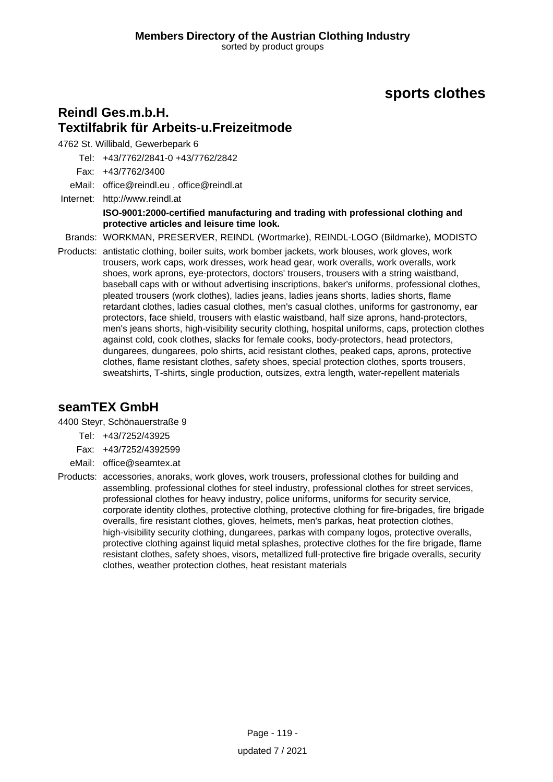### **Reindl Ges.m.b.H. Textilfabrik für Arbeits-u.Freizeitmode**

4762 St. Willibald, Gewerbepark 6

Tel: +43/7762/2841-0 +43/7762/2842

Fax: +43/7762/3400

eMail: office@reindl.eu , office@reindl.at

Internet: <http://www.reindl.at> **ISO-9001:2000-certified manufacturing and trading with professional clothing and protective articles and leisure time look.**

Brands: WORKMAN, PRESERVER, REINDL (Wortmarke), REINDL-LOGO (Bildmarke), MODISTO

Products: antistatic clothing, boiler suits, work bomber jackets, work blouses, work gloves, work trousers, work caps, work dresses, work head gear, work overalls, work overalls, work shoes, work aprons, eye-protectors, doctors' trousers, trousers with a string waistband, baseball caps with or without advertising inscriptions, baker's uniforms, professional clothes, pleated trousers (work clothes), ladies jeans, ladies jeans shorts, ladies shorts, flame retardant clothes, ladies casual clothes, men's casual clothes, uniforms for gastronomy, ear protectors, face shield, trousers with elastic waistband, half size aprons, hand-protectors, men's jeans shorts, high-visibility security clothing, hospital uniforms, caps, protection clothes against cold, cook clothes, slacks for female cooks, body-protectors, head protectors, dungarees, dungarees, polo shirts, acid resistant clothes, peaked caps, aprons, protective clothes, flame resistant clothes, safety shoes, special protection clothes, sports trousers, sweatshirts, T-shirts, single production, outsizes, extra length, water-repellent materials

### **seamTEX GmbH**

4400 Steyr, Schönauerstraße 9

- Tel: +43/7252/43925
- Fax: +43/7252/4392599
- eMail: office@seamtex.at
- Products: accessories, anoraks, work gloves, work trousers, professional clothes for building and assembling, professional clothes for steel industry, professional clothes for street services, professional clothes for heavy industry, police uniforms, uniforms for security service, corporate identity clothes, protective clothing, protective clothing for fire-brigades, fire brigade overalls, fire resistant clothes, gloves, helmets, men's parkas, heat protection clothes, high-visibility security clothing, dungarees, parkas with company logos, protective overalls, protective clothing against liquid metal splashes, protective clothes for the fire brigade, flame resistant clothes, safety shoes, visors, metallized full-protective fire brigade overalls, security clothes, weather protection clothes, heat resistant materials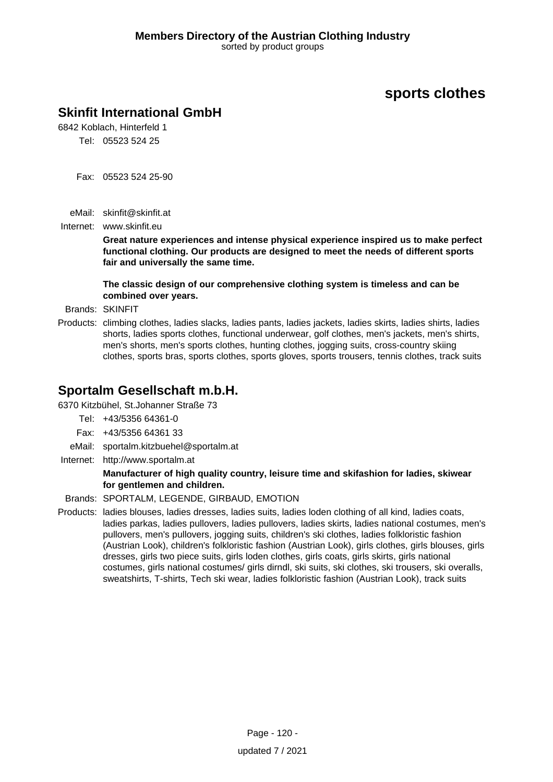## **Skinfit International GmbH**

6842 Koblach, Hinterfeld 1 Tel: 05523 524 25

- Fax: 05523 524 25-90
- eMail: skinfit@skinfit.at
- Internet: www.skinfit.eu

**Great nature experiences and intense physical experience inspired us to make perfect functional clothing. Our products are designed to meet the needs of different sports fair and universally the same time.**

**The classic design of our comprehensive clothing system is timeless and can be combined over years.**

Brands: SKINFIT

Products: climbing clothes, ladies slacks, ladies pants, ladies jackets, ladies skirts, ladies shirts, ladies shorts, ladies sports clothes, functional underwear, golf clothes, men's jackets, men's shirts, men's shorts, men's sports clothes, hunting clothes, jogging suits, cross-country skiing clothes, sports bras, sports clothes, sports gloves, sports trousers, tennis clothes, track suits

### **Sportalm Gesellschaft m.b.H.**

6370 Kitzbühel, St.Johanner Straße 73

- Tel: +43/5356 64361-0
- Fax: +43/5356 64361 33
- eMail: sportalm.kitzbuehel@sportalm.at
- Internet: <http://www.sportalm.at>

#### **Manufacturer of high quality country, leisure time and skifashion for ladies, skiwear for gentlemen and children.**

- Brands: SPORTALM, LEGENDE, GIRBAUD, EMOTION
- Products: ladies blouses, ladies dresses, ladies suits, ladies loden clothing of all kind, ladies coats, ladies parkas, ladies pullovers, ladies pullovers, ladies skirts, ladies national costumes, men's pullovers, men's pullovers, jogging suits, children's ski clothes, ladies folkloristic fashion (Austrian Look), children's folkloristic fashion (Austrian Look), girls clothes, girls blouses, girls dresses, girls two piece suits, girls loden clothes, girls coats, girls skirts, girls national costumes, girls national costumes/ girls dirndl, ski suits, ski clothes, ski trousers, ski overalls, sweatshirts, T-shirts, Tech ski wear, ladies folkloristic fashion (Austrian Look), track suits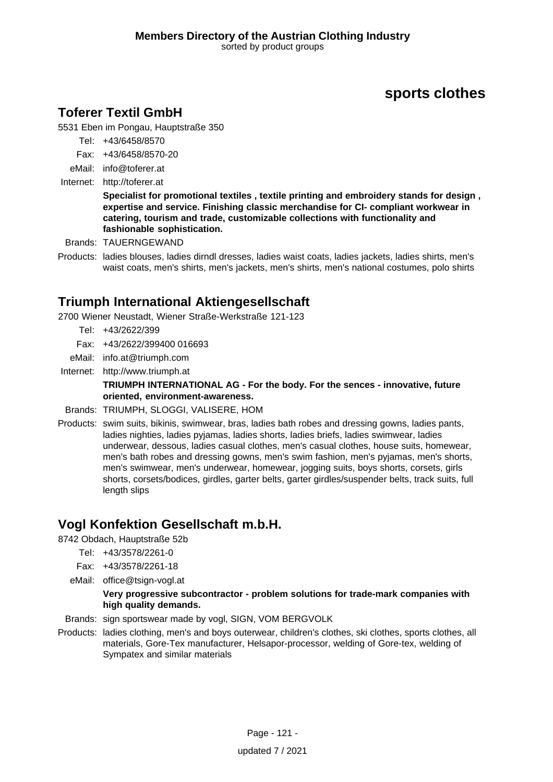## **Toferer Textil GmbH**

5531 Eben im Pongau, Hauptstraße 350

- Tel: +43/6458/8570
- Fax: +43/6458/8570-20
- eMail: info@toferer.at
- Internet: <http://toferer.at>

**Specialist for promotional textiles , textile printing and embroidery stands for design , expertise and service. Finishing classic merchandise for CI- compliant workwear in catering, tourism and trade, customizable collections with functionality and fashionable sophistication.**

- Brands: TAUERNGEWAND
- Products: ladies blouses, ladies dirndl dresses, ladies waist coats, ladies jackets, ladies shirts, men's waist coats, men's shirts, men's jackets, men's shirts, men's national costumes, polo shirts

### **Triumph International Aktiengesellschaft**

2700 Wiener Neustadt, Wiener Straße-Werkstraße 121-123

- Tel: +43/2622/399
- Fax: +43/2622/399400 016693
- eMail: info.at@triumph.com
- Internet: <http://www.triumph.at>

**TRIUMPH INTERNATIONAL AG - For the body. For the sences - innovative, future oriented, environment-awareness.**

- Brands: TRIUMPH, SLOGGI, VALISERE, HOM
- Products: swim suits, bikinis, swimwear, bras, ladies bath robes and dressing gowns, ladies pants, ladies nighties, ladies pyjamas, ladies shorts, ladies briefs, ladies swimwear, ladies underwear, dessous, ladies casual clothes, men's casual clothes, house suits, homewear, men's bath robes and dressing gowns, men's swim fashion, men's pyjamas, men's shorts, men's swimwear, men's underwear, homewear, jogging suits, boys shorts, corsets, girls shorts, corsets/bodices, girdles, garter belts, garter girdles/suspender belts, track suits, full length slips

### **Vogl Konfektion Gesellschaft m.b.H.**

8742 Obdach, Hauptstraße 52b

- Tel: +43/3578/2261-0
- Fax: +43/3578/2261-18
- eMail: office@tsign-vogl.at

#### **Very progressive subcontractor - problem solutions for trade-mark companies with high quality demands.**

- Brands: sign sportswear made by vogl, SIGN, VOM BERGVOLK
- Products: ladies clothing, men's and boys outerwear, children's clothes, ski clothes, sports clothes, all materials, Gore-Tex manufacturer, Helsapor-processor, welding of Gore-tex, welding of Sympatex and similar materials